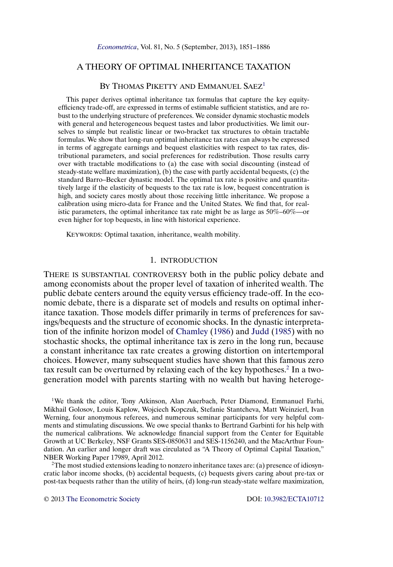# <span id="page-0-0"></span>A THEORY OF OPTIMAL INHERITANCE TAXATION

# BY THOMAS PIKETTY AND EMMANUEL SAEZ<sup>1</sup>

This paper derives optimal inheritance tax formulas that capture the key equityefficiency trade-off, are expressed in terms of estimable sufficient statistics, and are robust to the underlying structure of preferences. We consider dynamic stochastic models with general and heterogeneous bequest tastes and labor productivities. We limit ourselves to simple but realistic linear or two-bracket tax structures to obtain tractable formulas. We show that long-run optimal inheritance tax rates can always be expressed in terms of aggregate earnings and bequest elasticities with respect to tax rates, distributional parameters, and social preferences for redistribution. Those results carry over with tractable modifications to (a) the case with social discounting (instead of steady-state welfare maximization), (b) the case with partly accidental bequests, (c) the standard Barro–Becker dynastic model. The optimal tax rate is positive and quantitatively large if the elasticity of bequests to the tax rate is low, bequest concentration is high, and society cares mostly about those receiving little inheritance. We propose a calibration using micro-data for France and the United States. We find that, for realistic parameters, the optimal inheritance tax rate might be as large as 50%–60%—or even higher for top bequests, in line with historical experience.

KEYWORDS: Optimal taxation, inheritance, wealth mobility.

## 1. INTRODUCTION

THERE IS SUBSTANTIAL CONTROVERSY both in the public policy debate and among economists about the proper level of taxation of inherited wealth. The public debate centers around the equity versus efficiency trade-off. In the economic debate, there is a disparate set of models and results on optimal inheritance taxation. Those models differ primarily in terms of preferences for savings/bequests and the structure of economic shocks. In the dynastic interpretation of the infinite horizon model of [Chamley](#page-34-0) [\(1986\)](#page-34-0) and [Judd](#page-34-0) [\(1985\)](#page-34-0) with no stochastic shocks, the optimal inheritance tax is zero in the long run, because a constant inheritance tax rate creates a growing distortion on intertemporal choices. However, many subsequent studies have shown that this famous zero tax result can be overturned by relaxing each of the key hypotheses.<sup>2</sup> In a twogeneration model with parents starting with no wealth but having heteroge-

<sup>1</sup>We thank the editor, Tony Atkinson, Alan Auerbach, Peter Diamond, Emmanuel Farhi, Mikhail Golosov, Louis Kaplow, Wojciech Kopczuk, Stefanie Stantcheva, Matt Weinzierl, Ivan Werning, four anonymous referees, and numerous seminar participants for very helpful comments and stimulating discussions. We owe special thanks to Bertrand Garbinti for his help with the numerical calibrations. We acknowledge financial support from the Center for Equitable Growth at UC Berkeley, NSF Grants SES-0850631 and SES-1156240, and the MacArthur Foundation. An earlier and longer draft was circulated as "A Theory of Optimal Capital Taxation," NBER Working Paper 17989, April 2012.

 $2$ The most studied extensions leading to nonzero inheritance taxes are: (a) presence of idiosyncratic labor income shocks, (b) accidental bequests, (c) bequests givers caring about pre-tax or post-tax bequests rather than the utility of heirs, (d) long-run steady-state welfare maximization,

© 2013 [The Econometric Society](http://www.econometricsociety.org/) DOI: [10.3982/ECTA10712](http://dx.doi.org/10.3982/ECTA10712)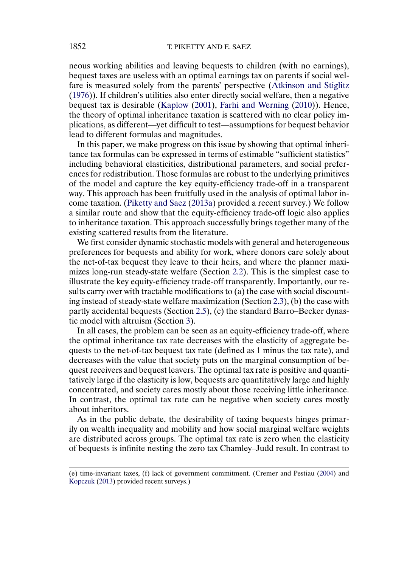<span id="page-1-0"></span>neous working abilities and leaving bequests to children (with no earnings), bequest taxes are useless with an optimal earnings tax on parents if social welfare is measured solely from the parents' perspective [\(Atkinson and Stiglitz](#page-34-0) [\(1976\)](#page-34-0)). If children's utilities also enter directly social welfare, then a negative bequest tax is desirable [\(Kaplow](#page-34-0) [\(2001\)](#page-34-0), [Farhi and Werning](#page-34-0) [\(2010\)](#page-34-0)). Hence, the theory of optimal inheritance taxation is scattered with no clear policy implications, as different—yet difficult to test—assumptions for bequest behavior lead to different formulas and magnitudes.

In this paper, we make progress on this issue by showing that optimal inheritance tax formulas can be expressed in terms of estimable "sufficient statistics" including behavioral elasticities, distributional parameters, and social preferences for redistribution. Those formulas are robust to the underlying primitives of the model and capture the key equity-efficiency trade-off in a transparent way. This approach has been fruitfully used in the analysis of optimal labor income taxation. [\(Piketty and Saez](#page-34-0) [\(2013a\)](#page-34-0) provided a recent survey.) We follow a similar route and show that the equity-efficiency trade-off logic also applies to inheritance taxation. This approach successfully brings together many of the existing scattered results from the literature.

We first consider dynamic stochastic models with general and heterogeneous preferences for bequests and ability for work, where donors care solely about the net-of-tax bequest they leave to their heirs, and where the planner maximizes long-run steady-state welfare (Section [2.2\)](#page-3-0). This is the simplest case to illustrate the key equity-efficiency trade-off transparently. Importantly, our results carry over with tractable modifications to (a) the case with social discounting instead of steady-state welfare maximization (Section [2.3\)](#page-8-0), (b) the case with partly accidental bequests (Section [2.5\)](#page-15-0), (c) the standard Barro–Becker dynastic model with altruism (Section [3\)](#page-16-0).

In all cases, the problem can be seen as an equity-efficiency trade-off, where the optimal inheritance tax rate decreases with the elasticity of aggregate bequests to the net-of-tax bequest tax rate (defined as 1 minus the tax rate), and decreases with the value that society puts on the marginal consumption of bequest receivers and bequest leavers. The optimal tax rate is positive and quantitatively large if the elasticity is low, bequests are quantitatively large and highly concentrated, and society cares mostly about those receiving little inheritance. In contrast, the optimal tax rate can be negative when society cares mostly about inheritors.

As in the public debate, the desirability of taxing bequests hinges primarily on wealth inequality and mobility and how social marginal welfare weights are distributed across groups. The optimal tax rate is zero when the elasticity of bequests is infinite nesting the zero tax Chamley–Judd result. In contrast to

<sup>(</sup>e) time-invariant taxes, (f) lack of government commitment. (Cremer and Pestiau [\(2004\)](#page-34-0) and [Kopczuk](#page-34-0) [\(2013\)](#page-34-0) provided recent surveys.)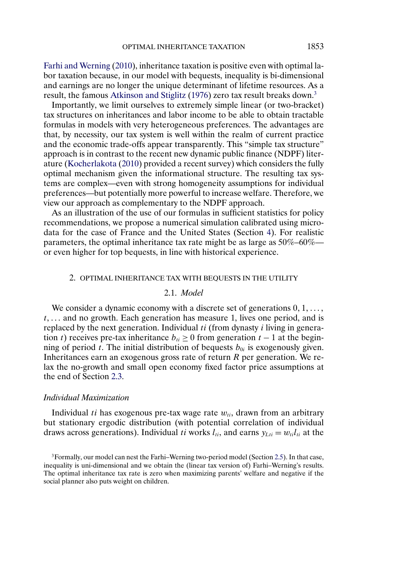<span id="page-2-0"></span>[Farhi and Werning](#page-34-0) [\(2010\)](#page-34-0), inheritance taxation is positive even with optimal labor taxation because, in our model with bequests, inequality is bi-dimensional and earnings are no longer the unique determinant of lifetime resources. As a result, the famous [Atkinson and Stiglitz](#page-34-0) [\(1976\)](#page-34-0) zero tax result breaks down.3

Importantly, we limit ourselves to extremely simple linear (or two-bracket) tax structures on inheritances and labor income to be able to obtain tractable formulas in models with very heterogeneous preferences. The advantages are that, by necessity, our tax system is well within the realm of current practice and the economic trade-offs appear transparently. This "simple tax structure" approach is in contrast to the recent new dynamic public finance (NDPF) literature [\(Kocherlakota](#page-34-0) [\(2010\)](#page-34-0) provided a recent survey) which considers the fully optimal mechanism given the informational structure. The resulting tax systems are complex—even with strong homogeneity assumptions for individual preferences—but potentially more powerful to increase welfare. Therefore, we view our approach as complementary to the NDPF approach.

As an illustration of the use of our formulas in sufficient statistics for policy recommendations, we propose a numerical simulation calibrated using microdata for the case of France and the United States (Section [4\)](#page-22-0). For realistic parameters, the optimal inheritance tax rate might be as large as 50%–60% or even higher for top bequests, in line with historical experience.

### 2. OPTIMAL INHERITANCE TAX WITH BEQUESTS IN THE UTILITY

## 2.1. *Model*

We consider a dynamic economy with a discrete set of generations  $0, 1, \ldots$ ,  $t, \ldots$  and no growth. Each generation has measure 1, lives one period, and is replaced by the next generation. Individual  $ti$  (from dynasty  $i$  living in generation t) receives pre-tax inheritance  $b_{ti} \ge 0$  from generation  $t - 1$  at the beginning of period t. The initial distribution of bequests  $b_{0i}$  is exogenously given. Inheritances earn an exogenous gross rate of return  $R$  per generation. We relax the no-growth and small open economy fixed factor price assumptions at the end of Section [2.3.](#page-8-0)

## *Individual Maximization*

Individual ti has exogenous pre-tax wage rate  $w_{ti}$ , drawn from an arbitrary but stationary ergodic distribution (with potential correlation of individual draws across generations). Individual ti works  $l_{ti}$ , and earns  $y_{Lti} = w_{ti}l_{ti}$  at the

<sup>3</sup>Formally, our model can nest the Farhi–Werning two-period model (Section [2.5\)](#page-15-0). In that case, inequality is uni-dimensional and we obtain the (linear tax version of) Farhi–Werning's results. The optimal inheritance tax rate is zero when maximizing parents' welfare and negative if the social planner also puts weight on children.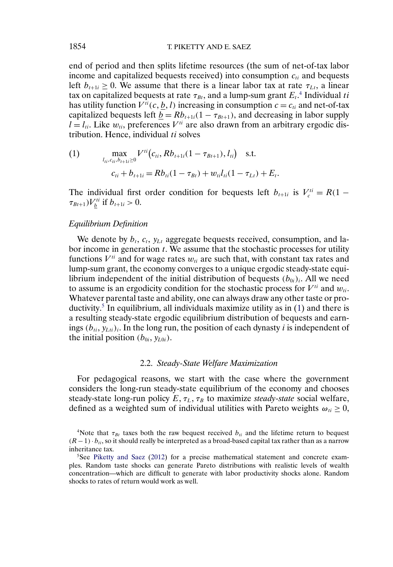end of period and then splits lifetime resources (the sum of net-of-tax labor income and capitalized bequests received) into consumption  $c_{ti}$  and bequests left  $b_{t+1i} \geq 0$ . We assume that there is a linear labor tax at rate  $\tau_{Lt}$ , a linear tax on capitalized bequests at rate  $\tau_{Bt},$  and a lump-sum grant  $E_t.^\mathcal{A}$  Individual  $ti$ has utility function  $V^{ti}(c, \underline{b}, l)$  increasing in consumption  $c = c_{ti}$  and net-of-tax capitalized bequests left  $\underline{b} = Rb_{t+1i}(1 - \tau_{Bt+1})$ , and decreasing in labor supply  $l = l_{ti}$ . Like  $w_{ti}$ , preferences  $V^{ti}$  are also drawn from an arbitrary ergodic distribution. Hence, individual  $ti$  solves

(1) 
$$
\max_{l_{ti}, c_{ti}, b_{t+1} \ge 0} V^{ti}(c_{ti}, R b_{t+1} (1 - \tau_{Bt+1}), l_{ti}) \text{ s.t.}
$$

$$
c_{ti} + b_{t+1} = R b_{ti} (1 - \tau_{Bt}) + w_{ti} l_{ti} (1 - \tau_{Lt}) + E_t.
$$

The individual first order condition for bequests left  $b_{t+1i}$  is  $V_c^{ti} = R(1 \tau_{Bt+1})V_{\underline{b}}^{ti}$  if  $b_{t+1i} > 0$ .

# *Equilibrium Definition*

We denote by  $b_t$ ,  $c_t$ ,  $y_{Lt}$  aggregate bequests received, consumption, and labor income in generation  $t$ . We assume that the stochastic processes for utility functions  $V^{ti}$  and for wage rates  $w_{ti}$  are such that, with constant tax rates and lump-sum grant, the economy converges to a unique ergodic steady-state equilibrium independent of the initial distribution of bequests  $(b_{0i})_i$ . All we need to assume is an ergodicity condition for the stochastic process for  $V^{ti}$  and  $w_{ti}$ . Whatever parental taste and ability, one can always draw any other taste or productivity.<sup>5</sup> In equilibrium, all individuals maximize utility as in  $(1)$  and there is a resulting steady-state ergodic equilibrium distribution of bequests and earnings  $(b_{ti}, y_{Lti})_i$ . In the long run, the position of each dynasty *i* is independent of the initial position  $(b_{0i}, y_{L0i})$ .

#### 2.2. *Steady-State Welfare Maximization*

For pedagogical reasons, we start with the case where the government considers the long-run steady-state equilibrium of the economy and chooses steady-state long-run policy  $E, \tau_L, \tau_B$  to maximize *steady-state* social welfare, defined as a weighted sum of individual utilities with Pareto weights  $\omega_{ti} \geq 0$ ,

<span id="page-3-0"></span>

<sup>&</sup>lt;sup>4</sup>Note that  $\tau_{Bt}$  taxes both the raw bequest received  $b_{ti}$  and the lifetime return to bequest  $(R-1) \cdot b_{ti}$ , so it should really be interpreted as a broad-based capital tax rather than as a narrow inheritance tax.

<sup>5</sup>See [Piketty and Saez](#page-34-0) [\(2012\)](#page-34-0) for a precise mathematical statement and concrete examples. Random taste shocks can generate Pareto distributions with realistic levels of wealth concentration—which are difficult to generate with labor productivity shocks alone. Random shocks to rates of return would work as well.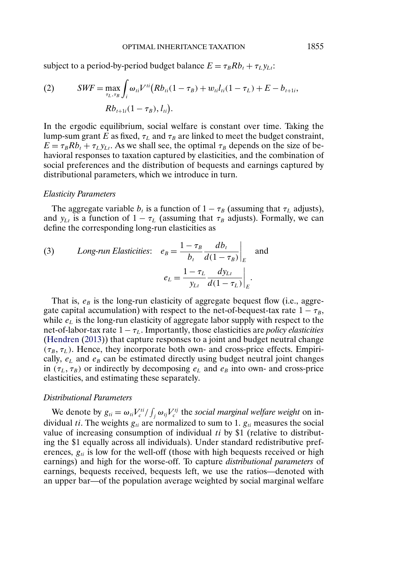<span id="page-4-0"></span>subject to a period-by-period budget balance  $E = \tau_B R b_t + \tau_L y_L$ .

(2) 
$$
SWF = \max_{\tau_L, \tau_B} \int_i \omega_{ti} V^{ti} (Rb_{ti}(1 - \tau_B) + w_{ti} l_{ti}(1 - \tau_L) + E - b_{t+1i},
$$

$$
Rb_{t+1i}(1 - \tau_B), l_{ti}).
$$

In the ergodic equilibrium, social welfare is constant over time. Taking the lump-sum grant E as fixed,  $\tau_L$  and  $\tau_B$  are linked to meet the budget constraint,  $E = \tau_B R b_t + \tau_L y_{\text{L}t}$ . As we shall see, the optimal  $\tau_B$  depends on the size of behavioral responses to taxation captured by elasticities, and the combination of social preferences and the distribution of bequests and earnings captured by distributional parameters, which we introduce in turn.

### *Elasticity Parameters*

The aggregate variable  $b_t$  is a function of  $1 - \tau_B$  (assuming that  $\tau_L$  adjusts), and  $y_{Lt}$  is a function of  $1 - \tau_L$  (assuming that  $\tau_B$  adjusts). Formally, we can define the corresponding long-run elasticities as

(3) *Long-run Elasticities:* 
$$
e_B = \frac{1 - \tau_B}{b_t} \frac{db_t}{d(1 - \tau_B)}\Big|_E
$$
 and  

$$
e_L = \frac{1 - \tau_L}{y_{Lt}} \frac{dy_{Lt}}{d(1 - \tau_L)}\Big|_E.
$$

That is,  $e_B$  is the long-run elasticity of aggregate bequest flow (i.e., aggregate capital accumulation) with respect to the net-of-bequest-tax rate  $1 - \tau_B$ , while  $e<sub>L</sub>$  is the long-run elasticity of aggregate labor supply with respect to the net-of-labor-tax rate  $1 - \tau_L$ . Importantly, those elasticities are *policy elasticities* [\(Hendren](#page-34-0) [\(2013\)](#page-34-0)) that capture responses to a joint and budget neutral change  $(\tau_B, \tau_L)$ . Hence, they incorporate both own- and cross-price effects. Empirically,  $e<sub>L</sub>$  and  $e<sub>B</sub>$  can be estimated directly using budget neutral joint changes in  $(\tau_L, \tau_B)$  or indirectly by decomposing  $e_L$  and  $e_B$  into own- and cross-price elasticities, and estimating these separately.

### *Distributional Parameters*

We denote by  $g_{ii} = \omega_{ii} V_c^{ii} / \int_j \omega_{ij} V_c^{ij}$  the *social marginal welfare weight* on individual ti. The weights  $g_{ti}$  are normalized to sum to 1.  $g_{ti}$  measures the social value of increasing consumption of individual ti by \$1 (relative to distributing the \$1 equally across all individuals). Under standard redistributive preferences,  $g_{ti}$  is low for the well-off (those with high bequests received or high earnings) and high for the worse-off. To capture *distributional parameters* of earnings, bequests received, bequests left, we use the ratios—denoted with an upper bar—of the population average weighted by social marginal welfare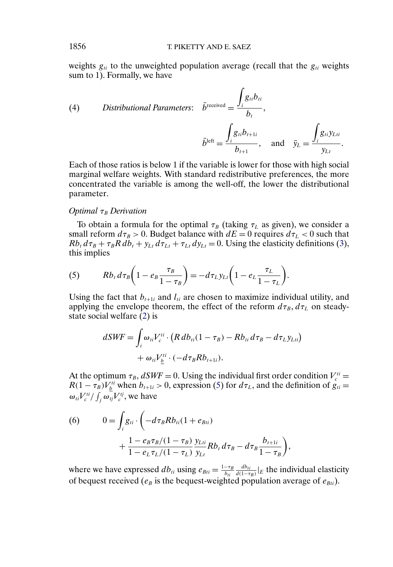<span id="page-5-0"></span>weights  $g_{ti}$  to the unweighted population average (recall that the  $g_{ti}$  weights sum to 1). Formally, we have

(4) *Distributional Parameters:* 
$$
\bar{b}^{\text{received}} = \frac{\int_{i} g_{ti} b_{ti}}{b_t},
$$
  
\n
$$
\bar{b}^{\text{left}} = \frac{\int_{i} g_{ti} b_{t+1i}}{b_{t+1}}, \text{ and } \bar{y}_L = \frac{\int_{i} g_{ti} y_{Lti}}{y_{Lt}}.
$$

Each of those ratios is below 1 if the variable is lower for those with high social marginal welfare weights. With standard redistributive preferences, the more concentrated the variable is among the well-off, the lower the distributional parameter.

## *Optimal* τ<sub>B</sub> Derivation

To obtain a formula for the optimal  $\tau_B$  (taking  $\tau_L$  as given), we consider a small reform  $d\tau_B > 0$ . Budget balance with  $dE = 0$  requires  $d\tau_L < 0$  such that  $Rb_t d\tau_B + \tau_B R db_t + y_{Lt} d\tau_{Lt} + \tau_{Lt} dy_{Lt} = 0$ . Using the elasticity definitions [\(3\)](#page-4-0), this implies

(5) 
$$
Rb_t d\tau_B \left(1 - e_B \frac{\tau_B}{1 - \tau_B}\right) = -d\tau_L y_{Lt} \left(1 - e_L \frac{\tau_L}{1 - \tau_L}\right).
$$

Using the fact that  $b_{t+1i}$  and  $l_{ti}$  are chosen to maximize individual utility, and applying the envelope theorem, the effect of the reform  $d\tau_B$ ,  $d\tau_L$  on steadystate social welfare [\(2\)](#page-4-0) is

$$
dSWF = \int_{i} \omega_{ti} V_c^{ti} \cdot (R \, db_{ti} (1 - \tau_B) - R b_{ti} \, d\tau_B - d\tau_L y_{Lti})
$$

$$
+ \omega_{ti} V_{\underline{b}}^{ti} \cdot (-d\tau_B R b_{t+1i}).
$$

At the optimum  $\tau_B$ ,  $dSWF = 0$ . Using the individual first order condition  $V_c^{ti} =$  $R(1 - \tau_B)V_{\underline{b}}^{ti}$  when  $b_{t+1i} > 0$ , expression (5) for  $d\tau_L$ , and the definition of  $g_{ti} =$  $\omega_{ti}V_c^{ti}/\int_j \omega_{tj}V_c^{tj}$ , we have

(6) 
$$
0 = \int_{i} g_{ti} \cdot \left( -d\tau_{B} R b_{ti} (1 + e_{Bti}) + \frac{1 - e_{B}\tau_{B} / (1 - \tau_{B}) y_{Li}}{1 - e_{L}\tau_{L} / (1 - \tau_{L}) y_{Li}} R b_{t} d\tau_{B} - d\tau_{B} \frac{b_{t+1i}}{1 - \tau_{B}} \right),
$$

where we have expressed  $db_{ti}$  using  $e_{Bti} = \frac{1-\tau_B}{b_{ti}}$  $\frac{db_{ti}}{d(1-\tau_B)}|_E$  the individual elasticity of bequest received ( $e_B$  is the bequest-weighted population average of  $e_{Bti}$ ).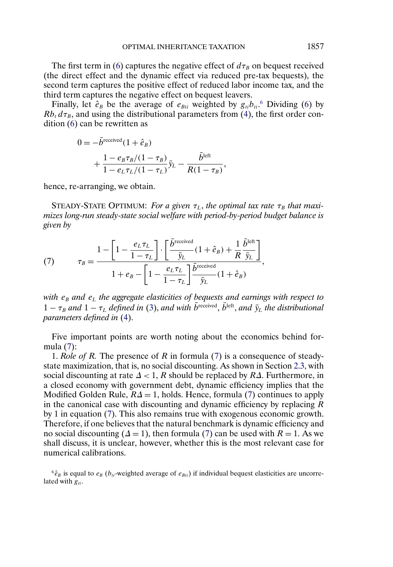<span id="page-6-0"></span>The first term in [\(6\)](#page-5-0) captures the negative effect of  $d\tau_B$  on bequest received (the direct effect and the dynamic effect via reduced pre-tax bequests), the second term captures the positive effect of reduced labor income tax, and the third term captures the negative effect on bequest leavers.

Finally, let  $\hat{e}_B$  be the average of  $e_{Bti}$  weighted by  $g_{ti}b_{ti}$ . Dividing [\(6\)](#page-5-0) by  $Rb_t d\tau_B$ , and using the distributional parameters from [\(4\)](#page-5-0), the first order condition [\(6\)](#page-5-0) can be rewritten as

$$
0 = -\bar{b}^{\text{received}}(1 + \hat{e}_B)
$$
  
+ 
$$
\frac{1 - e_B \tau_B/(1 - \tau_B)}{1 - e_L \tau_L/(1 - \tau_L)} \bar{y}_L - \frac{\bar{b}^{\text{left}}}{R(1 - \tau_B)},
$$

hence, re-arranging, we obtain.

STEADY-STATE OPTIMUM: *For a given*  $\tau_L$ , *the optimal tax rate*  $\tau_B$  *that maximizes long-run steady-state social welfare with period-by-period budget balance is given by*

(7) 
$$
\tau_B = \frac{1 - \left[1 - \frac{e_L \tau_L}{1 - \tau_L}\right] \cdot \left[\frac{\bar{b}^{\text{received}}}{\bar{y}_L}(1 + \hat{e}_B) + \frac{1}{R} \frac{\bar{b}^{\text{left}}}{\bar{y}_L}\right]}{1 + e_B - \left[1 - \frac{e_L \tau_L}{1 - \tau_L}\right] \frac{\bar{b}^{\text{received}}}{\bar{y}_L}(1 + \hat{e}_B)},
$$

*with*  $e_B$  *and*  $e_L$  *the aggregate elasticities of bequests and earnings with respect to*  $1 - \tau_B$  and  $1 - \tau_L$  defined in [\(3\)](#page-4-0), and with  $\bar{b}^{\text{received}}$ ,  $\bar{b}^{\text{left}}$ , and  $\bar{y}_L$  the distributional *parameters defined in* [\(4\)](#page-5-0).

Five important points are worth noting about the economics behind formula (7):

1. *Role of* R*.* The presence of R in formula (7) is a consequence of steadystate maximization, that is, no social discounting. As shown in Section [2.3,](#page-8-0) with social discounting at rate  $\Delta < 1$ , R should be replaced by R $\Delta$ . Furthermore, in a closed economy with government debt, dynamic efficiency implies that the Modified Golden Rule,  $R\Delta = 1$ , holds. Hence, formula (7) continues to apply in the canonical case with discounting and dynamic efficiency by replacing  $R$ by 1 in equation (7). This also remains true with exogenous economic growth. Therefore, if one believes that the natural benchmark is dynamic efficiency and no social discounting ( $\Delta = 1$ ), then formula (7) can be used with  $R = 1$ . As we shall discuss, it is unclear, however, whether this is the most relevant case for numerical calibrations.

 $6\hat{e}_B$  is equal to  $e_B$  ( $b_{ti}$ -weighted average of  $e_{Bti}$ ) if individual bequest elasticities are uncorrelated with  $g_{ti}$ .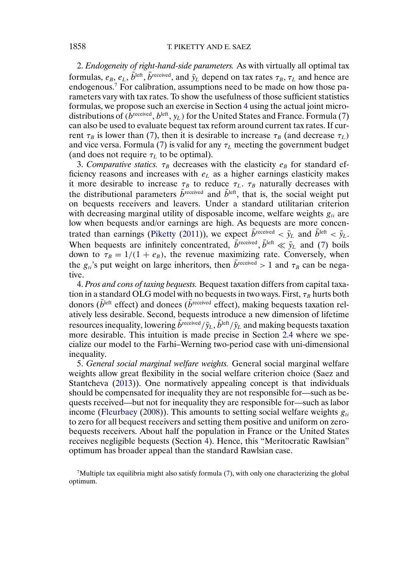2. *Endogeneity of right-hand-side parameters.* As with virtually all optimal tax formulas,  $e_B$ ,  $e_L$ ,  $b^{\text{left}}$ ,  $b^{\text{received}}$ , and  $\bar{y}_L$  depend on tax rates  $\tau_B$ ,  $\tau_L$  and hence are endogenous.<sup>7</sup> For calibration, assumptions need to be made on how those parameters vary with tax rates. To show the usefulness of those sufficient statistics formulas, we propose such an exercise in Section [4](#page-22-0) using the actual joint microdistributions of  $(b^{\text{received}}, b^{\text{left}}, y_L)$  for the United States and France. Formula [\(7\)](#page-6-0) can also be used to evaluate bequest tax reform around current tax rates. If current  $\tau_B$  is lower than [\(7\)](#page-6-0), then it is desirable to increase  $\tau_B$  (and decrease  $\tau_L$ ) and vice versa. Formula [\(7\)](#page-6-0) is valid for any  $\tau_L$  meeting the government budget (and does not require  $\tau_L$  to be optimal).

3. *Comparative statics.*  $\tau_B$  decreases with the elasticity  $e_B$  for standard efficiency reasons and increases with  $e<sub>L</sub>$  as a higher earnings elasticity makes it more desirable to increase  $\tau_B$  to reduce  $\tau_L$ .  $\tau_B$  naturally decreases with the distributional parameters  $\bar{b}^{\text{received}}$  and  $\bar{b}^{\text{left}}$ , that is, the social weight put on bequests receivers and leavers. Under a standard utilitarian criterion with decreasing marginal utility of disposable income, welfare weights  $g_{ti}$  are low when bequests and/or earnings are high. As bequests are more concen-trated than earnings [\(Piketty](#page-34-0) [\(2011\)](#page-34-0)), we expect  $\bar{b}^{\text{received}} < \bar{y}_L$  and  $\bar{b}^{\text{left}} < \bar{y}_L$ . When bequests are infinitely concentrated,  $b^{\text{received}}$ ,  $b^{\text{left}} \ll \bar{y}_L$  and [\(7\)](#page-6-0) boils down to  $\tau_B = 1/(1 + e_B)$ , the revenue maximizing rate. Conversely, when the  $g_{ti}$ 's put weight on large inheritors, then  $\bar{b}^{\text{received}} > 1$  and  $\tau_B$  can be negative.

4. *Pros and cons of taxing bequests.* Bequest taxation differs from capital taxation in a standard OLG model with no bequests in two ways. First,  $\tau_B$  hurts both donors ( $\overline{b}^{\text{left}}$  effect) and donees ( $\overline{b}^{\text{received}}$  effect), making bequests taxation relatively less desirable. Second, bequests introduce a new dimension of lifetime resources inequality, lowering  $\bar{b}^{\text{received}}/\bar{y}_L$ ,  $\bar{b}^{\text{left}}/\bar{y}_L$  and making bequests taxation more desirable. This intuition is made precise in Section [2.4](#page-13-0) where we specialize our model to the Farhi–Werning two-period case with uni-dimensional inequality.

5. *General social marginal welfare weights.* General social marginal welfare weights allow great flexibility in the social welfare criterion choice (Saez and Stantcheva [\(2013\)](#page-35-0)). One normatively appealing concept is that individuals should be compensated for inequality they are not responsible for—such as bequests received—but not for inequality they are responsible for—such as labor income [\(Fleurbaey](#page-34-0) [\(2008\)](#page-34-0)). This amounts to setting social welfare weights  $g_{ti}$ to zero for all bequest receivers and setting them positive and uniform on zerobequests receivers. About half the population in France or the United States receives negligible bequests (Section [4\)](#page-22-0). Hence, this "Meritocratic Rawlsian" optimum has broader appeal than the standard Rawlsian case.

 $7$ Multiple tax equilibria might also satisfy formula [\(7\)](#page-6-0), with only one characterizing the global optimum.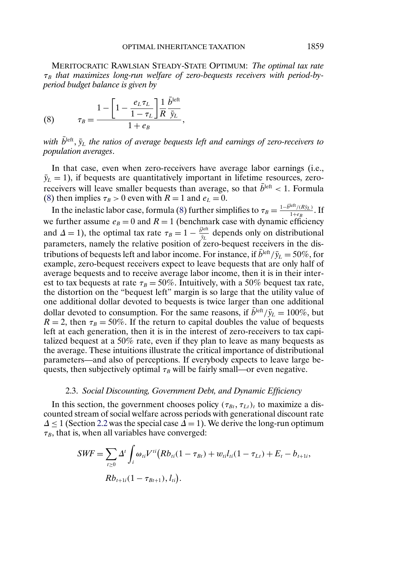<span id="page-8-0"></span>MERITOCRATIC RAWLSIAN STEADY-STATE OPTIMUM: *The optimal tax rate*  $τ_B$  that maximizes long-run welfare of zero-bequests receivers with period-by*period budget balance is given by*

(8) 
$$
\tau_B = \frac{1 - \left[1 - \frac{e_L \tau_L}{1 - \tau_L}\right] \frac{1}{R} \frac{\bar{b}^{\text{left}}}{\bar{y}_L}}{1 + e_B},
$$

with  $b^{\text{left}}$ ,  $\bar{y}_L$  the ratios of average bequests left and earnings of zero-receivers to *population averages*.

In that case, even when zero-receivers have average labor earnings (i.e.,  $\bar{y}_L = 1$ ), if bequests are quantitatively important in lifetime resources, zeroreceivers will leave smaller bequests than average, so that  $b^{\text{left}} < 1$ . Formula (8) then implies  $\tau_B > 0$  even with  $R = 1$  and  $e_L = 0$ .

In the inelastic labor case, formula (8) further simplifies to  $\tau_B = \frac{1-\bar{b}^{\text{left}}/(R\bar{y}_L)}{1+eg}$ . If we further assume  $e_B = 0$  and  $R = 1$  (benchmark case with dynamic efficiency and  $\Delta = 1$ ), the optimal tax rate  $\tau_B = 1 - \frac{\bar{b}^{\text{left}}}{\bar{y}_L}$  depends only on distributional parameters, namely the relative position of zero-bequest receivers in the distributions of bequests left and labor income. For instance, if  $\bar{b}^{\text{left}}/\bar{y}_L = 50\%$ , for example, zero-bequest receivers expect to leave bequests that are only half of average bequests and to receive average labor income, then it is in their interest to tax bequests at rate  $\tau_B = 50\%$ . Intuitively, with a 50% bequest tax rate, the distortion on the "bequest left" margin is so large that the utility value of one additional dollar devoted to bequests is twice larger than one additional dollar devoted to consumption. For the same reasons, if  $\bar{b}^{\text{left}}/\bar{y}_L = 100\%$ , but  $R = 2$ , then  $\tau_B = 50\%$ . If the return to capital doubles the value of bequests left at each generation, then it is in the interest of zero-receivers to tax capitalized bequest at a 50% rate, even if they plan to leave as many bequests as the average. These intuitions illustrate the critical importance of distributional parameters—and also of perceptions. If everybody expects to leave large bequests, then subjectively optimal  $\tau_B$  will be fairly small—or even negative.

## 2.3. *Social Discounting, Government Debt, and Dynamic Efficiency*

In this section, the government chooses policy  $(\tau_{Bt}, \tau_{Lt})_t$  to maximize a discounted stream of social welfare across periods with generational discount rate  $\Delta \leq 1$  (Section [2.2](#page-3-0) was the special case  $\Delta = 1$ ). We derive the long-run optimum  $\tau_B$ , that is, when all variables have converged:

$$
SWF = \sum_{t \ge 0} \Delta^t \int_i \omega_{ti} V^{ti} (Rb_{ti}(1 - \tau_{Bt}) + w_{ti} l_{ti}(1 - \tau_{Lt}) + E_t - b_{t+1i},
$$
  

$$
Rb_{t+1i}(1 - \tau_{Bt+1}), l_{ti}).
$$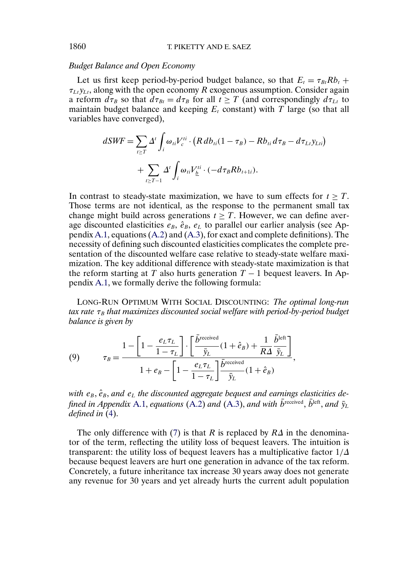## *Budget Balance and Open Economy*

Let us first keep period-by-period budget balance, so that  $E_t = \tau_{Bt} R b_t +$  $\tau_{Lt}y_{Lt}$ , along with the open economy R exogenous assumption. Consider again a reform  $d\tau_B$  so that  $d\tau_{Bt} = d\tau_B$  for all  $t \geq T$  (and correspondingly  $d\tau_{Lt}$  to maintain budget balance and keeping  $E_t$  constant) with T large (so that all variables have converged),

$$
dSWF = \sum_{t \ge T} \Delta^t \int_i \omega_{ti} V_c^{ti} \cdot (R \, db_{ti} (1 - \tau_B) - R b_{ti} \, d\tau_B - d\tau_{Li} y_{Lti})
$$

$$
+ \sum_{t \ge T-1} \Delta^t \int_i \omega_{ti} V_{\underline{b}}^{ti} \cdot (-d\tau_B R b_{t+1i}).
$$

In contrast to steady-state maximization, we have to sum effects for  $t > T$ . Those terms are not identical, as the response to the permanent small tax change might build across generations  $t > T$ . However, we can define average discounted elasticities  $e_B$ ,  $\hat{e}_B$ ,  $e_L$  to parallel our earlier analysis (see Appendix [A.1,](#page-29-0) equations [\(A.2\)](#page-30-0) and [\(A.3\)](#page-30-0), for exact and complete definitions). The necessity of defining such discounted elasticities complicates the complete presentation of the discounted welfare case relative to steady-state welfare maximization. The key additional difference with steady-state maximization is that the reform starting at T also hurts generation  $T - 1$  bequest leavers. In Appendix [A.1,](#page-29-0) we formally derive the following formula:

LONG-RUN OPTIMUM WITH SOCIAL DISCOUNTING: *The optimal long-run tax rate* τ<sub>B</sub> *that maximizes discounted social welfare with period-by-period budget balance is given by*

(9) 
$$
\tau_B = \frac{1 - \left[1 - \frac{e_L \tau_L}{1 - \tau_L}\right] \cdot \left[\frac{\bar{b}^{\text{received}}}{\bar{y}_L}(1 + \hat{e}_B) + \frac{1}{R\Delta} \frac{\bar{b}^{\text{left}}}{\bar{y}_L}\right]}{1 + e_B - \left[1 - \frac{e_L \tau_L}{1 - \tau_L}\right] \frac{\bar{b}^{\text{received}}}{\bar{y}_L}(1 + \hat{e}_B)},
$$

with  $e_B$ ,  $\hat{e}_B$ , and  $e_L$  the discounted aggregate bequest and earnings elasticities de*fined in Appendix* [A.1,](#page-29-0) *equations* [\(A.2\)](#page-30-0) *and* [\(A.3\)](#page-30-0), *and with*  $\bar{b}^{\text{received}}$ ,  $\bar{b}^{\text{left}}$ , *and*  $\bar{v}_L$ *defined in* [\(4\)](#page-5-0).

The only difference with [\(7\)](#page-6-0) is that R is replaced by  $R\Delta$  in the denominator of the term, reflecting the utility loss of bequest leavers. The intuition is transparent: the utility loss of bequest leavers has a multiplicative factor  $1/\Delta$ because bequest leavers are hurt one generation in advance of the tax reform. Concretely, a future inheritance tax increase 30 years away does not generate any revenue for 30 years and yet already hurts the current adult population

<span id="page-9-0"></span>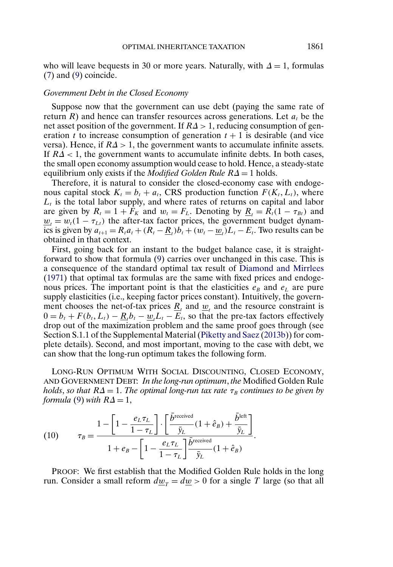<span id="page-10-0"></span>who will leave bequests in 30 or more years. Naturally, with  $\Delta = 1$ , formulas [\(7\)](#page-6-0) and [\(9\)](#page-9-0) coincide.

### *Government Debt in the Closed Economy*

Suppose now that the government can use debt (paying the same rate of return R) and hence can transfer resources across generations. Let  $a_t$  be the net asset position of the government. If  $R\Delta > 1$ , reducing consumption of generation t to increase consumption of generation  $t + 1$  is desirable (and vice versa). Hence, if  $R\Delta > 1$ , the government wants to accumulate infinite assets. If  $R\Delta < 1$ , the government wants to accumulate infinite debts. In both cases, the small open economy assumption would cease to hold. Hence, a steady-state equilibrium only exists if the *Modified Golden Rule* RΔ = 1 holds.

Therefore, it is natural to consider the closed-economy case with endogenous capital stock  $K_t = b_t + a_t$ , CRS production function  $F(K_t, L_t)$ , where  $L<sub>t</sub>$  is the total labor supply, and where rates of returns on capital and labor are given by  $R_t = 1 + F_K$  and  $w_t = F_L$ . Denoting by  $\underline{R}_t = R_t(1 - \tau_{Bt})$  and  $\underline{w}_t = w_t(1 - \tau_{Lt})$  the after-tax factor prices, the government budget dynamics is given by  $a_{t+1} = R_t a_t + (R_t - \underline{R}_t) \overline{b}_t + (w_t - \underline{w}_t) L_t - E_t$ . Two results can be obtained in that context.

First, going back for an instant to the budget balance case, it is straightforward to show that formula [\(9\)](#page-9-0) carries over unchanged in this case. This is a consequence of the standard optimal tax result of [Diamond and Mirrlees](#page-34-0) [\(1971\)](#page-34-0) that optimal tax formulas are the same with fixed prices and endogenous prices. The important point is that the elasticities  $e_B$  and  $e_L$  are pure supply elasticities (i.e., keeping factor prices constant). Intuitively, the government chooses the net-of-tax prices  $\underline{R}_t$  and  $\underline{w}_t$  and the resource constraint is  $0 = b_t + F(b_t, L_t) - \underline{R}_t b_t - \underline{w}_t L_t - E_t$ , so that the pre-tax factors effectively drop out of the maximization problem and the same proof goes through (see Section S.1.1 of the Supplemental Material [\(Piketty and Saez](#page-34-0) [\(2013b\)](#page-34-0)) for complete details). Second, and most important, moving to the case with debt, we can show that the long-run optimum takes the following form.

LONG-RUN OPTIMUM WITH SOCIAL DISCOUNTING, CLOSED ECONOMY, AND GOVERNMENT DEBT: *In the long-run optimum*, *the* Modified Golden Rule *holds, so that*  $R\Delta = 1$ *. The optimal long-run tax rate*  $\tau_B$  *continues to be given by formula* [\(9\)](#page-9-0) *with*  $R\Delta = 1$ ,

(10) 
$$
\tau_B = \frac{1 - \left[1 - \frac{e_L \tau_L}{1 - \tau_L}\right] \cdot \left[\frac{\bar{b}^{\text{received}}}{\bar{y}_L}(1 + \hat{e}_B) + \frac{\bar{b}^{\text{left}}}{\bar{y}_L}\right] \cdot \left[\frac{\bar{y}_L}{1 - \tau_L}\right] \cdot \left[\frac{\bar{y}_L}{\bar{y}_L}(1 + \hat{e}_B) + \frac{\bar{y}_L}{\bar{y}_L}\right] \cdot \left[\frac{\bar{y}_L}{1 - \tau_L}\right] \cdot \left[\frac{\bar{y}_L}{\bar{y}_L}(1 + \hat{e}_B) + \frac{\bar{y}_L}{\bar{y}_L}\right] \cdot \left[\frac{\bar{y}_L}{\bar{y}_L}\right] \cdot \left[\frac{\bar{y}_L}{\bar{y}_L}\right] \cdot \left[\frac{\bar{y}_L}{\bar{y}_L}\right] \cdot \left[\frac{\bar{y}_L}{\bar{y}_L}\right] \cdot \left[\frac{\bar{y}_L}{\bar{y}_L}\right] \cdot \left[\frac{\bar{y}_L}{\bar{y}_L}\right] \cdot \left[\frac{\bar{y}_L}{\bar{y}_L}\right] \cdot \left[\frac{\bar{y}_L}{\bar{y}_L}\right] \cdot \left[\frac{\bar{y}_L}{\bar{y}_L}\right] \cdot \left[\frac{\bar{y}_L}{\bar{y}_L}\right] \cdot \left[\frac{\bar{y}_L}{\bar{y}_L}\right] \cdot \left[\frac{\bar{y}_L}{\bar{y}_L}\right] \cdot \left[\frac{\bar{y}_L}{\bar{y}_L}\right] \cdot \left[\frac{\bar{y}_L}{\bar{y}_L}\right] \cdot \left[\frac{\bar{y}_L}{\bar{y}_L}\right] \cdot \left[\frac{\bar{y}_L}{\bar{y}_L}\right] \cdot \left[\frac{\bar{y}_L}{\bar{y}_L}\right] \cdot \left[\frac{\bar{y}_L}{\bar{y}_L}\right] \cdot \left[\frac{\bar{y}_L}{\bar{y}_L}\right] \cdot \left[\frac{\bar{y}_L}{\bar{y}_L}\right] \cdot \left[\frac{\bar{y}_L}{\bar{y}_L}\right] \cdot \left[\frac{\bar{y}_L}{\bar{y}_L}\right] \cdot \left[\frac{\bar{y}_L}{\bar{y}_L}\right] \cdot \left[\frac{\bar{y}_L}{\bar{y}_L}\right] \
$$

PROOF: We first establish that the Modified Golden Rule holds in the long run. Consider a small reform  $dw_T = dw > 0$  for a single T large (so that all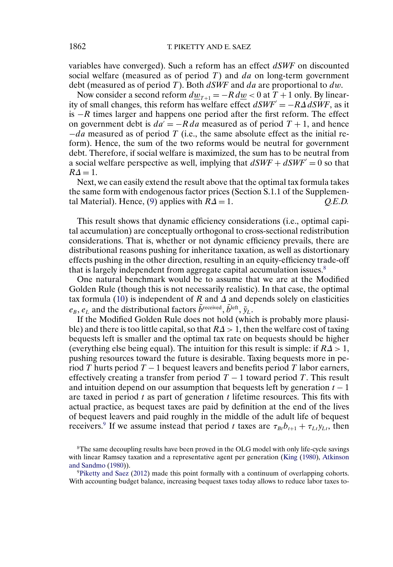variables have converged). Such a reform has an effect d*SWF* on discounted social welfare (measured as of period  $T$ ) and  $da$  on long-term government debt (measured as of period T). Both d*SWF* and da are proportional to dw.

Now consider a second reform  $dw_{T+1} = -R dw < 0$  at  $T + 1$  only. By linearity of small changes, this reform has welfare effect  $dSWF' = -R\Delta dSWF$ , as it is  $-R$  times larger and happens one period after the first reform. The effect on government debt is  $da' = -R da$  measured as of period  $T + 1$ , and hence  $-da$  measured as of period T (i.e., the same absolute effect as the initial reform). Hence, the sum of the two reforms would be neutral for government debt. Therefore, if social welfare is maximized, the sum has to be neutral from a social welfare perspective as well, implying that  $dSWF + dSWF' = 0$  so that  $R\Delta = 1$ .

Next, we can easily extend the result above that the optimal tax formula takes the same form with endogenous factor prices (Section S.1.1 of the Supplemen-tal Material). Hence, [\(9\)](#page-9-0) applies with  $R\Delta = 1$ .  $Q.E.D.$ 

This result shows that dynamic efficiency considerations (i.e., optimal capital accumulation) are conceptually orthogonal to cross-sectional redistribution considerations. That is, whether or not dynamic efficiency prevails, there are distributional reasons pushing for inheritance taxation, as well as distortionary effects pushing in the other direction, resulting in an equity-efficiency trade-off that is largely independent from aggregate capital accumulation issues.<sup>8</sup>

One natural benchmark would be to assume that we are at the Modified Golden Rule (though this is not necessarily realistic). In that case, the optimal tax formula [\(10\)](#page-10-0) is independent of R and  $\Delta$  and depends solely on elasticities  $e_B, e_L$  and the distributional factors  $b^{\text{received}}, b^{\text{left}}, \bar{y}_L$ .

If the Modified Golden Rule does not hold (which is probably more plausible) and there is too little capital, so that  $R\Delta > 1$ , then the welfare cost of taxing bequests left is smaller and the optimal tax rate on bequests should be higher (everything else being equal). The intuition for this result is simple: if  $R\Delta > 1$ , pushing resources toward the future is desirable. Taxing bequests more in period T hurts period  $T - 1$  bequest leavers and benefits period T labor earners, effectively creating a transfer from period  $T - 1$  toward period T. This result and intuition depend on our assumption that bequests left by generation  $t - 1$ are taxed in period  $t$  as part of generation  $t$  lifetime resources. This fits with actual practice, as bequest taxes are paid by definition at the end of the lives of bequest leavers and paid roughly in the middle of the adult life of bequest receivers.<sup>9</sup> If we assume instead that period t taxes are  $\tau_{Bt}b_{t+1} + \tau_{Lt}y_{Lt}$ , then

<sup>&</sup>lt;sup>8</sup>The same decoupling results have been proved in the OLG model with only life-cycle savings with linear Ramsey taxation and a representative agent per generation [\(King](#page-34-0) [\(1980\)](#page-34-0), [Atkinson](#page-34-0) [and Sandmo](#page-34-0) [\(1980\)](#page-34-0)).

[<sup>9</sup>Piketty and Saez](#page-34-0) [\(2012\)](#page-34-0) made this point formally with a continuum of overlapping cohorts. With accounting budget balance, increasing bequest taxes today allows to reduce labor taxes to-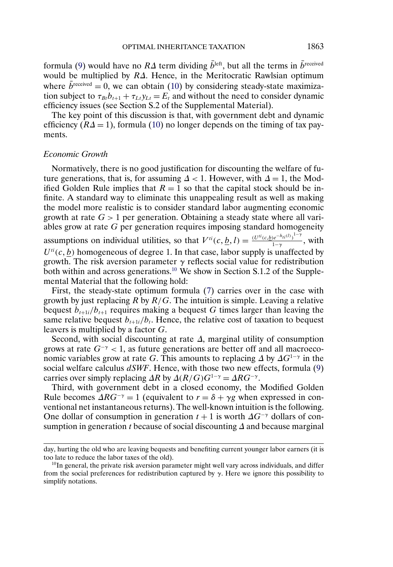<span id="page-12-0"></span>formula [\(9\)](#page-9-0) would have no  $R\Delta$  term dividing  $\bar{b}^{\text{left}}$ , but all the terms in  $\bar{b}^{\text{received}}$ would be multiplied by RΔ. Hence, in the Meritocratic Rawlsian optimum where  $b^{\text{received}} = 0$ , we can obtain [\(10\)](#page-10-0) by considering steady-state maximization subject to  $\tau_{Bt}b_{t+1} + \tau_{Lt}y_{Lt} = E_t$  and without the need to consider dynamic efficiency issues (see Section S.2 of the Supplemental Material).

The key point of this discussion is that, with government debt and dynamic efficiency  $(R\Delta = 1)$ , formula [\(10\)](#page-10-0) no longer depends on the timing of tax payments.

## *Economic Growth*

Normatively, there is no good justification for discounting the welfare of future generations, that is, for assuming  $\Delta < 1$ . However, with  $\Delta = 1$ , the Modified Golden Rule implies that  $R = 1$  so that the capital stock should be infinite. A standard way to eliminate this unappealing result as well as making the model more realistic is to consider standard labor augmenting economic growth at rate  $G > 1$  per generation. Obtaining a steady state where all variables grow at rate G per generation requires imposing standard homogeneity assumptions on individual utilities, so that  $V^{ti}(c, \underline{b}, l) = \frac{(U^{ti}(c, \underline{b})e^{-h_{ti}(l)})^{1-\gamma}}{1-\gamma}$ , with  $U^{t}(c, b)$  homogeneous of degree 1. In that case, labor supply is unaffected by growth. The risk aversion parameter  $\gamma$  reflects social value for redistribution both within and across generations.<sup>10</sup> We show in Section S.1.2 of the Supplemental Material that the following hold:

First, the steady-state optimum formula [\(7\)](#page-6-0) carries over in the case with growth by just replacing  $R$  by  $R/G$ . The intuition is simple. Leaving a relative bequest  $b_{t+1i}/b_{t+1}$  requires making a bequest G times larger than leaving the same relative bequest  $b_{t+1i}/b_t$ . Hence, the relative cost of taxation to bequest leavers is multiplied by a factor G.

Second, with social discounting at rate  $\Delta$ , marginal utility of consumption grows at rate  $G^{-\gamma}$  < 1, as future generations are better off and all macroeconomic variables grow at rate G. This amounts to replacing  $\Delta$  by  $\Delta G^{1-\gamma}$  in the social welfare calculus d*SWF*. Hence, with those two new effects, formula [\(9\)](#page-9-0) carries over simply replacing  $\Delta R$  by  $\Delta (R/G)G^{1-\gamma} = \Delta RG^{-\gamma}$ .

Third, with government debt in a closed economy, the Modified Golden Rule becomes  $\Delta RG^{-\gamma} = 1$  (equivalent to  $r = \delta + \gamma g$  when expressed in conventional net instantaneous returns). The well-known intuition is the following. One dollar of consumption in generation  $t + 1$  is worth  $\Delta G^{-\gamma}$  dollars of consumption in generation t because of social discounting  $\Delta$  and because marginal

day, hurting the old who are leaving bequests and benefiting current younger labor earners (it is too late to reduce the labor taxes of the old).

<sup>&</sup>lt;sup>10</sup>In general, the private risk aversion parameter might well vary across individuals, and differ from the social preferences for redistribution captured by  $\gamma$ . Here we ignore this possibility to simplify notations.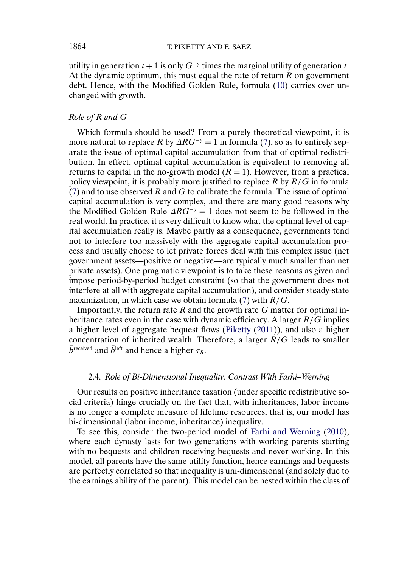utility in generation  $t + 1$  is only  $G^{-\gamma}$  times the marginal utility of generation t. At the dynamic optimum, this must equal the rate of return  $R$  on government debt. Hence, with the Modified Golden Rule, formula [\(10\)](#page-10-0) carries over unchanged with growth.

# *Role of* R *and* G

Which formula should be used? From a purely theoretical viewpoint, it is more natural to replace R by  $\Delta RG^{-\gamma} = 1$  in formula [\(7\)](#page-6-0), so as to entirely separate the issue of optimal capital accumulation from that of optimal redistribution. In effect, optimal capital accumulation is equivalent to removing all returns to capital in the no-growth model  $(R = 1)$ . However, from a practical policy viewpoint, it is probably more justified to replace  $R$  by  $R/G$  in formula [\(7\)](#page-6-0) and to use observed  $R$  and  $G$  to calibrate the formula. The issue of optimal capital accumulation is very complex, and there are many good reasons why the Modified Golden Rule  $\Delta RG^{-\gamma} = 1$  does not seem to be followed in the real world. In practice, it is very difficult to know what the optimal level of capital accumulation really is. Maybe partly as a consequence, governments tend not to interfere too massively with the aggregate capital accumulation process and usually choose to let private forces deal with this complex issue (net government assets—positive or negative—are typically much smaller than net private assets). One pragmatic viewpoint is to take these reasons as given and impose period-by-period budget constraint (so that the government does not interfere at all with aggregate capital accumulation), and consider steady-state maximization, in which case we obtain formula [\(7\)](#page-6-0) with  $R/G$ .

Importantly, the return rate  $R$  and the growth rate  $G$  matter for optimal inheritance rates even in the case with dynamic efficiency. A larger  $R/G$  implies a higher level of aggregate bequest flows [\(Piketty](#page-34-0) [\(2011\)](#page-34-0)), and also a higher concentration of inherited wealth. Therefore, a larger  $R/G$  leads to smaller  $\bar{b}^{\text{received}}$  and  $\bar{b}^{\text{left}}$  and hence a higher  $\tau_B$ .

## 2.4. *Role of Bi-Dimensional Inequality: Contrast With Farhi–Werning*

Our results on positive inheritance taxation (under specific redistributive social criteria) hinge crucially on the fact that, with inheritances, labor income is no longer a complete measure of lifetime resources, that is, our model has bi-dimensional (labor income, inheritance) inequality.

To see this, consider the two-period model of [Farhi and Werning](#page-34-0) [\(2010\)](#page-34-0), where each dynasty lasts for two generations with working parents starting with no bequests and children receiving bequests and never working. In this model, all parents have the same utility function, hence earnings and bequests are perfectly correlated so that inequality is uni-dimensional (and solely due to the earnings ability of the parent). This model can be nested within the class of

<span id="page-13-0"></span>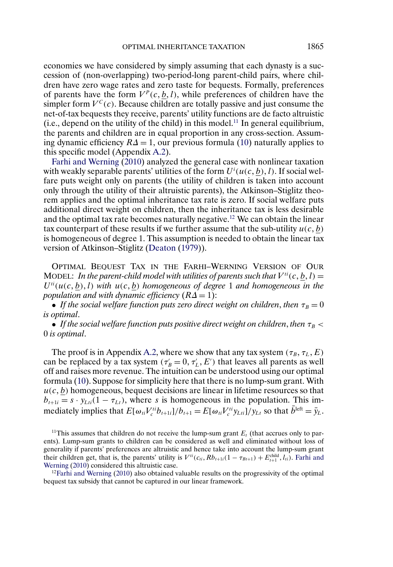<span id="page-14-0"></span>economies we have considered by simply assuming that each dynasty is a succession of (non-overlapping) two-period-long parent-child pairs, where children have zero wage rates and zero taste for bequests. Formally, preferences of parents have the form  $V^p(c, \underline{b}, l)$ , while preferences of children have the simpler form  $V^C(c)$ . Because children are totally passive and just consume the net-of-tax bequests they receive, parents' utility functions are de facto altruistic (i.e., depend on the utility of the child) in this model.<sup>11</sup> In general equilibrium, the parents and children are in equal proportion in any cross-section. Assuming dynamic efficiency  $R\Delta = 1$ , our previous formula [\(10\)](#page-10-0) naturally applies to this specific model (Appendix [A.2\)](#page-31-0).

[Farhi and Werning](#page-34-0) [\(2010\)](#page-34-0) analyzed the general case with nonlinear taxation with weakly separable parents' utilities of the form  $U^{i}(u(c, \underline{b}), l)$ . If social welfare puts weight only on parents (the utility of children is taken into account only through the utility of their altruistic parents), the Atkinson–Stiglitz theorem applies and the optimal inheritance tax rate is zero. If social welfare puts additional direct weight on children, then the inheritance tax is less desirable and the optimal tax rate becomes naturally negative.12 We can obtain the linear tax counterpart of these results if we further assume that the sub-utility  $u(c, b)$ is homogeneous of degree 1. This assumption is needed to obtain the linear tax version of Atkinson–Stiglitz [\(Deaton](#page-34-0) [\(1979\)](#page-34-0)).

OPTIMAL BEQUEST TAX IN THE FARHI–WERNING VERSION OF OUR MODEL: In the parent-child model with utilities of parents such that  $V^{ti}(c, \underline{b}, l) =$  $U^{ti}(u(c, \underline{b}), l)$  with  $u(c, \underline{b})$  homogeneous of degree 1 and homogeneous in the *population and with dynamic efficiency*  $(R\Delta = 1)$ :

• *If the social welfare function puts zero direct weight on children, then*  $\tau_B = 0$ *is optimal*.

• *If the social welfare function puts positive direct weight on children, then*  $\tau_B$  < 0 *is optimal*.

The proof is in Appendix [A.2,](#page-31-0) where we show that any tax system  $(\tau_B, \tau_L, E)$ can be replaced by a tax system ( $\tau'_B = 0, \tau'_L, E'$ ) that leaves all parents as well off and raises more revenue. The intuition can be understood using our optimal formula [\(10\)](#page-10-0). Suppose for simplicity here that there is no lump-sum grant. With  $u(c, b)$  homogeneous, bequest decisions are linear in lifetime resources so that  $b_{t+1i} = s \cdot y_{\text{L}ti}(1 - \tau_{\text{L}t})$ , where s is homogeneous in the population. This immediately implies that  $E[\omega_{ti}V_i^{ti}b_{t+1i}]/b_{t+1} = E[\omega_{ti}V_i^{ti}y_{Lti}]/y_{Lt}$  so that  $b^{left} = \bar{y}_L$ .

<sup>11</sup>This assumes that children do not receive the lump-sum grant  $E_t$  (that accrues only to parents). Lump-sum grants to children can be considered as well and eliminated without loss of generality if parents' preferences are altruistic and hence take into account the lump-sum grant their children get, that is, the parents' utility is  $V^{ti}(c_{ti}, Rb_{t+1i}(1 - \tau_{Bt+1}) + E_{t+1}^{\text{child}}, l_{ti})$ . [Farhi and](#page-34-0) [Werning](#page-34-0) [\(2010\)](#page-34-0) considered this altruistic case.

 $12$ Farhi and Werning [\(2010\)](#page-34-0) also obtained valuable results on the progressivity of the optimal bequest tax subsidy that cannot be captured in our linear framework.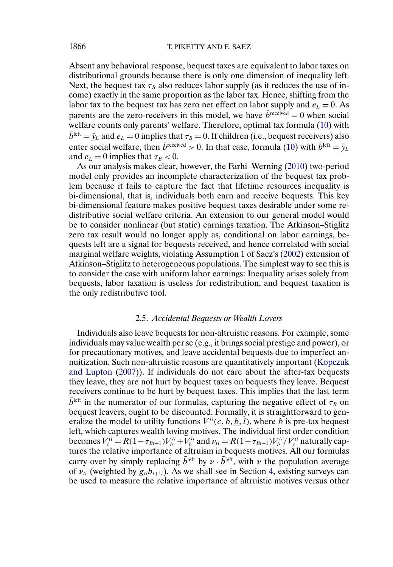<span id="page-15-0"></span>Absent any behavioral response, bequest taxes are equivalent to labor taxes on distributional grounds because there is only one dimension of inequality left. Next, the bequest tax  $\tau_B$  also reduces labor supply (as it reduces the use of income) exactly in the same proportion as the labor tax. Hence, shifting from the labor tax to the bequest tax has zero net effect on labor supply and  $e_L = 0$ . As parents are the zero-receivers in this model, we have  $b^{\text{received}} = 0$  when social welfare counts only parents' welfare. Therefore, optimal tax formula [\(10\)](#page-10-0) with  $\bar{b}^{\text{left}} = \bar{y}_L$  and  $e_L = 0$  implies that  $\tau_B = 0$ . If children (i.e., bequest receivers) also enter social welfare, then  $\bar{b}^{\text{received}} > 0$ . In that case, formula [\(10\)](#page-10-0) with  $\bar{b}^{\text{left}} = \bar{y}_L$ and  $e_L = 0$  implies that  $\tau_B < 0$ .

As our analysis makes clear, however, the Farhi–Werning [\(2010\)](#page-34-0) two-period model only provides an incomplete characterization of the bequest tax problem because it fails to capture the fact that lifetime resources inequality is bi-dimensional, that is, individuals both earn and receive bequests. This key bi-dimensional feature makes positive bequest taxes desirable under some redistributive social welfare criteria. An extension to our general model would be to consider nonlinear (but static) earnings taxation. The Atkinson–Stiglitz zero tax result would no longer apply as, conditional on labor earnings, bequests left are a signal for bequests received, and hence correlated with social marginal welfare weights, violating Assumption 1 of Saez's [\(2002\)](#page-35-0) extension of Atkinson–Stiglitz to heterogeneous populations. The simplest way to see this is to consider the case with uniform labor earnings: Inequality arises solely from bequests, labor taxation is useless for redistribution, and bequest taxation is the only redistributive tool.

## 2.5. *Accidental Bequests or Wealth Lovers*

Individuals also leave bequests for non-altruistic reasons. For example, some individuals may value wealth per se (e.g., it brings social prestige and power), or for precautionary motives, and leave accidental bequests due to imperfect annuitization. Such non-altruistic reasons are quantitatively important [\(Kopczuk](#page-34-0) [and Lupton](#page-34-0) [\(2007\)](#page-34-0)). If individuals do not care about the after-tax bequests they leave, they are not hurt by bequest taxes on bequests they leave. Bequest receivers continue to be hurt by bequest taxes. This implies that the last term  $\bar{b}^{\text{left}}$  in the numerator of our formulas, capturing the negative effect of  $\tau_B$  on bequest leavers, ought to be discounted. Formally, it is straightforward to generalize the model to utility functions  $V^{ti}(c, b, \underline{b}, l)$ , where b is pre-tax bequest left, which captures wealth loving motives. The individual first order condition becomes  $V_c^{ti} = R(1 - \tau_{Bt+1})V_b^{ti} + V_b^{ti}$  and  $\nu_{ti} = R(1 - \tau_{Bt+1})V_b^{ti}/V_c^{ti}$  naturally captures the relative importance of altruism in bequests motives. All our formulas carry over by simply replacing  $\bar{b}^{\text{left}}$  by  $\nu \cdot \bar{b}^{\text{left}}$ , with  $\nu$  the population average of  $\nu_{ti}$  (weighted by  $g_{ti}b_{t+1i}$ ). As we shall see in Section [4,](#page-22-0) existing surveys can be used to measure the relative importance of altruistic motives versus other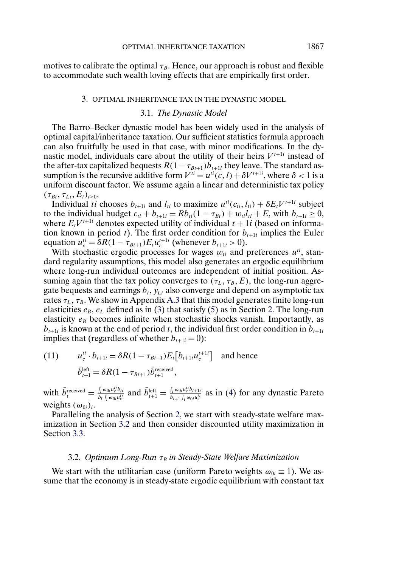<span id="page-16-0"></span>motives to calibrate the optimal  $\tau_B$ . Hence, our approach is robust and flexible to accommodate such wealth loving effects that are empirically first order.

#### 3. OPTIMAL INHERITANCE TAX IN THE DYNASTIC MODEL

### 3.1. *The Dynastic Model*

The Barro–Becker dynastic model has been widely used in the analysis of optimal capital/inheritance taxation. Our sufficient statistics formula approach can also fruitfully be used in that case, with minor modifications. In the dynastic model, individuals care about the utility of their heirs  $V^{t+1i}$  instead of the after-tax capitalized bequests  $R(1 - \tau_{Bt+1})\overline{b}_{t+1i}$  they leave. The standard assumption is the recursive additive form  $V^{ti} = u^{ti}(c, l) + \delta V^{t+1i}$ , where  $\delta < 1$  is a uniform discount factor. We assume again a linear and deterministic tax policy  $(\tau_{Bt}, \tau_{Lt}, E_t)_{t\geq 0}.$ 

Individual ti chooses  $b_{t+1i}$  and  $l_{ti}$  to maximize  $u^{ti}(c_{ti}, l_{ti}) + \delta E_t V^{t+1i}$  subject to the individual budget  $c_{ti} + b_{t+1i} = Rb_{ti}(1 - \tau_{Bt}) + w_{ti}l_{ti} + E_t$  with  $b_{t+1i} \ge 0$ , where  $E_t V^{t+1i}$  denotes expected utility of individual  $t + 1i$  (based on information known in period t). The first order condition for  $b_{t+1i}$  implies the Euler equation  $u_c^{ti} = \delta R (1 - \tau_{Bt+1}) E_t u_c^{t+1i}$  (whenever  $b_{t+1i} > 0$ ).

With stochastic ergodic processes for wages  $w_{ti}$  and preferences  $u^{ti}$ , standard regularity assumptions, this model also generates an ergodic equilibrium where long-run individual outcomes are independent of initial position. Assuming again that the tax policy converges to  $(\tau_L, \tau_B, E)$ , the long-run aggregate bequests and earnings  $b_t$ ,  $y_{Lt}$  also converge and depend on asymptotic tax rates  $\tau_L, \tau_B.$  We show in Appendix [A.3](#page-31-0) that this model generates finite long-run elasticities  $e_B$ ,  $e_L$  defined as in [\(3\)](#page-4-0) that satisfy [\(5\)](#page-5-0) as in Section [2.](#page-2-0) The long-run elasticity  $e_B$  becomes infinite when stochastic shocks vanish. Importantly, as  $b_{t+1i}$  is known at the end of period t, the individual first order condition in  $b_{t+1i}$ implies that (regardless of whether  $b_{t+1i} = 0$ ):

(11) 
$$
u_c^{ti} \cdot b_{t+1i} = \delta R (1 - \tau_{Bt+1}) E_t [b_{t+1i} u_c^{t+1i}] \text{ and hence}
$$

$$
\bar{b}_{t+1}^{\text{left}} = \delta R (1 - \tau_{Bt+1}) \bar{b}_{t+1}^{\text{received}},
$$

with  $\bar{b}^{\text{received}}_t = \frac{\int_i \omega_{0i} u^{ti}_c b_{ti}}{b_t \int_i \omega_{0i} u^{ti}_c}$  $\frac{\int_i \omega_{0i} u_c^{ti} b_{ti}}{b_t \int_i \omega_{0i} u_c^{ti}}$  and  $\bar{b}$ <sup>left</sup> $_{t+1} = \frac{\int_i \omega_{0i} u_c^{ti} b_{t+1}}{b_{t+1} \int_i \omega_{0i} u_c^{ti}}$  $\frac{\partial i}{\partial b} \frac{\omega_{0i} u_c^2 \partial t + 1}{\omega_{0i} u_c^2}$  as in [\(4\)](#page-5-0) for any dynastic Pareto weights  $(\omega_{0i})_i$ .

Paralleling the analysis of Section [2,](#page-2-0) we start with steady-state welfare maximization in Section 3.2 and then consider discounted utility maximization in Section [3.3.](#page-19-0)

### 3.2. *Optimum Long-Run* τ<sub>B</sub> in Steady-State Welfare Maximization

We start with the utilitarian case (uniform Pareto weights  $\omega_{0i} \equiv 1$ ). We assume that the economy is in steady-state ergodic equilibrium with constant tax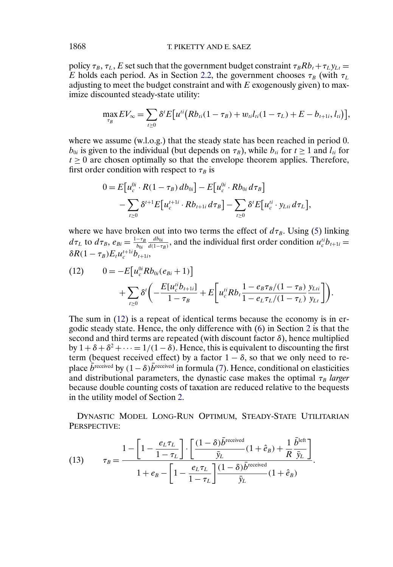<span id="page-17-0"></span>policy  $\tau_B$ ,  $\tau_L$ , E set such that the government budget constraint  $\tau_B R b_t + \tau_L y_{Lt} =$ E holds each period. As in Section [2.2,](#page-3-0) the government chooses  $\tau_B$  (with  $\tau_L$ ) adjusting to meet the budget constraint and with  $E$  exogenously given) to maximize discounted steady-state utility:

$$
\max_{\tau_B} E V_{\infty} = \sum_{t \ge 0} \delta^t E\big[ u^{ti} \big( R b_{ti} (1 - \tau_B) + w_{ti} l_{ti} (1 - \tau_L) + E - b_{t+1i}, l_{ti} \big) \big],
$$

where we assume (w.l.o.g.) that the steady state has been reached in period 0.  $b_{0i}$  is given to the individual (but depends on  $\tau_B$ ), while  $b_{ti}$  for  $t \ge 1$  and  $l_{ti}$  for  $t \geq 0$  are chosen optimally so that the envelope theorem applies. Therefore, first order condition with respect to  $\tau_B$  is

$$
0 = E[u_c^{0i} \cdot R(1 - \tau_B) db_{0i}] - E[u_c^{0i} \cdot Rb_{0i} d\tau_B]
$$
  
- 
$$
\sum_{t \ge 0} \delta^{t+1} E[u_c^{t+1i} \cdot Rb_{t+1i} d\tau_B] - \sum_{t \ge 0} \delta^t E[u_c^{ti} \cdot y_{Lti} d\tau_L],
$$

where we have broken out into two terms the effect of  $d\tau_B$ . Using [\(5\)](#page-5-0) linking  $d\tau_L$  to  $d\tau_B$ ,  $e_{Bi} = \frac{1-\tau_B}{b_{0i}}$  $\frac{db_{0i}}{d(1-\tau_B)}$ , and the individual first order condition  $u_c^{ti}b_{t+1i} =$  $\delta R(1-\tau_B)E_t u_c^{t+1i}b_{t+1i},$ 

(12) 
$$
0 = -E[u_c^{0i} R b_{0i} (e_{Bi} + 1)] + \sum_{t \ge 0} \delta^t \left( -\frac{E[u_c^{ti} b_{t+1i}]}{1 - \tau_B} + E\left[u_c^{ti} R b_t \frac{1 - e_B \tau_B/(1 - \tau_B)}{1 - e_L \tau_L/(1 - \tau_L)} \frac{y_{Li}}{y_{Lt}}\right] \right).
$$

The sum in (12) is a repeat of identical terms because the economy is in ergodic steady state. Hence, the only difference with [\(6\)](#page-5-0) in Section [2](#page-2-0) is that the second and third terms are repeated (with discount factor  $\delta$ ), hence multiplied by  $1+\delta+\delta^2+\cdots=1/(1-\delta)$ . Hence, this is equivalent to discounting the first term (bequest received effect) by a factor  $1 - \delta$ , so that we only need to replace  $\bar{b}^{\text{received}}$  by  $(1-\delta)\bar{b}^{\text{received}}$  in formula [\(7\)](#page-6-0). Hence, conditional on elasticities and distributional parameters, the dynastic case makes the optimal  $\tau_B$  *larger* because double counting costs of taxation are reduced relative to the bequests in the utility model of Section [2.](#page-2-0)

DYNASTIC MODEL LONG-RUN OPTIMUM, STEADY-STATE UTILITARIAN PERSPECTIVE:

(13) 
$$
\tau_B = \frac{1 - \left[1 - \frac{e_L \tau_L}{1 - \tau_L}\right] \cdot \left[\frac{(1 - \delta)\bar{b}^{\text{received}}}{\bar{y}_L}(1 + \hat{e}_B) + \frac{1}{R} \frac{\bar{b}^{\text{left}}}{\bar{y}_L}\right] + e_B - \left[1 - \frac{e_L \tau_L}{1 - \tau_L}\right] \frac{(1 - \delta)\bar{b}^{\text{received}}}{\bar{y}_L}(1 + \hat{e}_B).
$$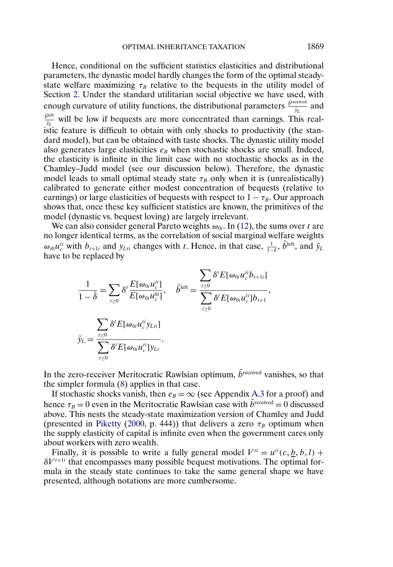Hence, conditional on the sufficient statistics elasticities and distributional parameters, the dynastic model hardly changes the form of the optimal steadystate welfare maximizing  $\tau_B$  relative to the bequests in the utility model of Section [2.](#page-2-0) Under the standard utilitarian social objective we have used, with enough curvature of utility functions, the distributional parameters  $\frac{\bar{b}^\text{received}}{\bar{y}_L}$  and  $\frac{\bar{b}^{\text{left}}}{\bar{y}_L}$  will be low if bequests are more concentrated than earnings. This realistic feature is difficult to obtain with only shocks to productivity (the standard model), but can be obtained with taste shocks. The dynastic utility model also generates large elasticities  $e_B$  when stochastic shocks are small. Indeed, the elasticity is infinite in the limit case with no stochastic shocks as in the Chamley–Judd model (see our discussion below). Therefore, the dynastic model leads to small optimal steady state  $\tau_B$  only when it is (unrealistically) calibrated to generate either modest concentration of bequests (relative to earnings) or large elasticities of bequests with respect to  $1 - \tau_B$ . Our approach shows that, once these key sufficient statistics are known, the primitives of the model (dynastic vs. bequest loving) are largely irrelevant.

We can also consider general Pareto weights  $\omega_{0i}$ . In [\(12\)](#page-17-0), the sums over t are no longer identical terms, as the correlation of social marginal welfare weights  $\omega_{i0}u_i^{ti}$  with  $b_{t+1i}$  and  $y_{Lti}$  changes with t. Hence, in that case,  $\frac{1}{1-\delta}$ ,  $\bar{b}^{\text{left}}$ , and  $\bar{y}_L$ have to be replaced by

$$
\frac{1}{1-\bar{\delta}} = \sum_{t\geq 0} \delta^t \frac{E[\omega_{0i} u_c^{ti}]}{E[\omega_{0i} u_c^{0i}]}, \quad \bar{b}^{\text{left}} = \frac{\sum_{t\geq 0} \delta^t E[\omega_{0i} u_c^{ti} b_{t+1i}]}{\sum_{t\geq 0} \delta^t E[\omega_{0i} u_c^{ti} b_{t+1}]},
$$

$$
\bar{y}_L = \frac{\sum_{t\geq 0} \delta^t E[\omega_{0i} u_c^{ti} y_{Lti}]}{\sum_{t\geq 0} \delta^t E[\omega_{0i} u_c^{ti} y_{Lt}]}.
$$

In the zero-receiver Meritocratic Rawlsian optimum,  $\bar{b}^{\text{received}}$  vanishes, so that the simpler formula [\(8\)](#page-8-0) applies in that case.

If stochastic shocks vanish, then  $e_B = \infty$  (see Appendix [A.3](#page-31-0) for a proof) and hence  $\tau_B = 0$  even in the Meritocratic Rawlsian case with  $\bar{b}^{\text{received}} = 0$  discussed above. This nests the steady-state maximization version of Chamley and Judd (presented in [Piketty](#page-34-0) [\(2000,](#page-34-0) p. 444)) that delivers a zero  $\tau_B$  optimum when the supply elasticity of capital is infinite even when the government cares only about workers with zero wealth.

Finally, it is possible to write a fully general model  $V^{ti} = u^{ti}(c, b, b, l) +$  $\delta V^{t+1i}$  that encompasses many possible bequest motivations. The optimal formula in the steady state continues to take the same general shape we have presented, although notations are more cumbersome.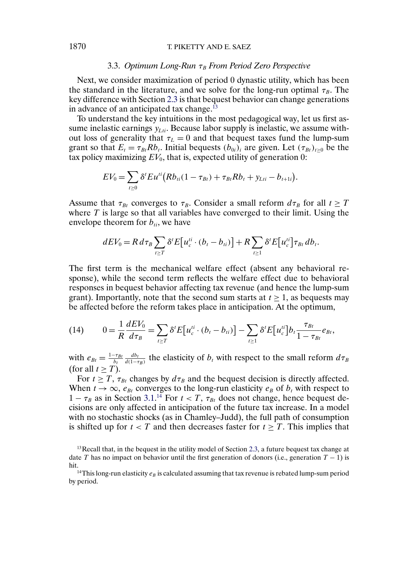## <span id="page-19-0"></span>1870 T. PIKETTY AND E. SAEZ

## 3.3. *Optimum Long-Run* τ<sub>B</sub> From Period Zero Perspective

Next, we consider maximization of period 0 dynastic utility, which has been the standard in the literature, and we solve for the long-run optimal  $\tau_B$ . The key difference with Section [2.3](#page-8-0) is that bequest behavior can change generations in advance of an anticipated tax change.<sup>13</sup>

To understand the key intuitions in the most pedagogical way, let us first assume inelastic earnings  $y_{Lti}$ . Because labor supply is inelastic, we assume without loss of generality that  $\tau_L = 0$  and that bequest taxes fund the lump-sum grant so that  $E_t = \tau_{Bt} R b_t$ . Initial bequests  $(b_{0i})_i$  are given. Let  $(\tau_{Bt})_{t>0}$  be the tax policy maximizing  $EV_0$ , that is, expected utility of generation 0:

$$
EV_0 = \sum_{t \geq 0} \delta^t E u^{ti} (R b_{ti} (1 - \tau_{Bt}) + \tau_{Bt} R b_t + y_{Lti} - b_{t+1i}).
$$

Assume that  $\tau_{Bt}$  converges to  $\tau_B$ . Consider a small reform  $d\tau_B$  for all  $t \geq T$ where  $T$  is large so that all variables have converged to their limit. Using the envelope theorem for  $b_{ti}$ , we have

$$
dEV_0 = R d\tau_B \sum_{t \geq T} \delta^t E[u_c^{ti} \cdot (b_t - b_{ti})] + R \sum_{t \geq 1} \delta^t E[u_c^{ti}] \tau_{Bt} db_t.
$$

The first term is the mechanical welfare effect (absent any behavioral response), while the second term reflects the welfare effect due to behavioral responses in bequest behavior affecting tax revenue (and hence the lump-sum grant). Importantly, note that the second sum starts at  $t \geq 1$ , as bequests may be affected before the reform takes place in anticipation. At the optimum,

(14) 
$$
0 = \frac{1}{R} \frac{dEV_0}{d\tau_B} = \sum_{t \ge T} \delta^t E[u_c^{ti} \cdot (b_t - b_{ti})] - \sum_{t \ge 1} \delta^t E[u_c^{ti}] b_t \frac{\tau_{Bt}}{1 - \tau_{Bt}} e_{Bt},
$$

with  $e_{Bt} = \frac{1-\tau_{Bt}}{b_t}$  $\frac{db_t}{d(1-\tau_B)}$  the elasticity of  $b_t$  with respect to the small reform  $d\tau_B$ (for all  $t \geq T$ ).

For  $t \geq T$ ,  $\tau_{Bt}$  changes by  $d\tau_B$  and the bequest decision is directly affected. When  $t \to \infty$ ,  $e_{Bt}$  converges to the long-run elasticity  $e_B$  of  $b_t$  with respect to  $1 - \tau_B$  as in Section [3.1.](#page-16-0)<sup>[14](#page-16-0)</sup> For  $t < T$ ,  $\tau_{Bt}$  does not change, hence bequest decisions are only affected in anticipation of the future tax increase. In a model with no stochastic shocks (as in Chamley–Judd), the full path of consumption is shifted up for  $t < T$  and then decreases faster for  $t \geq T$ . This implies that

 $<sup>13</sup>$  Recall that, in the bequest in the utility model of Section [2.3,](#page-8-0) a future bequest tax change at</sup> date T has no impact on behavior until the first generation of donors (i.e., generation  $T - 1$ ) is hit.

<sup>&</sup>lt;sup>14</sup>This long-run elasticity  $e_B$  is calculated assuming that tax revenue is rebated lump-sum period by period.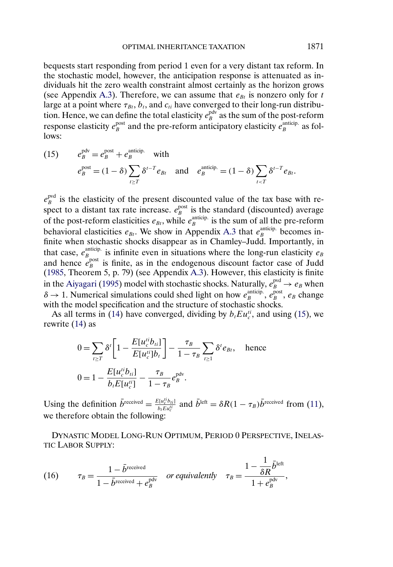<span id="page-20-0"></span>bequests start responding from period 1 even for a very distant tax reform. In the stochastic model, however, the anticipation response is attenuated as individuals hit the zero wealth constraint almost certainly as the horizon grows (see Appendix [A.3\)](#page-31-0). Therefore, we can assume that  $e_{Bt}$  is nonzero only for t large at a point where  $\tau_{Bt}$ ,  $b_t$ , and  $c_{ti}$  have converged to their long-run distribution. Hence, we can define the total elasticity  $e_B^{\text{pdv}}$  as the sum of the post-reform response elasticity  $e_B^{\text{post}}$  and the pre-reform anticipatory elasticity  $e_B^{\text{anticip.}}$  as follows:

(15) 
$$
e_B^{\text{pdv}} = e_B^{\text{post}} + e_B^{\text{anticip.}} \text{ with}
$$

$$
e_B^{\text{post}} = (1 - \delta) \sum_{t \ge T} \delta^{t-T} e_{Bt} \text{ and } e_B^{\text{anticip.}} = (1 - \delta) \sum_{t < T} \delta^{t-T} e_{Bt}.
$$

 $e_B^{\text{pvd}}$  is the elasticity of the present discounted value of the tax base with respect to a distant tax rate increase.  $e_B^{\text{post}}$  is the standard (discounted) average of the post-reform elasticities  $e_{Bt}$ , while  $e_B^{\text{anticip.}}$  is the sum of all the pre-reform behavioral elasticities  $e_{Bt}$ . We show in Appendix [A.3](#page-31-0) that  $e_B^{\text{anticip.}}$  becomes infinite when stochastic shocks disappear as in Chamley–Judd. Importantly, in that case,  $e_B^{\text{anticip.}}$  is infinite even in situations where the long-run elasticity  $e_B$ and hence  $e_B^{\text{post}}$  is finite, as in the endogenous discount factor case of Judd [\(1985,](#page-34-0) Theorem 5, p. 79) (see Appendix [A.3\)](#page-31-0). However, this elasticity is finite in the [Aiyagari](#page-34-0) [\(1995\)](#page-34-0) model with stochastic shocks. Naturally,  $e_B^{\text{pvd}} \rightarrow e_B$  when  $\delta \to 1$ . Numerical simulations could shed light on how  $e_B^{\text{anticip.}}$ ,  $e_B^{\text{post}}$ ,  $e_B$  change with the model specification and the structure of stochastic shocks.

As all terms in [\(14\)](#page-19-0) have converged, dividing by  $b_t E u_c^{ti}$ , and using (15), we rewrite [\(14\)](#page-19-0) as

$$
0 = \sum_{t \ge T} \delta^t \left[ 1 - \frac{E[u_c^{ti} b_{ti}]}{E[u_c^{ti}] b_t} \right] - \frac{\tau_B}{1 - \tau_B} \sum_{t \ge 1} \delta^t e_{Bt}, \text{ hence}
$$
  

$$
0 = 1 - \frac{E[u_c^{ti} b_{ti}]}{b_t E[u_c^{ti}]} - \frac{\tau_B}{1 - \tau_B} e_B^{\text{pdv}}.
$$

Using the definition  $\bar{b}^{\text{received}} = \frac{E[u_c^{i\dot{\theta}}b_{i\dot{\theta}}]}{b_L E u_c^{i\dot{\theta}}}$  and  $\bar{b}^{\text{left}} = \delta R(1 - \tau_B)\bar{b}^{\text{received}}$  from [\(11\)](#page-16-0), we therefore obtain the following:

DYNASTIC MODEL LONG-RUN OPTIMUM, PERIOD 0 PERSPECTIVE, INELAS-TIC LABOR SUPPLY:

(16) 
$$
\tau_B = \frac{1 - \bar{b}^{\text{received}}}{1 - \bar{b}^{\text{received}} + e^{\text{pdv}}_B} \quad \text{or equivalently} \quad \tau_B = \frac{1 - \frac{1}{\delta R} \bar{b}^{\text{left}}}{1 + e^{\text{pdv}}_B},
$$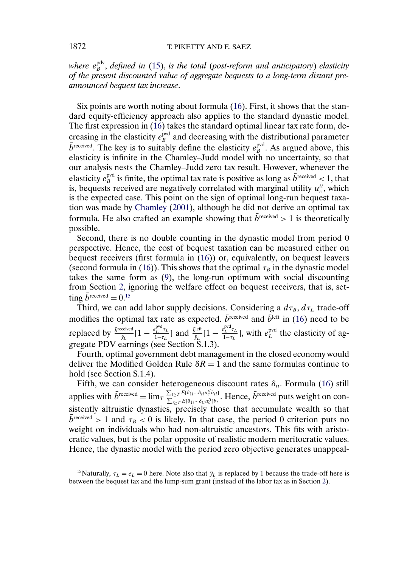<span id="page-21-0"></span>where  $e_{B}^{\text{pdv}}$ , defined in [\(15\)](#page-20-0), is the total (post-reform and anticipatory) elasticity *of the present discounted value of aggregate bequests to a long-term distant preannounced bequest tax increase*.

Six points are worth noting about formula [\(16\)](#page-20-0). First, it shows that the standard equity-efficiency approach also applies to the standard dynastic model. The first expression in [\(16\)](#page-20-0) takes the standard optimal linear tax rate form, decreasing in the elasticity  $e_B^{\text{pvd}}$  and decreasing with the distributional parameter  $\bar{b}^{\text{received}}$ . The key is to suitably define the elasticity  $e^{\text{pvd}}_{B}$ . As argued above, this elasticity is infinite in the Chamley–Judd model with no uncertainty, so that our analysis nests the Chamley–Judd zero tax result. However, whenever the elasticity  $e^{\text{pvd}}_B$  is finite, the optimal tax rate is positive as long as  $\bar{b}^{\text{received}} < 1$ , that is, bequests received are negatively correlated with marginal utility  $u_c^{\mu}$ , which is the expected case. This point on the sign of optimal long-run bequest taxation was made by [Chamley](#page-34-0) [\(2001\)](#page-34-0), although he did not derive an optimal tax formula. He also crafted an example showing that  $b^{\text{received}} > 1$  is theoretically possible.

Second, there is no double counting in the dynastic model from period 0 perspective. Hence, the cost of bequest taxation can be measured either on bequest receivers (first formula in [\(16\)](#page-20-0)) or, equivalently, on bequest leavers (second formula in [\(16\)](#page-20-0)). This shows that the optimal  $\tau_B$  in the dynastic model takes the same form as [\(9\)](#page-9-0), the long-run optimum with social discounting from Section [2,](#page-2-0) ignoring the welfare effect on bequest receivers, that is, setting  $\bar{b}^{\text{received}} = 0.15$ 

Third, we can add labor supply decisions. Considering a  $d\tau_B$ ,  $d\tau_L$  trade-off modifies the optimal tax rate as expected.  $\bar{b}^{\text{received}}$  and  $\bar{b}^{\text{left}}$  in [\(16\)](#page-20-0) need to be replaced by  $\frac{\bar{b}^{\text{received}}}{\bar{y}_L}$  [1 –  $\frac{e_L^{\text{pred}}\tau_L}{1-\tau_L}$ ] and  $\frac{\bar{b}^{\text{left}}\tau_L}{\bar{y}_L}$  [1 –  $\frac{e_L^{\text{pvd}}\tau_L}{1-\tau_L}$ ], with  $e_L^{\text{pvd}}$  the elasticity of aggregate PDV earnings (see Section S.1.3).

Fourth, optimal government debt management in the closed economy would deliver the Modified Golden Rule  $\delta R = 1$  and the same formulas continue to hold (see Section S.1.4).

Fifth, we can consider heterogeneous discount rates  $\delta_{ti}$ . Formula [\(16\)](#page-20-0) still applies with  $\bar{b}^{\text{received}} = \lim_{T} \frac{\sum_{t \ge T} E[\delta_{1i} \cdots \delta_{ti} u_c^{it} b_{ti}]}{\sum_{t \ge T} E[\delta_{1i} \cdots \delta_{ti} u_c^{it}] b_t}$  $\frac{\sum_{t \geq T} E[\delta_{1i} \cdots \delta_{ti} u_c^t \delta_{ti}]}{\sum_{t \geq T} E[\delta_{1i} \cdots \delta_{ti} u_c^t] b_t}$ . Hence,  $b^{\text{received}}$  puts weight on consistently altruistic dynasties, precisely those that accumulate wealth so that  $b^{\text{received}} > 1$  and  $\tau_B < 0$  is likely. In that case, the period 0 criterion puts no weight on individuals who had non-altruistic ancestors. This fits with aristocratic values, but is the polar opposite of realistic modern meritocratic values. Hence, the dynastic model with the period zero objective generates unappeal-

<sup>15</sup>Naturally,  $\tau_L = e_L = 0$  here. Note also that  $\bar{y}_L$  is replaced by 1 because the trade-off here is between the bequest tax and the lump-sum grant (instead of the labor tax as in Section [2\)](#page-2-0).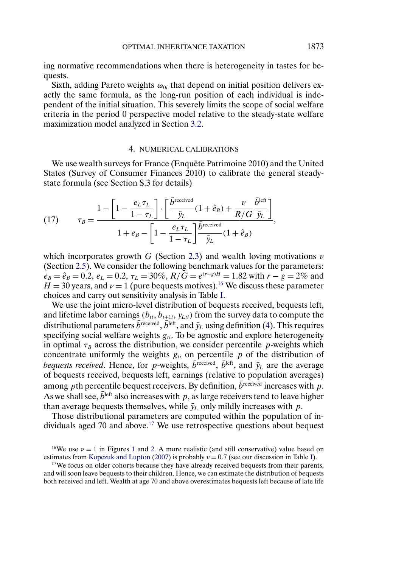<span id="page-22-0"></span>ing normative recommendations when there is heterogeneity in tastes for bequests.

Sixth, adding Pareto weights  $\omega_{0i}$  that depend on initial position delivers exactly the same formula, as the long-run position of each individual is independent of the initial situation. This severely limits the scope of social welfare criteria in the period 0 perspective model relative to the steady-state welfare maximization model analyzed in Section [3.2.](#page-16-0)

### 4. NUMERICAL CALIBRATIONS

We use wealth surveys for France (Enquête Patrimoine 2010) and the United States (Survey of Consumer Finances 2010) to calibrate the general steadystate formula (see Section S.3 for details)

(17) 
$$
\tau_B = \frac{1 - \left[1 - \frac{e_L \tau_L}{1 - \tau_L}\right] \cdot \left[\frac{\bar{b}^{\text{received}}}{\bar{y}_L}(1 + \hat{e}_B) + \frac{\nu}{R/G} \frac{\bar{b}^{\text{left}}}{\bar{y}_L}\right]}{1 + e_B - \left[1 - \frac{e_L \tau_L}{1 - \tau_L}\right] \frac{\bar{b}^{\text{received}}}{\bar{y}_L}(1 + \hat{e}_B)},
$$

which incorporates growth G (Section [2.3\)](#page-8-0) and wealth loving motivations  $\nu$ (Section [2.5\)](#page-15-0). We consider the following benchmark values for the parameters:  $e_B = \hat{e}_B = 0.2$ ,  $e_L = 0.2$ ,  $\tau_L = 30\%$ ,  $R/\tilde{G} = e^{(r-g)H} = 1.82$  with  $r - g = 2\%$  and  $H = 30$  years, and  $\nu = 1$  (pure bequests motives).<sup>16</sup> We discuss these parameter choices and carry out sensitivity analysis in Table [I.](#page-23-0)

We use the joint micro-level distribution of bequests received, bequests left, and lifetime labor earnings  $(b_{ti}, b_{t+1i}, y_{Lti})$  from the survey data to compute the distributional parameters  $\bar{b}^{\text{received}}, \bar{b}^{\text{left}}$ , and  $\bar{y}_L$  using definition [\(4\)](#page-5-0). This requires specifying social welfare weights  $g_{ti}$ . To be agnostic and explore heterogeneity in optimal  $\tau_B$  across the distribution, we consider percentile p-weights which concentrate uniformly the weights  $g_{ti}$  on percentile p of the distribution of *bequests received*. Hence, for p-weights,  $\bar{b}^{\text{received}}$ ,  $\bar{b}^{\text{left}}$ , and  $\bar{y}_L$  are the average of bequests received, bequests left, earnings (relative to population averages) among pth percentile bequest receivers. By definition,  $\bar{b}^{\text{received}}$  increases with p. As we shall see,  $\bar{b}^{\text{left}}$  also increases with p, as large receivers tend to leave higher than average bequests themselves, while  $\bar{y}_L$  only mildly increases with p.

Those distributional parameters are computed within the population of individuals aged 70 and above.<sup>17</sup> We use retrospective questions about bequest

<sup>17</sup>We focus on older cohorts because they have already received bequests from their parents, and will soon leave bequests to their children. Hence, we can estimate the distribution of bequests both received and left. Wealth at age 70 and above overestimates bequests left because of late life

<sup>&</sup>lt;sup>[1](#page-24-0)6</sup>We use  $\nu = 1$  in Figures 1 and [2.](#page-27-0) A more realistic (and still conservative) value based on estimates from Kopczuk and Lupton (2007) is probably  $\nu = 0.7$  (see our discussion in Table I).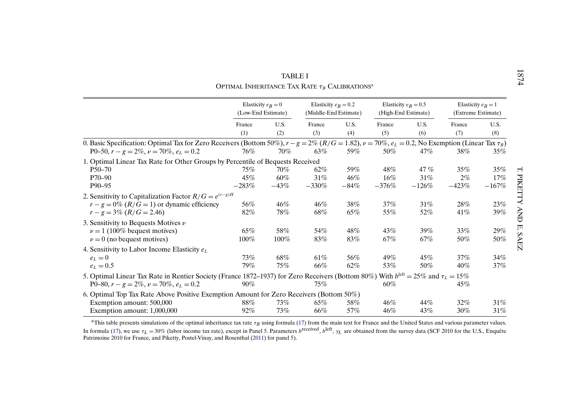<span id="page-23-0"></span>

|                                                                                                                                                                                                                      |                                            | TABLE I                 | OPTIMAL INHERITANCE TAX RATE $\tau_B$ CALIBRATIONS <sup>a</sup> |                      |                                               |                          |                                            |                          |
|----------------------------------------------------------------------------------------------------------------------------------------------------------------------------------------------------------------------|--------------------------------------------|-------------------------|-----------------------------------------------------------------|----------------------|-----------------------------------------------|--------------------------|--------------------------------------------|--------------------------|
|                                                                                                                                                                                                                      | Elasticity $e_B = 0$<br>(Low-End Estimate) |                         | Elasticity $e_R = 0.2$<br>(Middle-End Estimate)                 |                      | Elasticity $e_R = 0.5$<br>(High-End Estimate) |                          | Elasticity $e_B = 1$<br>(Extreme Estimate) |                          |
|                                                                                                                                                                                                                      | France<br>(1)                              | U.S.<br>(2)             | France<br>(3)                                                   | U.S.<br>(4)          | France<br>(5)                                 | U.S.<br>(6)              | France<br>(7)                              | U.S.<br>(8)              |
| 0. Basic Specification: Optimal Tax for Zero Receivers (Bottom 50%), $r - g = 2\%$ ( $R/G = 1.82$ ), $\nu = 70\%$ , $e_L = 0.2$ , No Exemption (Linear Tax $\tau_B$ )<br>P0-50, $r - g = 2\%, \nu = 70\%, e_L = 0.2$ | 76%                                        | 70%                     | 63%                                                             | 59%                  | 50%                                           | 47%                      | 38%                                        | 35%                      |
| 1. Optimal Linear Tax Rate for Other Groups by Percentile of Bequests Received<br>$P50 - 70$<br>$P70 - 90$<br>P90-95                                                                                                 | 75%<br>45%<br>$-283%$                      | $70\%$<br>60%<br>$-43%$ | 62%<br>31%<br>$-330%$                                           | 59%<br>46%<br>$-84%$ | 48%<br>16%<br>$-376%$                         | 47 $%$<br>31%<br>$-126%$ | 35%<br>2%<br>$-423%$                       | $35\%$<br>17%<br>$-167%$ |
| 2. Sensitivity to Capitalization Factor $R/G = e^{(r-g)H}$<br>$r-g=0\%$ ( $R/G=1$ ) or dynamic efficiency<br>$r-g = 3\% (R/G = 2.46)$                                                                                | 56%<br>82%                                 | 46%<br>78%              | 46%<br>68%                                                      | 38%<br>65%           | 37%<br>55%                                    | 31%<br>52%               | 28%<br>41%                                 | 23%<br>39%               |
| 3. Sensitivity to Bequests Motives $\nu$<br>$\nu = 1$ (100% bequest motives)<br>$\nu = 0$ (no bequest motives)                                                                                                       | 65%<br>100%                                | 58%<br>$100\%$          | 54%<br>83%                                                      | 48%<br>83%           | 43%<br>67%                                    | 39%<br>67%               | 33%<br>50%                                 | 29%<br>50%               |
| 4. Sensitivity to Labor Income Elasticity $e_L$<br>$e_L=0$<br>$e_L = 0.5$                                                                                                                                            | 73%<br>79%                                 | 68%<br>75%              | 61%<br>66%                                                      | 56%<br>62%           | 49%<br>53%                                    | 45%<br>50%               | 37%<br>40%                                 | 34%<br>37%               |
| 5. Optimal Linear Tax Rate in Rentier Society (France 1872–1937) for Zero Receivers (Bottom 80%) With $b^{\text{left}} = 25\%$ and $\tau_L = 15\%$<br>P0-80, $r - g = 2\%, \nu = 70\%, e_L = 0.2$                    | $90\%$                                     |                         | 75%                                                             |                      | 60%                                           |                          | 45%                                        |                          |
| 6. Optimal Top Tax Rate Above Positive Exemption Amount for Zero Receivers (Bottom 50%)<br>Exemption amount: 500,000<br>Exemption amount: 1,000,000                                                                  | 88%<br>92%                                 | 73%<br>73%              | 65%<br>66%                                                      | 58%<br>57%           | 46%<br>46%                                    | 44%<br>43%               | 32%<br>30%                                 | 31%<br>31%               |

| TABLE I                                                         |  |
|-----------------------------------------------------------------|--|
| OPTIMAL INHERITANCE TAX RATE $\tau_B$ Calibrations <sup>a</sup> |  |

<sup>a</sup>This table presents simulations of the optimal inheritance tax rate  $\tau_B$  using formula ([17\)](#page-22-0) from the main text for France and the United States and various parameter values. In formula ([17\)](#page-22-0), we use  $\tau_L = 30\%$  (labor income tax rate), except in Panel 5. Parameters b<sup>received</sup>, b<sup>left</sup>,  $y_L$  are obtained from the survey data (SCF 2010 for the U.S., Enquête Patrimoine 2010 for the U.S., Enquête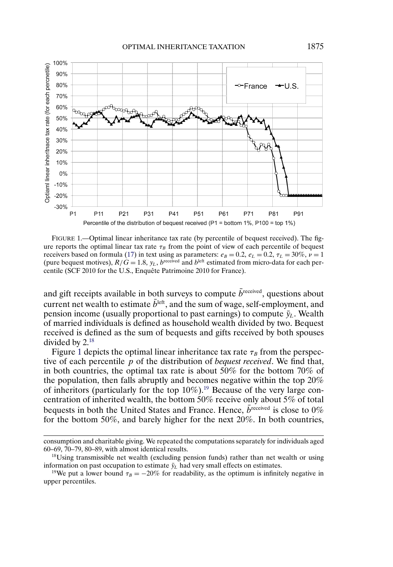<span id="page-24-0"></span>

FIGURE 1.—Optimal linear inheritance tax rate (by percentile of bequest received). The figure reports the optimal linear tax rate  $\tau_B$  from the point of view of each percentile of bequest receivers based on formula [\(17\)](#page-22-0) in text using as parameters:  $e_B = 0.2$ ,  $e_L = 0.2$ ,  $\tau_L = 30\%$ ,  $\nu = 1$ (pure bequest motives),  $R/\tilde{G} = 1.8$ ,  $y_L$ ,  $b^{\text{received}}$  and  $b^{\text{left}}$  estimated from micro-data for each percentile (SCF 2010 for the U.S., Enquête Patrimoine 2010 for France).

and gift receipts available in both surveys to compute  $\bar{b}^{\text{received}}$ , questions about current net wealth to estimate  $\bar{b}^{\text{left}}$ , and the sum of wage, self-employment, and pension income (usually proportional to past earnings) to compute  $\bar{y}_L$ . Wealth of married individuals is defined as household wealth divided by two. Bequest received is defined as the sum of bequests and gifts received by both spouses divided by 2.18

Figure 1 depicts the optimal linear inheritance tax rate  $\tau_B$  from the perspective of each percentile p of the distribution of *bequest received*. We find that, in both countries, the optimal tax rate is about 50% for the bottom 70% of the population, then falls abruptly and becomes negative within the top 20% of inheritors (particularly for the top  $10\%$ ).<sup>19</sup> Because of the very large concentration of inherited wealth, the bottom 50% receive only about 5% of total bequests in both the United States and France. Hence,  $\bar{b}^{\text{received}}$  is close to 0% for the bottom 50%, and barely higher for the next 20%. In both countries,

consumption and charitable giving. We repeated the computations separately for individuals aged 60–69, 70–79, 80–89, with almost identical results.

<sup>18</sup>Using transmissible net wealth (excluding pension funds) rather than net wealth or using information on past occupation to estimate  $\bar{y}_L$  had very small effects on estimates.<br><sup>19</sup>We put a lower bound  $\tau_B = -20\%$  for readability, as the optimum is infinitely negative in

upper percentiles.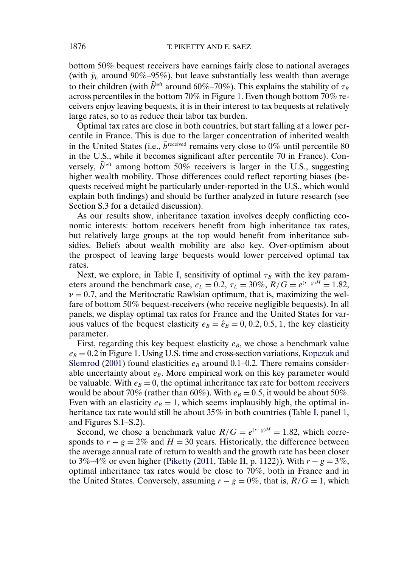<span id="page-25-0"></span>bottom 50% bequest receivers have earnings fairly close to national averages (with  $\bar{y}_L$  around 90%–95%), but leave substantially less wealth than average to their children (with  $\bar{b}^{\text{left}}$  around 60%–70%). This explains the stability of  $\tau_B$ across percentiles in the bottom 70% in Figure [1.](#page-24-0) Even though bottom 70% receivers enjoy leaving bequests, it is in their interest to tax bequests at relatively large rates, so to as reduce their labor tax burden.

Optimal tax rates are close in both countries, but start falling at a lower percentile in France. This is due to the larger concentration of inherited wealth in the United States (i.e.,  $\bar{b}^{\text{received}}$  remains very close to 0% until percentile 80 in the U.S., while it becomes significant after percentile 70 in France). Conversely,  $\bar{b}$ <sup>left</sup> among bottom 50% receivers is larger in the U.S., suggesting higher wealth mobility. Those differences could reflect reporting biases (bequests received might be particularly under-reported in the U.S., which would explain both findings) and should be further analyzed in future research (see Section S.3 for a detailed discussion).

As our results show, inheritance taxation involves deeply conflicting economic interests: bottom receivers benefit from high inheritance tax rates, but relatively large groups at the top would benefit from inheritance subsidies. Beliefs about wealth mobility are also key. Over-optimism about the prospect of leaving large bequests would lower perceived optimal tax rates.

Next, we explore, in Table [I,](#page-23-0) sensitivity of optimal  $\tau_B$  with the key parameters around the benchmark case,  $e_L = 0.2$ ,  $\tau_L = 30\%$ ,  $R/G = e^{(r-g)H} = 1.82$ ,  $\nu = 0.7$ , and the Meritocratic Rawlsian optimum, that is, maximizing the welfare of bottom 50% bequest-receivers (who receive negligible bequests). In all panels, we display optimal tax rates for France and the United States for various values of the bequest elasticity  $e_B = \hat{e}_B = 0, 0.2, 0.5, 1$ , the key elasticity parameter.

First, regarding this key bequest elasticity  $e_B$ , we chose a benchmark value  $e_B = 0.2$  in Figure [1.](#page-24-0) Using U.S. time and cross-section variations, [Kopczuk and](#page-34-0) [Slemrod](#page-34-0) [\(2001\)](#page-34-0) found elasticities  $e_B$  around 0.1–0.2. There remains considerable uncertainty about  $e_B$ . More empirical work on this key parameter would be valuable. With  $e_B = 0$ , the optimal inheritance tax rate for bottom receivers would be about 70% (rather than 60%). With  $e_B = 0.5$ , it would be about 50%. Even with an elasticity  $e_B = 1$ , which seems implausibly high, the optimal in-heritance tax rate would still be about 35% in both countries (Table [I,](#page-23-0) panel 1, and Figures S.1–S.2).

Second, we chose a benchmark value  $R/G = e^{(r-g)H} = 1.82$ , which corresponds to  $r - g = 2\%$  and  $H = 30$  years. Historically, the difference between the average annual rate of return to wealth and the growth rate has been closer to 3%–4% or even higher [\(Piketty](#page-34-0) [\(2011,](#page-34-0) Table II, p. 1122)). With  $r - g = 3\%$ , optimal inheritance tax rates would be close to 70%, both in France and in the United States. Conversely, assuming  $r - g = 0\%$ , that is,  $R/G = 1$ , which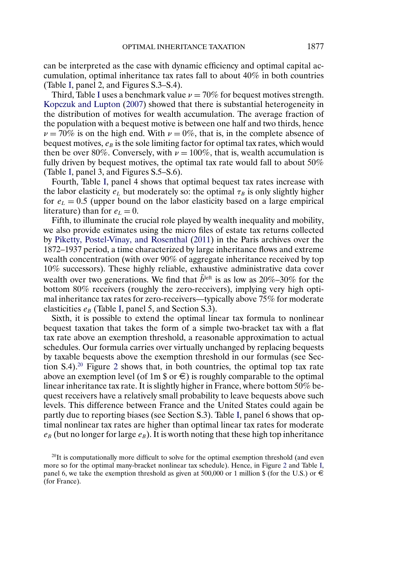can be interpreted as the case with dynamic efficiency and optimal capital accumulation, optimal inheritance tax rates fall to about 40% in both countries (Table [I,](#page-23-0) panel 2, and Figures S.3–S.4).

Third, Table [I](#page-23-0) uses a benchmark value  $\nu = 70\%$  for bequest motives strength. [Kopczuk and Lupton](#page-34-0) [\(2007\)](#page-34-0) showed that there is substantial heterogeneity in the distribution of motives for wealth accumulation. The average fraction of the population with a bequest motive is between one half and two thirds, hence  $\nu = 70\%$  is on the high end. With  $\nu = 0\%$ , that is, in the complete absence of bequest motives,  $e_B$  is the sole limiting factor for optimal tax rates, which would then be over 80%. Conversely, with  $\nu = 100\%$ , that is, wealth accumulation is fully driven by bequest motives, the optimal tax rate would fall to about 50% (Table [I,](#page-23-0) panel 3, and Figures S.5–S.6).

Fourth, Table [I,](#page-23-0) panel 4 shows that optimal bequest tax rates increase with the labor elasticity  $e_L$  but moderately so: the optimal  $\tau_B$  is only slightly higher for  $e<sub>L</sub> = 0.5$  (upper bound on the labor elasticity based on a large empirical literature) than for  $e<sub>L</sub> = 0$ .

Fifth, to illuminate the crucial role played by wealth inequality and mobility, we also provide estimates using the micro files of estate tax returns collected by [Piketty, Postel-Vinay, and Rosenthal](#page-35-0) [\(2011\)](#page-35-0) in the Paris archives over the 1872–1937 period, a time characterized by large inheritance flows and extreme wealth concentration (with over 90% of aggregate inheritance received by top 10% successors). These highly reliable, exhaustive administrative data cover wealth over two generations. We find that  $b^{\text{left}}$  is as low as 20%–30% for the bottom 80% receivers (roughly the zero-receivers), implying very high optimal inheritance tax rates for zero-receivers—typically above 75% for moderate elasticities  $e_B$  (Table [I,](#page-23-0) panel 5, and Section S.3).

Sixth, it is possible to extend the optimal linear tax formula to nonlinear bequest taxation that takes the form of a simple two-bracket tax with a flat tax rate above an exemption threshold, a reasonable approximation to actual schedules. Our formula carries over virtually unchanged by replacing bequests by taxable bequests above the exemption threshold in our formulas (see Section S.4).20 Figure [2](#page-27-0) shows that, in both countries, the optimal top tax rate above an exemption level (of 1m  $\text{\$ or } \in$ ) is roughly comparable to the optimal linear inheritance tax rate. It is slightly higher in France, where bottom 50% bequest receivers have a relatively small probability to leave bequests above such levels. This difference between France and the United States could again be partly due to reporting biases (see Section S.3). Table [I,](#page-23-0) panel 6 shows that optimal nonlinear tax rates are higher than optimal linear tax rates for moderate  $e_B$  (but no longer for large  $e_B$ ). It is worth noting that these high top inheritance

 $^{20}$ It is computationally more difficult to solve for the optimal exemption threshold (and even more so for the optimal many-bracket nonlinear tax schedule). Hence, in Figure [2](#page-27-0) and Table [I,](#page-23-0) panel 6, we take the exemption threshold as given at 500,000 or 1 million \$ (for the U.S.) or  $\in$ (for France).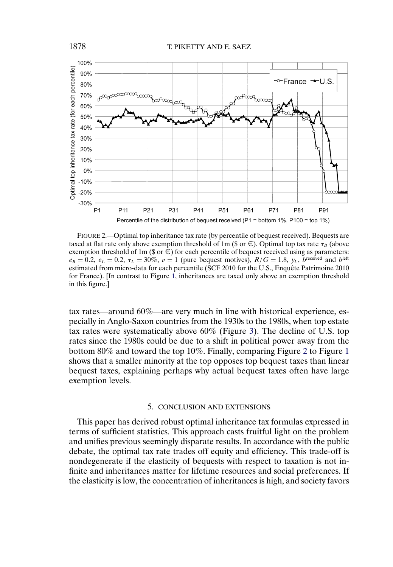<span id="page-27-0"></span>

FIGURE 2.—Optimal top inheritance tax rate (by percentile of bequest received). Bequests are taxed at flat rate only above exemption threshold of 1m (\$ or  $\epsilon$ ). Optimal top tax rate  $\tau_B$  (above exemption threshold of 1m ( $\text{\$ or } \in$ ) for each percentile of bequest received using as parameters:  $e_B = 0.2$ ,  $e_L = 0.2$ ,  $\tau_L = 30\%$ ,  $\nu = 1$  (pure bequest motives),  $R/G = 1.8$ ,  $y_L$ , breceived and bleft estimated from micro-data for each percentile (SCF 2010 for the U.S., Enquête Patrimoine 2010 for France). [In contrast to Figure [1,](#page-24-0) inheritances are taxed only above an exemption threshold in this figure.]

tax rates—around 60%—are very much in line with historical experience, especially in Anglo-Saxon countries from the 1930s to the 1980s, when top estate tax rates were systematically above 60% (Figure [3\)](#page-28-0). The decline of U.S. top rates since the 1980s could be due to a shift in political power away from the bottom 80% and toward the top 10%. Finally, comparing Figure 2 to Figure [1](#page-24-0) shows that a smaller minority at the top opposes top bequest taxes than linear bequest taxes, explaining perhaps why actual bequest taxes often have large exemption levels.

## 5. CONCLUSION AND EXTENSIONS

This paper has derived robust optimal inheritance tax formulas expressed in terms of sufficient statistics. This approach casts fruitful light on the problem and unifies previous seemingly disparate results. In accordance with the public debate, the optimal tax rate trades off equity and efficiency. This trade-off is nondegenerate if the elasticity of bequests with respect to taxation is not infinite and inheritances matter for lifetime resources and social preferences. If the elasticity is low, the concentration of inheritances is high, and society favors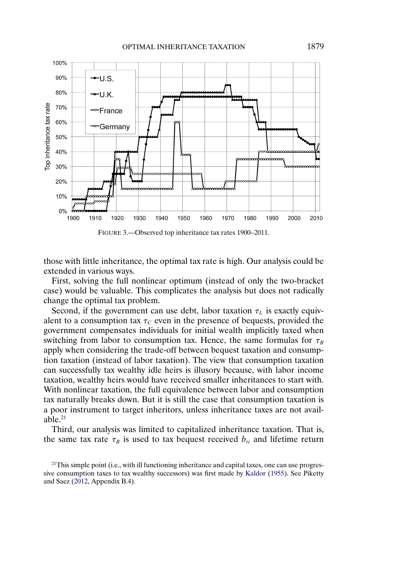<span id="page-28-0"></span>

those with little inheritance, the optimal tax rate is high. Our analysis could be extended in various ways.

First, solving the full nonlinear optimum (instead of only the two-bracket case) would be valuable. This complicates the analysis but does not radically change the optimal tax problem.

Second, if the government can use debt, labor taxation  $\tau_L$  is exactly equivalent to a consumption tax  $\tau_c$  even in the presence of bequests, provided the government compensates individuals for initial wealth implicitly taxed when switching from labor to consumption tax. Hence, the same formulas for  $\tau_B$ apply when considering the trade-off between bequest taxation and consumption taxation (instead of labor taxation). The view that consumption taxation can successfully tax wealthy idle heirs is illusory because, with labor income taxation, wealthy heirs would have received smaller inheritances to start with. With nonlinear taxation, the full equivalence between labor and consumption tax naturally breaks down. But it is still the case that consumption taxation is a poor instrument to target inheritors, unless inheritance taxes are not available. $^{21}$ 

Third, our analysis was limited to capitalized inheritance taxation. That is, the same tax rate  $\tau_B$  is used to tax bequest received  $b_{ti}$  and lifetime return

<sup>&</sup>lt;sup>21</sup>This simple point (i.e., with ill functioning inheritance and capital taxes, one can use progressive consumption taxes to tax wealthy successors) was first made by [Kaldor](#page-34-0) [\(1955\)](#page-34-0). See Piketty and Saez [\(2012,](#page-34-0) Appendix B.4).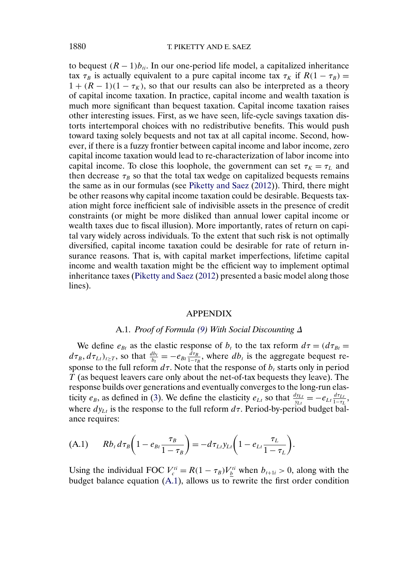<span id="page-29-0"></span>to bequest  $(R - 1)b_{ti}$ . In our one-period life model, a capitalized inheritance tax  $\tau_B$  is actually equivalent to a pure capital income tax  $\tau_K$  if  $R(1 - \tau_B) =$  $1 + (R - 1)(1 - \tau_K)$ , so that our results can also be interpreted as a theory of capital income taxation. In practice, capital income and wealth taxation is much more significant than bequest taxation. Capital income taxation raises other interesting issues. First, as we have seen, life-cycle savings taxation distorts intertemporal choices with no redistributive benefits. This would push toward taxing solely bequests and not tax at all capital income. Second, however, if there is a fuzzy frontier between capital income and labor income, zero capital income taxation would lead to re-characterization of labor income into capital income. To close this loophole, the government can set  $\tau_K = \tau_L$  and then decrease  $\tau_B$  so that the total tax wedge on capitalized bequests remains the same as in our formulas (see [Piketty and Saez](#page-34-0) [\(2012\)](#page-34-0)). Third, there might be other reasons why capital income taxation could be desirable. Bequests taxation might force inefficient sale of indivisible assets in the presence of credit constraints (or might be more disliked than annual lower capital income or wealth taxes due to fiscal illusion). More importantly, rates of return on capital vary widely across individuals. To the extent that such risk is not optimally diversified, capital income taxation could be desirable for rate of return insurance reasons. That is, with capital market imperfections, lifetime capital income and wealth taxation might be the efficient way to implement optimal inheritance taxes [\(Piketty and Saez](#page-34-0) [\(2012\)](#page-34-0) presented a basic model along those lines).

#### APPENDIX

## A.1. *Proof of Formula [\(9\)](#page-9-0) With Social Discounting* Δ

We define  $e_{Bt}$  as the elastic response of  $b_t$  to the tax reform  $d\tau = (d\tau_{Bt} =$  $d\tau_B, d\tau_{Lt}$ , so that  $\frac{db_t}{b_t} = -e_{Bt} \frac{d\tau_B}{1-\tau_B}$ , where  $db_t$  is the aggregate bequest response to the full reform  $d\tau$ . Note that the response of  $b_t$  starts only in period  $T$  (as bequest leavers care only about the net-of-tax bequests they leave). The response builds over generations and eventually converges to the long-run elasticity  $e_B$ , as defined in [\(3\)](#page-4-0). We define the elasticity  $e_{Lt}$  so that  $\frac{dy_{Lt}}{y_{Lt}} = -e_{Lt}\frac{d\tau_{Lt}}{1-\tau_L}$ , where  $dy_{Lt}$  is the response to the full reform  $d\tau$ . Period-by-period budget balance requires:

(A.1) 
$$
Rb_t d\tau_B \left(1 - e_{Bt} \frac{\tau_B}{1 - \tau_B}\right) = -d\tau_{Li} y_{Li} \left(1 - e_{Li} \frac{\tau_L}{1 - \tau_L}\right).
$$

Using the individual FOC  $V_c^{ti} = R(1 - \tau_B)V_b^{ti}$  when  $b_{t+1i} > 0$ , along with the budget balance equation (A.1), allows us to rewrite the first order condition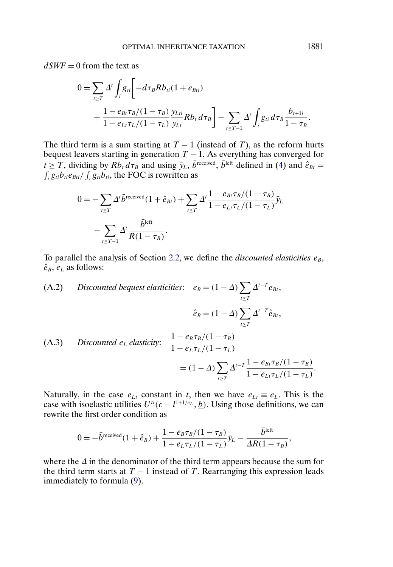<span id="page-30-0"></span> $dSWF = 0$  from the text as

$$
0 = \sum_{t \ge T} \Delta^t \int_i g_{ti} \left[ -d\tau_B R b_{ti} (1 + e_{Bti}) + \frac{1 - e_{Bt} \tau_B / (1 - \tau_B) y_{Lti}}{1 - e_{Lt} \tau_L / (1 - \tau_L)} \frac{y_{Lti}}{y_{Lt}} R b_t d\tau_B \right] - \sum_{t \ge T-1} \Delta^t \int_i g_{ti} d\tau_B \frac{b_{t+1i}}{1 - \tau_B}.
$$

The third term is a sum starting at  $T - 1$  (instead of T), as the reform hurts bequest leavers starting in generation  $T - 1$ . As everything has converged for  $t \geq T$ , dividing by  $Rb_t d\tau_B$  and using  $\bar{y}_L$ ,  $b^{\text{received}}$ ,  $b^{\text{left}}$  defined in [\(4\)](#page-5-0) and  $\hat{e}_{Bt} =$  $\int_i g_{ti} b_{ti} e_{Bti} / \int_i g_{ti} b_{ti}$ , the FOC is rewritten as

$$
0 = -\sum_{t \ge T} \Delta^t \bar{b}^{\text{received}} (1 + \hat{e}_{Bt}) + \sum_{t \ge T} \Delta^t \frac{1 - e_{Bt} \tau_B / (1 - \tau_B)}{1 - e_{Lt} \tau_L / (1 - \tau_L)} \bar{y}_L
$$

$$
- \sum_{t \ge T-1} \Delta^t \frac{\bar{b}^{\text{left}}}{R(1 - \tau_B)}.
$$

To parallel the analysis of Section [2.2,](#page-3-0) we define the *discounted elasticities*  $e_B$ ,  $\hat{e}_B, e_L$  as follows:

(A.2) *Discounted bequest elasticities*: 
$$
e_B = (1 - \Delta) \sum_{t \ge T} \Delta^{t-T} e_{Bt}
$$
,  
\n
$$
\hat{e}_B = (1 - \Delta) \sum_{t \ge T} \Delta^{t-T} \hat{e}_{Bt},
$$
\n(A.3) *Discounted*  $e_L$  *elasticity*: 
$$
\frac{1 - e_B \tau_B/(1 - \tau_B)}{1 - e_L \tau_L/(1 - \tau_L)}
$$
\n
$$
= (1 - \Delta) \sum_{t \ge T} \Delta^{t-T} \frac{1 - e_{Bt} \tau_B/(1 - \tau_B)}{1 - e_L \tau_L/(1 - \tau_L)}.
$$

Naturally, in the case  $e_{Lt}$  constant in t, then we have  $e_{Lt} \equiv e_L$ . This is the case with isoelastic utilities  $U^{i}(c - l^{1+1/e_L}, \underline{b})$ . Using those definitions, we can rewrite the first order condition as

$$
0 = -\bar{b}^{\text{received}}(1 + \hat{e}_B) + \frac{1 - e_B \tau_B/(1 - \tau_B)}{1 - e_L \tau_L/(1 - \tau_L)} \bar{y}_L - \frac{b^{\text{left}}}{\Delta R (1 - \tau_B)},
$$

where the  $\Delta$  in the denominator of the third term appears because the sum for the third term starts at  $T - 1$  instead of T. Rearranging this expression leads immediately to formula [\(9\)](#page-9-0).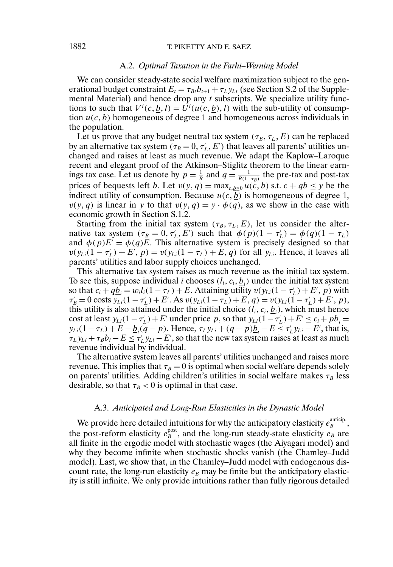## <span id="page-31-0"></span>1882 T. PIKETTY AND E. SAEZ

### A.2. *Optimal Taxation in the Farhi–Werning Model*

We can consider steady-state social welfare maximization subject to the generational budget constraint  $E_t = \tau_{Bt} b_{t+1} + \tau_L y_L$  (see Section S.2 of the Supplemental Material) and hence drop any  $t$  subscripts. We specialize utility functions to such that  $V^i(c, \underline{b}, l) = U^i(u(c, \underline{b}), l)$  with the sub-utility of consumption  $u(c, b)$  homogeneous of degree 1 and homogeneous across individuals in the population.

Let us prove that any budget neutral tax system  $(\tau_B, \tau_L, E)$  can be replaced by an alternative tax system ( $\tau_B = 0, \tau'_L, E'$ ) that leaves all parents' utilities unchanged and raises at least as much revenue. We adapt the Kaplow–Laroque recent and elegant proof of the Atkinson–Stiglitz theorem to the linear earnings tax case. Let us denote by  $p = \frac{1}{R}$  and  $q = \frac{1}{R(1-\tau_B)}$  the pre-tax and post-tax prices of bequests left <u>b</u>. Let  $v(y, q) = \max_{c, b \ge 0} u(c, b)$  s.t.  $c + qb \le y$  be the indirect utility of consumption. Because  $u(c, b)$  is homogeneous of degree 1,  $v(y, q)$  is linear in y to that  $v(y, q) = y \cdot \phi(q)$ , as we show in the case with economic growth in Section S.1.2.

Starting from the initial tax system  $(\tau_B, \tau_L, E)$ , let us consider the alternative tax system  $(\tau_B = 0, \tau_L, E')$  such that  $\phi(p)(1 - \tau_L) = \phi(q)(1 - \tau_L)$ and  $\phi(p)E' = \phi(q)E$ . This alternative system is precisely designed so that  $v(y_{Li}(1 - \tau_L') + E', p) = v(y_{Li}(1 - \tau_L) + E, q)$  for all  $y_{Li}$ . Hence, it leaves all parents' utilities and labor supply choices unchanged.

This alternative tax system raises as much revenue as the initial tax system. To see this, suppose individual *i* chooses  $(l_i, c_i, \underline{b}_i)$  under the initial tax system so that  $c_i + q\underline{b}_i = w_i l_i (1 - \tau_L) + E$ . Attaining utility  $v(y_{Li}(1 - \tau_L') + E', p)$  with  $\tau'_{B} = 0$  costs  $y_{Li}(1 - \tau'_{L}) + E'$ . As  $v(y_{Li}(1 - \tau_{L}) + E, q) = v(y_{Li}(1 - \tau'_{L}) + E', p)$ , this utility is also attained under the initial choice  $(l_i, c_i, \underline{b}_i)$ , which must hence cost at least  $y_{Li}(1 - \tau_L') + E'$  under price p, so that  $y_{Li}(1 - \tau_L') + E' \le c_i + p\underline{b}_i =$  $y_{Li}(1 - \tau_L) + E - \underline{b}_i(q - p)$ . Hence,  $\tau_L y_{Li} + (q - p)\underline{b}_i - E \le \tau'_L y_{Li} - E'$ , that is,  $\tau_L y_{Li} + \tau_B b_i - E \le \tau_L' y_{Li} - E'$ , so that the new tax system raises at least as much revenue individual by individual.

The alternative system leaves all parents' utilities unchanged and raises more revenue. This implies that  $\tau_B = 0$  is optimal when social welfare depends solely on parents' utilities. Adding children's utilities in social welfare makes  $\tau_B$  less desirable, so that  $\tau_B < 0$  is optimal in that case.

### A.3. *Anticipated and Long-Run Elasticities in the Dynastic Model*

We provide here detailed intuitions for why the anticipatory elasticity  $e_B^{\text{anticip}}$ , the post-reform elasticity  $e_B^{\text{post}}$ , and the long-run steady-state elasticity  $e_B$  are all finite in the ergodic model with stochastic wages (the Aiyagari model) and why they become infinite when stochastic shocks vanish (the Chamley–Judd model). Last, we show that, in the Chamley–Judd model with endogenous discount rate, the long-run elasticity  $e_B$  may be finite but the anticipatory elasticity is still infinite. We only provide intuitions rather than fully rigorous detailed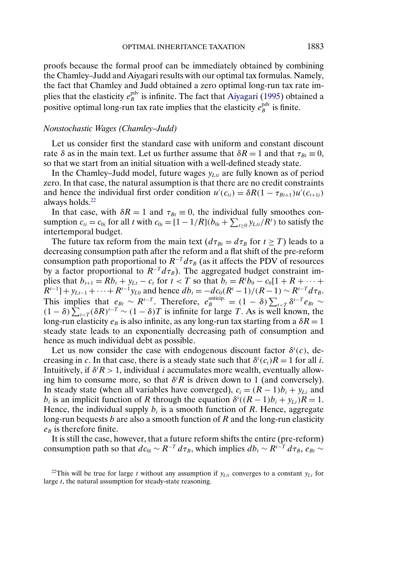<span id="page-32-0"></span>proofs because the formal proof can be immediately obtained by combining the Chamley–Judd and Aiyagari results with our optimal tax formulas. Namely, the fact that Chamley and Judd obtained a zero optimal long-run tax rate implies that the elasticity  $e_{B}^{\text{pdv}}$  is infinite. The fact that [Aiyagari](#page-34-0) [\(1995\)](#page-34-0) obtained a positive optimal long-run tax rate implies that the elasticity  $e^{\text{pdv}}_B$  is finite.

#### *Nonstochastic Wages (Chamley–Judd)*

Let us consider first the standard case with uniform and constant discount rate  $\delta$  as in the main text. Let us further assume that  $\delta R = 1$  and that  $\tau_{Bt} = 0$ , so that we start from an initial situation with a well-defined steady state.

In the Chamley–Judd model, future wages  $y_{Lti}$  are fully known as of period zero. In that case, the natural assumption is that there are no credit constraints and hence the individual first order condition  $u'(c_{ti}) = \delta R(1 - \tau_{Bt+1})u'(c_{t+1i})$ always holds.<sup>22</sup>

In that case, with  $\delta R = 1$  and  $\tau_{Bt} \equiv 0$ , the individual fully smoothes consumption  $c_{ti} = c_{0i}$  for all t with  $c_{0i} = [1 - 1/R](b_{0i} + \sum_{t \ge 0} y_{Lti}/R^t)$  to satisfy the intertemporal budget.

The future tax reform from the main text  $(d\tau_{Bt} = d\tau_B$  for  $t \geq T)$  leads to a decreasing consumption path after the reform and a flat shift of the pre-reform consumption path proportional to  $R^{-T} d\tau_B$  (as it affects the PDV of resources by a factor proportional to  $R^{-T} d\tau_B$ ). The aggregated budget constraint implies that  $b_{t+1} = Rb_t + y_{Lt} - c_t$  for  $t < T$  so that  $b_t = R^t b_0 - c_0[1 + R + \cdots +$  $R^{t-1}$ ] + y<sub>Lt−1</sub> + ··· +  $R^{t-1}$ y<sub>L0</sub> and hence  $db_t = -d c_0 (R^t - 1)/(R - 1) \sim R^{t-T} d\tau_B$ . This implies that  $e_{Bt} \sim R^{t-T}$ . Therefore,  $e_{B}^{\text{anticip.}} = (1 - \delta) \sum_{t \leq T} \delta^{t-T} e_{Bt} \sim$  $(1 - \delta) \sum_{t \le T} (\delta R)^{t-T} \sim (1 - \delta)T$  is infinite for large T. As is well known, the long-run elasticity  $e_B$  is also infinite, as any long-run tax starting from a  $\delta R = 1$ steady state leads to an exponentially decreasing path of consumption and hence as much individual debt as possible.

Let us now consider the case with endogenous discount factor  $\delta^{i}(c)$ , decreasing in c. In that case, there is a steady state such that  $\delta^i(c_i)R = 1$  for all i. Intuitively, if  $\delta^i R > 1$ , individual *i* accumulates more wealth, eventually allowing him to consume more, so that  $\delta^i R$  is driven down to 1 (and conversely). In steady state (when all variables have converged),  $c_i = (R - 1)b_i + y_{Li}$  and  $b_i$  is an implicit function of R through the equation  $\delta^{i}((R-1)b_i + y_{Li})R = 1$ . Hence, the individual supply  $b_i$  is a smooth function of R. Hence, aggregate long-run bequests b are also a smooth function of  $R$  and the long-run elasticity  $e_B$  is therefore finite.

It is still the case, however, that a future reform shifts the entire (pre-reform) consumption path so that  $dc_{0i} \sim R^{-T} d\tau_B$ , which implies  $db_t \sim R^{t-T} d\tau_B$ ,  $e_{Bt} \sim$ 

<sup>22</sup>This will be true for large t without any assumption if  $y_{Lii}$  converges to a constant  $y_{Li}$  for large t, the natural assumption for steady-state reasoning.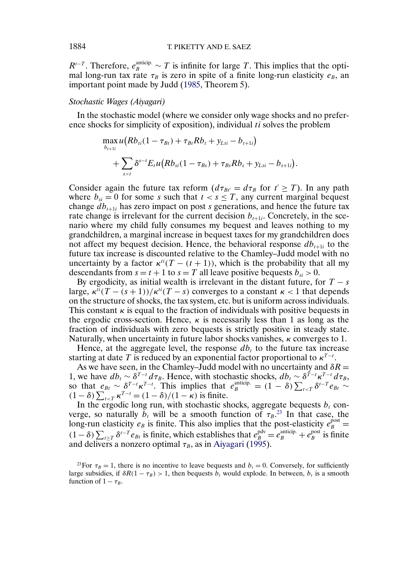$R^{t-T}$ . Therefore,  $e_B^{\text{anticip.}} \sim T$  is infinite for large T. This implies that the optimal long-run tax rate  $\tau_B$  is zero in spite of a finite long-run elasticity  $e_B$ , an important point made by Judd [\(1985,](#page-34-0) Theorem 5).

## *Stochastic Wages (Aiyagari)*

In the stochastic model (where we consider only wage shocks and no preference shocks for simplicity of exposition), individual ti solves the problem

$$
\max_{b_{t+1i}} u(Rb_{ti}(1-\tau_{Bt})+\tau_{Bi}Rb_t+y_{Lti}-b_{t+1i}) + \sum_{s>t} \delta^{s-t} E_t u(Rb_{si}(1-\tau_{Bs})+\tau_{Bs}Rb_s+y_{Lsi}-b_{s+1i}).
$$

Consider again the future tax reform  $(d\tau_{Bt'} = d\tau_B$  for  $t' \geq T)$ . In any path where  $b_{si} = 0$  for some s such that  $t < s \leq T$ , any current marginal bequest change  $db_{t+1i}$  has zero impact on post s generations, and hence the future tax rate change is irrelevant for the current decision  $b_{t+1i}$ . Concretely, in the scenario where my child fully consumes my bequest and leaves nothing to my grandchildren, a marginal increase in bequest taxes for my grandchildren does not affect my bequest decision. Hence, the behavioral response  $db_{t+1i}$  to the future tax increase is discounted relative to the Chamley–Judd model with no uncertainty by a factor  $\kappa^{ti}(T - (t + 1))$ , which is the probability that all my descendants from  $s = t + 1$  to  $s = T$  all leave positive bequests  $b_{si} > 0$ .

By ergodicity, as initial wealth is irrelevant in the distant future, for  $T - s$ large,  $\kappa^{ti}(T - (s+1))/\kappa^{ti}(T - s)$  converges to a constant  $\kappa < 1$  that depends on the structure of shocks, the tax system, etc. but is uniform across individuals. This constant  $\kappa$  is equal to the fraction of individuals with positive bequests in the ergodic cross-section. Hence,  $\kappa$  is necessarily less than 1 as long as the fraction of individuals with zero bequests is strictly positive in steady state. Naturally, when uncertainty in future labor shocks vanishes,  $\kappa$  converges to 1.

Hence, at the aggregate level, the response  $db_t$  to the future tax increase starting at date T is reduced by an exponential factor proportional to  $\kappa^{T-t}$ .

As we have seen, in the Chamley–Judd model with no uncertainty and  $\delta R =$ 1, we have  $db_t \sim \delta^{T-t} d\tau_B$ . Hence, with stochastic shocks,  $db_t \sim \delta^{T-t} \kappa^{T-t} d\tau_B$ , so that  $e_{Bt} \sim \delta^{T-t} \kappa^{T-t}$ . This implies that  $e_{B}^{\text{anticip.}} = (1 - \delta) \sum_{t \le T} \delta^{t-T} e_{Bt}$  $(1-\delta)\sum_{t\leq T}\kappa^{T-t}=(1-\delta)/(1-\kappa)$  is finite.

In the ergodic long run, with stochastic shocks, aggregate bequests  $b_t$  converge, so naturally  $b_t$  will be a smooth function of  $\tau_B$ .<sup>23</sup> In that case, the long-run elasticity  $e_B$  is finite. This also implies that the post-elasticity  $e_B^{\text{post}} =$  $(1 - \delta) \sum_{t \geq T} \delta^{t-T} e_{Bt}$  is finite, which establishes that  $e_B^{\text{pdv}} = e_B^{\text{anticip.}} + e_B^{\text{post}}$  is finite and delivers a nonzero optimal  $\tau_B$ , as in [Aiyagari](#page-34-0) [\(1995\)](#page-34-0).

<sup>23</sup>For  $\tau_B = 1$ , there is no incentive to leave bequests and  $b_t = 0$ . Conversely, for sufficiently large subsidies, if  $\delta R(1 - \tau_B) > 1$ , then bequests  $b_t$  would explode. In between,  $b_t$  is a smooth function of  $1 - \tau_B$ .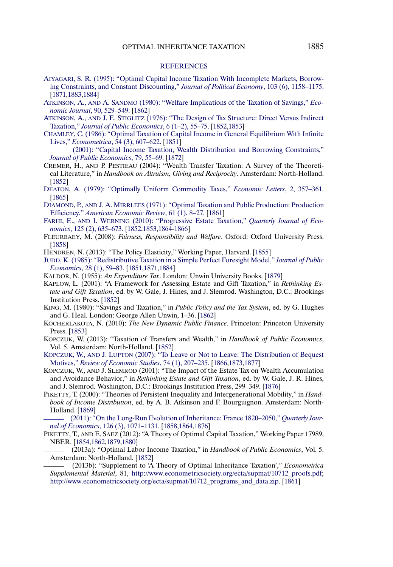#### **[REFERENCES](http://www.e-publications.org/srv/ecta/linkserver/setprefs?rfe_id=urn:sici%2F0012-9682%28201309%2981%3A5%3C1851%3AATOOIT%3E2.0.CO%3B2-G)**

- <span id="page-34-0"></span>[AIYAGARI, S. R. \(1995\): "Optimal Capital Income Taxation With Incomplete Markets, Borrow](http://www.e-publications.org/srv/ecta/linkserver/openurl?rft_dat=bib:1/Ai95&rfe_id=urn:sici%2F0012-9682%28201309%2981%3A5%3C1851%3AATOOIT%3E2.0.CO%3B2-G)[ing Constraints, and Constant Discounting,"](http://www.e-publications.org/srv/ecta/linkserver/openurl?rft_dat=bib:1/Ai95&rfe_id=urn:sici%2F0012-9682%28201309%2981%3A5%3C1851%3AATOOIT%3E2.0.CO%3B2-G) *Journal of Political Economy*, 103 (6), 1158–1175. [\[1871,](#page-19-0)[1883,](#page-31-0)[1884\]](#page-32-0)
- ATKINSON, A., AND A. SANDMO [\(1980\): "Welfare Implications of the Taxation of Savings,"](http://www.e-publications.org/srv/ecta/linkserver/openurl?rft_dat=bib:2/AS80&rfe_id=urn:sici%2F0012-9682%28201309%2981%3A5%3C1851%3AATOOIT%3E2.0.CO%3B2-G) *Eco[nomic Journal](http://www.e-publications.org/srv/ecta/linkserver/openurl?rft_dat=bib:2/AS80&rfe_id=urn:sici%2F0012-9682%28201309%2981%3A5%3C1851%3AATOOIT%3E2.0.CO%3B2-G)*, 90, 529–549. [\[1862\]](#page-10-0)
- ATKINSON, A., AND J. E. STIGLITZ [\(1976\): "The Design of Tax Structure: Direct Versus Indirect](http://www.e-publications.org/srv/ecta/linkserver/openurl?rft_dat=bib:3/AS76&rfe_id=urn:sici%2F0012-9682%28201309%2981%3A5%3C1851%3AATOOIT%3E2.0.CO%3B2-G) Taxation," *[Journal of Public Economics](http://www.e-publications.org/srv/ecta/linkserver/openurl?rft_dat=bib:3/AS76&rfe_id=urn:sici%2F0012-9682%28201309%2981%3A5%3C1851%3AATOOIT%3E2.0.CO%3B2-G)*, 6 (1–2), 55–75. [\[1852,](#page-0-0)[1853\]](#page-1-0)
- [CHAMLEY, C. \(1986\): "Optimal Taxation of Capital Income in General Equilibrium With Infinite](http://www.e-publications.org/srv/ecta/linkserver/openurl?rft_dat=bib:4/Ch86&rfe_id=urn:sici%2F0012-9682%28201309%2981%3A5%3C1851%3AATOOIT%3E2.0.CO%3B2-G) Lives," *Econometrica*[, 54 \(3\), 607–622.](http://www.e-publications.org/srv/ecta/linkserver/openurl?rft_dat=bib:4/Ch86&rfe_id=urn:sici%2F0012-9682%28201309%2981%3A5%3C1851%3AATOOIT%3E2.0.CO%3B2-G) [\[1851\]](#page--1-0)
- [\(2001\): "Capital Income Taxation, Wealth Distribution and Borrowing Constraints,"](http://www.e-publications.org/srv/ecta/linkserver/openurl?rft_dat=bib:5/Ch01&rfe_id=urn:sici%2F0012-9682%28201309%2981%3A5%3C1851%3AATOOIT%3E2.0.CO%3B2-G) *[Journal of Public Economics](http://www.e-publications.org/srv/ecta/linkserver/openurl?rft_dat=bib:5/Ch01&rfe_id=urn:sici%2F0012-9682%28201309%2981%3A5%3C1851%3AATOOIT%3E2.0.CO%3B2-G)*, 79, 55–69. [\[1872\]](#page-20-0)
- CREMER, H., AND P. PESTIEAU (2004): "Wealth Transfer Taxation: A Survey of the Theoretical Literature," in *Handbook on Altruism, Giving and Reciprocity*. Amsterdam: North-Holland. [\[1852\]](#page-0-0)
- [DEATON, A. \(1979\): "Optimally Uniform Commodity Taxes,"](http://www.e-publications.org/srv/ecta/linkserver/openurl?rft_dat=bib:7/De79&rfe_id=urn:sici%2F0012-9682%28201309%2981%3A5%3C1851%3AATOOIT%3E2.0.CO%3B2-G) *Economic Letters*, 2, 357–361. [\[1865\]](#page-13-0)
- DIAMOND, P., AND J. A. MIRRLEES [\(1971\): "Optimal Taxation and Public Production: Production](http://www.e-publications.org/srv/ecta/linkserver/openurl?rft_dat=bib:8/DM71&rfe_id=urn:sici%2F0012-9682%28201309%2981%3A5%3C1851%3AATOOIT%3E2.0.CO%3B2-G) Efficiency," *[American Economic Review](http://www.e-publications.org/srv/ecta/linkserver/openurl?rft_dat=bib:8/DM71&rfe_id=urn:sici%2F0012-9682%28201309%2981%3A5%3C1851%3AATOOIT%3E2.0.CO%3B2-G)*, 61 (1), 8–27. [\[1861\]](#page-9-0)
- FARHI, E., AND I. WERNING [\(2010\): "Progressive Estate Taxation,"](http://www.e-publications.org/srv/ecta/linkserver/openurl?rft_dat=bib:9/FW10&rfe_id=urn:sici%2F0012-9682%28201309%2981%3A5%3C1851%3AATOOIT%3E2.0.CO%3B2-G) *Quarterly Journal of Economics*[, 125 \(2\), 635–673.](http://www.e-publications.org/srv/ecta/linkserver/openurl?rft_dat=bib:9/FW10&rfe_id=urn:sici%2F0012-9682%28201309%2981%3A5%3C1851%3AATOOIT%3E2.0.CO%3B2-G) [\[1852,](#page-0-0)[1853,](#page-1-0)[1864-](#page-12-0)[1866\]](#page-14-0)
- FLEURBAEY, M. (2008): *Fairness, Responsibility and Welfare*. Oxford: Oxford University Press. [\[1858\]](#page-6-0)
- HENDREN, N. (2013): "The Policy Elasticity," Working Paper, Harvard. [\[1855\]](#page-3-0)
- [JUDD, K. \(1985\): "Redistributive Taxation in a Simple Perfect Foresight Model,"](http://www.e-publications.org/srv/ecta/linkserver/openurl?rft_dat=bib:12/Ju85&rfe_id=urn:sici%2F0012-9682%28201309%2981%3A5%3C1851%3AATOOIT%3E2.0.CO%3B2-G) *Journal of Public Economics*[, 28 \(1\), 59–83.](http://www.e-publications.org/srv/ecta/linkserver/openurl?rft_dat=bib:12/Ju85&rfe_id=urn:sici%2F0012-9682%28201309%2981%3A5%3C1851%3AATOOIT%3E2.0.CO%3B2-G) [\[1851,](#page--1-0)[1871,](#page-19-0)[1884\]](#page-32-0)
- KALDOR, N. (1955): *An Expenditure Tax*. London: Unwin University Books. [\[1879\]](#page-27-0)
- KAPLOW, L. (2001): "A Framework for Assessing Estate and Gift Taxation," in *Rethinking Estate and Gift Taxation*, ed. by W. Gale, J. Hines, and J. Slemrod. Washington, D.C.: Brookings Institution Press. [\[1852\]](#page-0-0)
- KING, M. (1980): "Savings and Taxation," in *Public Policy and the Tax System*, ed. by G. Hughes and G. Heal. London: George Allen Unwin, 1–36. [\[1862\]](#page-10-0)
- KOCHERLAKOTA, N. (2010): *The New Dynamic Public Finance*. Princeton: Princeton University Press. [\[1853\]](#page-1-0)
- KOPCZUK, W. (2013): "Taxation of Transfers and Wealth," in *Handbook of Public Economics*, Vol. 5. Amsterdam: North-Holland. [\[1852\]](#page-0-0)
- KOPCZUK, W., AND J. LUPTON [\(2007\): "To Leave or Not to Leave: The Distribution of Bequest](http://www.e-publications.org/srv/ecta/linkserver/openurl?rft_dat=bib:18/KL07&rfe_id=urn:sici%2F0012-9682%28201309%2981%3A5%3C1851%3AATOOIT%3E2.0.CO%3B2-G) Motives," *[Review of Economic Studies](http://www.e-publications.org/srv/ecta/linkserver/openurl?rft_dat=bib:18/KL07&rfe_id=urn:sici%2F0012-9682%28201309%2981%3A5%3C1851%3AATOOIT%3E2.0.CO%3B2-G)*, 74 (1), 207–235. [\[1866](#page-14-0)[,1873](#page-21-0)[,1877\]](#page-25-0)
- KOPCZUK, W., AND J. SLEMROD (2001): "The Impact of the Estate Tax on Wealth Accumulation and Avoidance Behavior," in *Rethinking Estate and Gift Taxation*, ed. by W. Gale, J. R. Hines, and J. Slemrod. Washington, D.C.: Brookings Institution Press, 299–349. [\[1876\]](#page-24-0)
- PIKETTY, T. (2000): "Theories of Persistent Inequality and Intergenerational Mobility," in *Handbook of Income Distribution*, ed. by A. B. Atkinson and F. Bourguignon. Amsterdam: North-Holland. [\[1869\]](#page-17-0)

[\(2011\): "On the Long-Run Evolution of Inheritance: France 1820–2050,"](http://www.e-publications.org/srv/ecta/linkserver/openurl?rft_dat=bib:21/Pi11&rfe_id=urn:sici%2F0012-9682%28201309%2981%3A5%3C1851%3AATOOIT%3E2.0.CO%3B2-G) *Quarterly Journal of Economics*[, 126 \(3\), 1071–1131.](http://www.e-publications.org/srv/ecta/linkserver/openurl?rft_dat=bib:21/Pi11&rfe_id=urn:sici%2F0012-9682%28201309%2981%3A5%3C1851%3AATOOIT%3E2.0.CO%3B2-G) [\[1858](#page-6-0)[,1864](#page-12-0)[,1876\]](#page-24-0)

- PIKETTY, T., AND E. SAEZ (2012): "A Theory of Optimal Capital Taxation," Working Paper 17989, NBER. [\[1854,](#page-2-0)[1862,](#page-10-0)[1879,](#page-27-0)[1880\]](#page-28-0)
	- (2013a): "Optimal Labor Income Taxation," in *Handbook of Public Economics*, Vol. 5. Amsterdam: North-Holland. [\[1852\]](#page-0-0)

(2013b): "Supplement to 'A Theory of Optimal Inheritance Taxation'," *Econometrica Supplemental Material*, 81, [http://www.econometricsociety.org/ecta/supmat/10712\\_proofs.pdf](http://www.econometricsociety.org/ecta/supmat/10712_proofs.pdf); http://www.econometricsociety.org/ecta/supmat/10712 programs and data.zip. [\[1861\]](#page-9-0)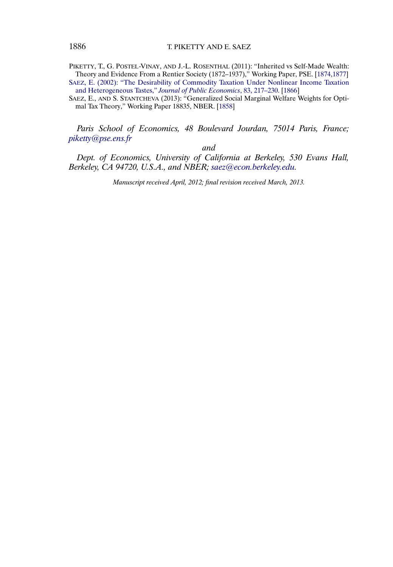PIKETTY, T., G. POSTEL-VINAY, AND J.-L. ROSENTHAL (2011): "Inherited vs Self-Made Wealth: Theory and Evidence From a Rentier Society (1872–1937)," Working Paper, PSE. [\[1874](#page-22-0)[,1877\]](#page-25-0) [SAEZ, E. \(2002\): "The Desirability of Commodity Taxation Under Nonlinear Income Taxation](http://www.e-publications.org/srv/ecta/linkserver/openurl?rft_dat=bib:26/Sa02&rfe_id=urn:sici%2F0012-9682%28201309%2981%3A5%3C1851%3AATOOIT%3E2.0.CO%3B2-G) [and Heterogeneous Tastes,"](http://www.e-publications.org/srv/ecta/linkserver/openurl?rft_dat=bib:26/Sa02&rfe_id=urn:sici%2F0012-9682%28201309%2981%3A5%3C1851%3AATOOIT%3E2.0.CO%3B2-G) *Journal of Public Economics*, 83, 217–230. [\[1866\]](#page-14-0)

SAEZ, E., AND S. STANTCHEVA (2013): "Generalized Social Marginal Welfare Weights for Optimal Tax Theory," Working Paper 18835, NBER. [\[1858\]](#page-6-0)

*Paris School of Economics, 48 Boulevard Jourdan, 75014 Paris, France; [piketty@pse.ens.fr](mailto:piketty@pse.ens.fr)*

*and*

*Dept. of Economics, University of California at Berkeley, 530 Evans Hall, Berkeley, CA 94720, U.S.A., and NBER; [saez@econ.berkeley.edu.](mailto:saez@econ.berkeley.edu)*

*Manuscript received April, 2012; final revision received March, 2013.*

<span id="page-35-0"></span>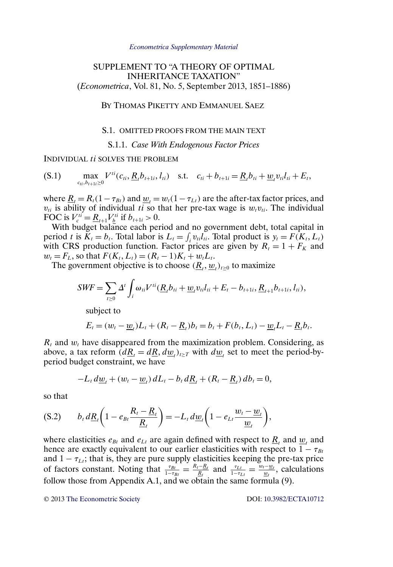#### *[Econometrica Supplementary Material](http://www.econometricsociety.org/suppmatlist.asp)*

# <span id="page-36-0"></span>SUPPLEMENT TO "A THEORY OF OPTIMAL INHERITANCE TAXATION" (*Econometrica*, Vol. 81, No. 5, September 2013, 1851–1886)

BY THOMAS PIKETTY AND EMMANUEL SAEZ

## S.1. OMITTED PROOFS FROM THE MAIN TEXT

S.1.1. *Case With Endogenous Factor Prices*

INDIVIDUAL ti SOLVES THE PROBLEM

(S.1)  $\max_{c_{ii}, b_{t+1i} \ge 0} V^{ti}(c_{ti}, \underline{R}_t b_{t+1i}, l_{ti})$  s.t.  $c_{ti} + b_{t+1i} = \underline{R}_t b_{ti} + \underline{w}_t v_{ti} l_{ti} + E_t$ ,

where  $\underline{R}_t = R_t(1-\tau_{Bt})$  and  $\underline{w}_t = w_t(1-\tau_{Lt})$  are the after-tax factor prices, and  $v_{ti}$  is ability of individual ti so that her pre-tax wage is  $w_t v_{ti}$ . The individual FOC is  $V_c^{ti} = \underline{R}_{t+1} V_b^{ti}$  if  $b_{t+1i} > 0$ .

With budget balance each period and no government debt, total capital in period t is  $K_t = b_t$ . Total labor is  $L_t = \int_i v_{ti} l_{ti}$ . Total product is  $y_t = F(K_t, L_t)$ with CRS production function. Factor prices are given by  $R_t = 1 + F_K$  and  $w_t = F_L$ , so that  $F(K_t, L_t) = (R_t - 1)K_t + w_tL_t$ .

The government objective is to choose  $(\underline{R}_t, \underline{w}_t)_{t\geq 0}$  to maximize

$$
SWF = \sum_{t \geq 0} \Delta^t \int_i \omega_{ti} V^{ti} (\underline{R}_i b_{ti} + \underline{w}_i v_{ti} l_{ti} + E_t - b_{t+1i}, \underline{R}_{t+1} b_{t+1i}, l_{ti}),
$$

subject to

$$
E_t = (w_t - \underline{w}_t)L_t + (R_t - \underline{R}_t)b_t = b_t + F(b_t, L_t) - \underline{w}_tL_t - \underline{R}_t b_t.
$$

 $R_t$  and  $w_t$  have disappeared from the maximization problem. Considering, as above, a tax reform  $(d\underline{R}_t = d\underline{R}, d\underline{w}_t)_{t \geq T}$  with  $d\underline{w}_t$  set to meet the period-byperiod budget constraint, we have

$$
-L_t\,d\underline{w}_t+(w_t-\underline{w}_t)\,dL_t-b_t\,d\underline{R}_t+(R_t-\underline{R}_t)\,db_t=0,
$$

so that

$$
(S.2) \t b_t d\underline{R}_t \bigg(1 - e_{Bt} \frac{R_t - \underline{R}_t}{\underline{R}_t}\bigg) = -L_t d\underline{w}_t \bigg(1 - e_{Lt} \frac{w_t - \underline{w}_t}{\underline{w}_t}\bigg),
$$

where elasticities  $e_{Bt}$  and  $e_{Lt}$  are again defined with respect to  $\underline{R}_t$ , and  $\underline{w}_t$  and hence are exactly equivalent to our earlier elasticities with respect to  $1 - \tau_{Bt}$ and  $1 - \tau_{\text{L}i}$ ; that is, they are pure supply elasticities keeping the pre-tax price of factors constant. Noting that  $\frac{\tau_{Bt}}{1-\tau_{Bt}} = \frac{R_t - R_t}{R_t}$  and  $\frac{\tau_{Lt}}{1-\tau_{Lt}} = \frac{w_t - w_t}{w_t}$ , calculations follow those from Appendix A.1, and we obtain the same formula (9).

© 2013 [The Econometric Society](http://www.econometricsociety.org/) DOI: [10.3982/ECTA10712](http://dx.doi.org/10.3982/ECTA10712)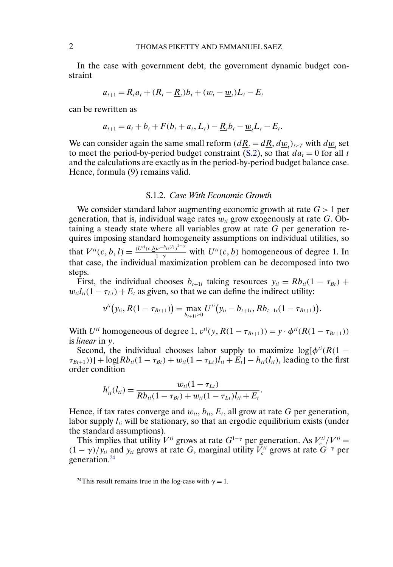In the case with government debt, the government dynamic budget constraint

$$
a_{t+1} = R_t a_t + (R_t - \underline{R}_t) b_t + (w_t - \underline{w}_t) L_t - E_t
$$

can be rewritten as

$$
a_{t+1} = a_t + b_t + F(b_t + a_t, L_t) - \underline{R}_t b_t - \underline{w}_t L_t - E_t.
$$

We can consider again the same small reform  $(d\underline{R}_t = d\underline{R}, d\underline{w}_t)_{t \geq T}$  with  $d\underline{w}_t$  set to meet the period-by-period budget constraint [\(S.2\)](#page-36-0), so that  $d\overline{a}_t = 0$  for all t and the calculations are exactly as in the period-by-period budget balance case. Hence, formula (9) remains valid.

## S.1.2. *Case With Economic Growth*

We consider standard labor augmenting economic growth at rate  $G > 1$  per generation, that is, individual wage rates  $w_{ti}$  grow exogenously at rate G. Obtaining a steady state where all variables grow at rate G per generation requires imposing standard homogeneity assumptions on individual utilities, so that  $V^{ti}(c, \underline{b}, l) = \frac{(U^{ti}(c, b)e^{-h_{ti}(l)})^{1-\gamma}}{1-\gamma}$  with  $U^{ti}(c, \underline{b})$  homogeneous of degree 1. In that case, the individual maximization problem can be decomposed into two steps.

First, the individual chooses  $b_{t+1i}$  taking resources  $y_{ti} = Rb_{ti}(1 - \tau_{Bt}) +$  $w_{ti}l_{ti}(1 - \tau_{Lt}) + E_t$  as given, so that we can define the indirect utility:

$$
v^{ti}(y_{ti}, R(1-\tau_{Bt+1})) = \max_{b_{t+1i} \geq 0} U^{ti}(y_{ti}-b_{t+1i}, Rb_{t+1i}(1-\tau_{Bt+1})).
$$

With  $U^{ti}$  homogeneous of degree 1,  $v^{ti}(y, R(1 - \tau_{Bt+1})) = y \cdot \phi^{ti}(R(1 - \tau_{Bt+1}))$ is *linear* in y.

Second, the individual chooses labor supply to maximize  $\log[\phi^{ti}(R(1 \tau_{Bt+1}$ )] + log[ $Rb_{ti}(1 - \tau_{Bt}) + w_{ti}(1 - \tau_{Lt})l_{ti} + E_t$ ] –  $h_{ti}(l_{ti})$ , leading to the first order condition

$$
h'_{ii}(l_{ii}) = \frac{w_{ii}(1 - \tau_{Lt})}{Rb_{ii}(1 - \tau_{Bt}) + w_{ii}(1 - \tau_{Lt})l_{ii} + E_t}.
$$

Hence, if tax rates converge and  $w_{ti}$ ,  $b_{ti}$ ,  $E_t$ , all grow at rate G per generation, labor supply  $l_{ti}$  will be stationary, so that an ergodic equilibrium exists (under the standard assumptions).

This implies that utility  $V^{ti}$  grows at rate  $G^{1-\gamma}$  per generation. As  $V_c^{ti}/V^{ti} =$  $(1 - \gamma)/y_{ti}$  and  $y_{ti}$  grows at rate G, marginal utility  $V_c^{ti}$  grows at rate  $G^{-\gamma}$  per generation.<sup>24</sup>

<sup>&</sup>lt;sup>24</sup>This result remains true in the log-case with  $\gamma = 1$ .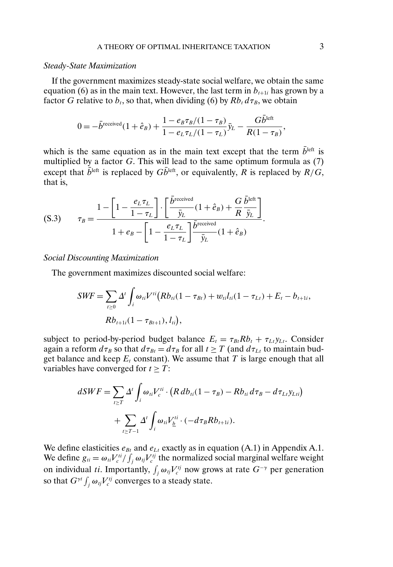### *Steady-State Maximization*

If the government maximizes steady-state social welfare, we obtain the same equation (6) as in the main text. However, the last term in  $b_{t+1i}$  has grown by a factor G relative to  $b_t$ , so that, when dividing (6) by  $Rb_t d\tau_B$ , we obtain

$$
0 = -\bar{b}^{\text{received}}(1 + \hat{e}_B) + \frac{1 - e_B \tau_B/(1 - \tau_B)}{1 - e_L \tau_L/(1 - \tau_L)} \bar{y}_L - \frac{G \bar{b}^{\text{left}}}{R(1 - \tau_B)},
$$

which is the same equation as in the main text except that the term  $\bar{b}^{\text{left}}$  is multiplied by a factor  $G$ . This will lead to the same optimum formula as  $(7)$ except that  $\bar{b}^{\text{left}}$  is replaced by  $G\bar{b}^{\text{left}}$ , or equivalently, R is replaced by  $R/G$ , that is,

$$
(S.3) \qquad \tau_B = \frac{1 - \left[1 - \frac{e_L \tau_L}{1 - \tau_L}\right] \cdot \left[\frac{\bar{b}^{\text{received}}}{\bar{y}_L} (1 + \hat{e}_B) + \frac{G}{R} \frac{\bar{b}^{\text{left}}}{\bar{y}_L}\right]}{1 + e_B - \left[1 - \frac{e_L \tau_L}{1 - \tau_L}\right] \frac{\bar{b}^{\text{received}}}{\bar{y}_L} (1 + \hat{e}_B)}.
$$

*Social Discounting Maximization*

The government maximizes discounted social welfare:

$$
SWF = \sum_{t \ge 0} \Delta^t \int_i \omega_{ti} V^{ti} (Rb_{ti}(1 - \tau_{Bt}) + w_{ti} l_{ti}(1 - \tau_{Lt}) + E_t - b_{t+1i},
$$
  

$$
Rb_{t+1i}(1 - \tau_{Bt+1}), l_{ti}),
$$

subject to period-by-period budget balance  $E_t = \tau_{Bt} R b_t + \tau_{Lt} y_{Lt}$ . Consider again a reform  $d\tau_B$  so that  $d\tau_{Bt} = d\tau_B$  for all  $t \geq T$  (and  $d\tau_{Lt}$  to maintain budget balance and keep  $E_t$  constant). We assume that T is large enough that all variables have converged for  $t \geq T$ :

$$
dSWF = \sum_{t \ge T} \Delta^t \int_i \omega_{ti} V_c^{ti} \cdot (R \, db_{ti} (1 - \tau_B) - R b_{ti} d\tau_B - d\tau_{Li} y_{Lti})
$$

$$
+ \sum_{t \ge T-1} \Delta^t \int_i \omega_{ti} V_{\underline{b}}^{ti} \cdot (-d\tau_B R b_{t+1i}).
$$

We define elasticities  $e_{Bt}$  and  $e_{Lt}$  exactly as in equation (A.1) in Appendix A.1. We define  $g_{ti} = \omega_{ti} V_c^{ti} / \int_j \omega_{tj} V_c^{tj}$  the normalized social marginal welfare weight on individual ti. Importantly,  $\int_j \omega_{ij} V_c^{ij}$  now grows at rate  $G^{-\gamma}$  per generation so that  $G^{\gamma t} \int_j \omega_{tj} V^{tj}_c$  converges to a steady state.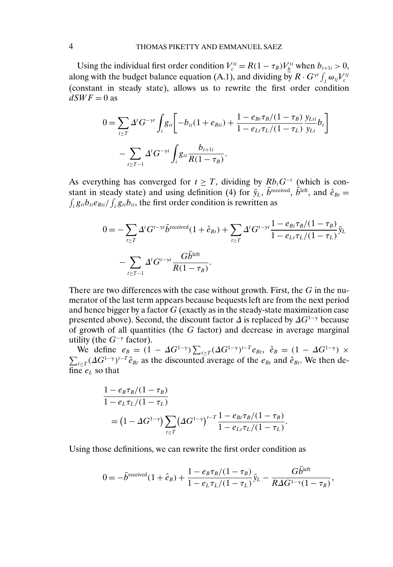Using the individual first order condition  $V_c^{ti} = R(1 - \tau_B)V_{\underline{b}}^{ti}$  when  $b_{t+1i} > 0$ , along with the budget balance equation (A.1), and dividing by  $R \cdot G^{\gamma t} \int_j \omega_{tj} V_c^{tj}$ (constant in steady state), allows us to rewrite the first order condition  $dSWF = 0$  as

$$
0 = \sum_{t \ge T} \Delta^t G^{-\gamma t} \int_i g_{ti} \left[ -b_{ti} (1 + e_{Bti}) + \frac{1 - e_{Bt} \tau_B / (1 - \tau_B)}{1 - e_{Lt} \tau_L / (1 - \tau_L)} \frac{y_{Li}}{y_{Li}} b_t \right]
$$

$$
- \sum_{t \ge T-1} \Delta^t G^{-\gamma t} \int_i g_{ti} \frac{b_{t+1i}}{R (1 - \tau_B)}.
$$

As everything has converged for  $t \geq T$ , dividing by  $Rb_tG^{-t}$  (which is constant in steady state) and using definition (4) for  $\bar{y}_L$ , b<sup>received</sup>, b<sup>left</sup>, and  $\hat{e}_{Bt} =$  $\int_i g_{ti} b_{ti} e_{Bti} / \int_i g_{ti} b_{ti}$ , the first order condition is rewritten as

$$
0 = -\sum_{t \ge T} \Delta^t G^{t-\gamma t} \bar{b}^{\text{received}} (1+\hat{e}_{Bt}) + \sum_{t \ge T} \Delta^t G^{t-\gamma t} \frac{1 - e_{Bt} \tau_B / (1 - \tau_B)}{1 - e_{Lt} \tau_L / (1 - \tau_L)} \bar{y}_L
$$

$$
- \sum_{t \ge T-1} \Delta^t G^{t-\gamma t} \frac{G \bar{b}^{\text{left}}}{R (1 - \tau_B)}.
$$

There are two differences with the case without growth. First, the G in the numerator of the last term appears because bequests left are from the next period and hence bigger by a factor  $G$  (exactly as in the steady-state maximization case presented above). Second, the discount factor  $\Delta$  is replaced by  $\Delta G^{1-\gamma}$  because of growth of all quantities (the  $G$  factor) and decrease in average marginal utility (the  $G^{-\gamma}$  factor).

We define  $e_B = (1 - \Delta G^{1-\gamma}) \sum_{t \ge T} (\Delta G^{1-\gamma})^{t-T} e_{Bt}$ ,  $\hat{e}_B = (1 - \Delta G^{1-\gamma}) \times$  $\sum_{t\geq T} (\Delta G^{1-\gamma})^{t-T} \hat{e}_{Bt}$  as the discounted average of the  $e_{Bt}$  and  $\hat{e}_{Bt}$ . We then define  $e_L$  so that

$$
\begin{aligned} & \frac{1 - e_B \tau_B / (1 - \tau_B)}{1 - e_L \tau_L / (1 - \tau_L)} \\ & = \left( 1 - \Delta G^{1 - \gamma} \right) \sum_{t \ge T} \left( \Delta G^{1 - \gamma} \right)^{t - T} \frac{1 - e_{Bt} \tau_B / (1 - \tau_B)}{1 - e_{Lt} \tau_L / (1 - \tau_L)} .\end{aligned}
$$

Using those definitions, we can rewrite the first order condition as

$$
0 = -\bar{b}^{\text{received}}(1 + \hat{e}_B) + \frac{1 - e_B \tau_B/(1 - \tau_B)}{1 - e_L \tau_L/(1 - \tau_L)} \bar{y}_L - \frac{Gb^{\text{left}}}{R \Delta G^{1-\gamma}(1 - \tau_B)},
$$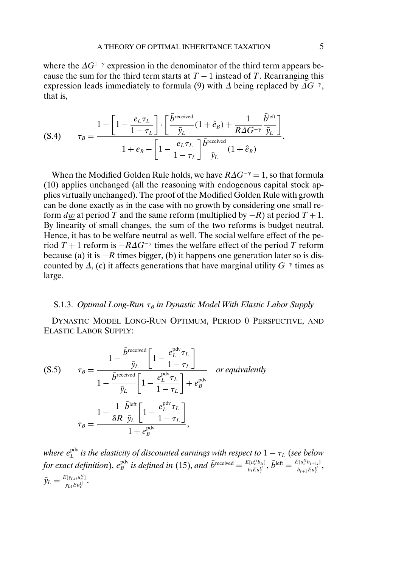<span id="page-40-0"></span>where the  $\Delta G^{1-\gamma}$  expression in the denominator of the third term appears because the sum for the third term starts at  $T - 1$  instead of T. Rearranging this expression leads immediately to formula (9) with  $\Delta$  being replaced by  $\Delta G^{-\gamma}$ , that is,

$$
\text{(S.4)} \qquad \tau_B = \frac{1 - \left[1 - \frac{e_L \tau_L}{1 - \tau_L}\right] \cdot \left[\frac{\bar{b}^{\text{received}}}{\bar{y}_L} (1 + \hat{e}_B) + \frac{1}{R \Delta G^{-\gamma}} \frac{\bar{b}^{\text{left}}}{\bar{y}_L}\right]}{1 + e_B - \left[1 - \frac{e_L \tau_L}{1 - \tau_L}\right] \frac{\bar{b}^{\text{received}}}{\bar{y}_L} (1 + \hat{e}_B)}.
$$

When the Modified Golden Rule holds, we have  $R\Delta G^{-\gamma} = 1$ , so that formula (10) applies unchanged (all the reasoning with endogenous capital stock applies virtually unchanged). The proof of the Modified Golden Rule with growth can be done exactly as in the case with no growth by considering one small reform dw at period T and the same reform (multiplied by  $-R$ ) at period  $T + 1$ . By linearity of small changes, the sum of the two reforms is budget neutral. Hence, it has to be welfare neutral as well. The social welfare effect of the period T + 1 reform is  $-R\Delta G^{-\gamma}$  times the welfare effect of the period T reform because (a) it is  $-R$  times bigger, (b) it happens one generation later so is discounted by  $\Delta$ , (c) it affects generations that have marginal utility  $G^{-\gamma}$  times as large.

## S.1.3. *Optimal Long-Run* τ<sub>B</sub> in Dynastic Model With Elastic Labor Supply

DYNASTIC MODEL LONG-RUN OPTIMUM, PERIOD 0 PERSPECTIVE, AND ELASTIC LABOR SUPPLY:

$$
\tau_B = \frac{1 - \frac{\bar{b}^{\text{received}}}{\bar{y}_L} \left[ 1 - \frac{e_L^{\text{pdv}} \tau_L}{1 - \tau_L} \right]}{1 - \frac{\bar{b}^{\text{received}}}{\bar{y}_L} \left[ 1 - \frac{e_L^{\text{pdv}} \tau_L}{1 - \tau_L} \right] + e_B^{\text{pdv}}} \quad \text{or equivalently}
$$
\n
$$
\tau_B = \frac{1 - \frac{1}{\delta R} \frac{\bar{b}^{\text{left}}}{\bar{y}_L} \left[ 1 - \frac{e_L^{\text{pdv}} \tau_L}{1 - \tau_L} \right]}{1 + e_B^{\text{pdv}}},
$$

where  $e^{\rm pdv}_{L}$  is the elasticity of discounted earnings with respect to  $1-\tau_{L}$  (see below for exact definition),  $e_B^{\text{pdv}}$  is defined in (15), and  $\bar{b}^{\text{received}} = \frac{E[u_e^{tib}b_{1i}]}{b_t E u_e^{tib}}$ ,  $\bar{b}^{\text{left}} = \frac{E[u_e^{tib}b_{t+1i}]}{b_{t+1} E u_e^{tib}}$ ,  $\bar{y}_L = \frac{E[y_{Lti}u_c^{ti}]}{y_{Lt}Eu_c^{ti}}.$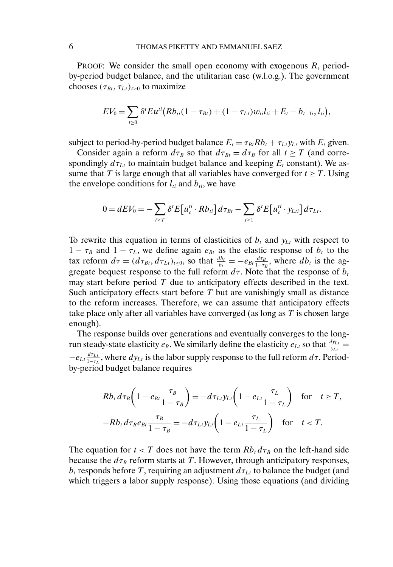PROOF: We consider the small open economy with exogenous R, periodby-period budget balance, and the utilitarian case (w.l.o.g.). The government chooses  $(\tau_{Bt}, \tau_{Lt})_{t \geq 0}$  to maximize

$$
EV_0 = \sum_{t \geq 0} \delta^t E u^{ti} (R b_{ti} (1 - \tau_{Bt}) + (1 - \tau_{Lt}) w_{ti} l_{ti} + E_t - b_{t+1i}, l_{ti}),
$$

subject to period-by-period budget balance  $E_t = \tau_{Bt} R b_t + \tau_{Lt} y_{Lt}$  with  $E_t$  given.

Consider again a reform  $d\tau_B$  so that  $d\tau_{Bt} = d\tau_B$  for all  $t \geq T$  (and correspondingly  $d\tau_{Lt}$  to maintain budget balance and keeping  $E_t$  constant). We assume that T is large enough that all variables have converged for  $t \geq T$ . Using the envelope conditions for  $l_{ti}$  and  $b_{ti}$ , we have

$$
0=dEV_0=-\sum_{t\geq T}\delta^tE\big[u_c^{ti}\cdot Rb_{ti}\big]d\tau_{Bt}-\sum_{t\geq 1}\delta^tE\big[u_c^{ti}\cdot y_{Lti}\big]d\tau_{Lt}.
$$

To rewrite this equation in terms of elasticities of  $b_t$  and  $y_{Lt}$  with respect to  $1 - \tau_B$  and  $1 - \tau_L$ , we define again  $e_{Bt}$  as the elastic response of  $b_t$  to the tax reform  $d\tau = (d\tau_{Bt}, d\tau_{Lt})_{t\geq 0}$ , so that  $\frac{db_t}{b_t} = -e_{Bt} \frac{d\tau_B}{1-\tau_B}$ , where  $db_t$  is the aggregate bequest response to the full reform  $d\tau$ . Note that the response of  $b_t$ may start before period  $T$  due to anticipatory effects described in the text. Such anticipatory effects start before  $T$  but are vanishingly small as distance to the reform increases. Therefore, we can assume that anticipatory effects take place only after all variables have converged (as long as T is chosen large enough).

The response builds over generations and eventually converges to the longrun steady-state elasticity  $e_B$ . We similarly define the elasticity  $e_{Lt}$  so that  $\frac{dy_{Lt}}{y_{Lt}} =$  $-e_{Lt}\frac{d\tau_{Lt}}{1-\tau_L}$ , where  $dy_{Lt}$  is the labor supply response to the full reform  $d\tau$ . Periodby-period budget balance requires

$$
Rb_t d\tau_B \left(1 - e_{Bt} \frac{\tau_B}{1 - \tau_B}\right) = -d\tau_{Lt} y_{Lt} \left(1 - e_{Lt} \frac{\tau_L}{1 - \tau_L}\right) \quad \text{for} \quad t \ge T,
$$
  

$$
-Rb_t d\tau_B e_{Bt} \frac{\tau_B}{1 - \tau_B} = -d\tau_{Lt} y_{Lt} \left(1 - e_{Lt} \frac{\tau_L}{1 - \tau_L}\right) \quad \text{for} \quad t < T.
$$

The equation for  $t < T$  does not have the term  $Rb_t d\tau_B$  on the left-hand side because the  $d\tau_B$  reform starts at T. However, through anticipatory responses,  $b_t$  responds before T, requiring an adjustment  $d\tau_{Lt}$  to balance the budget (and which triggers a labor supply response). Using those equations (and dividing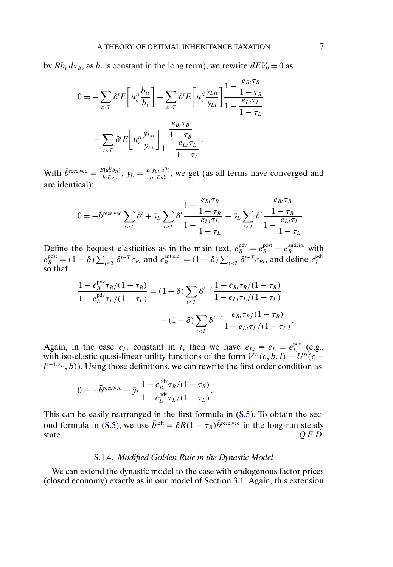by  $Rb_t d\tau_B$ , as  $b_t$  is constant in the long term), we rewrite  $dEV_0 = 0$  as

$$
0 = -\sum_{t \ge T} \delta^t E\left[u_c^{ti} \frac{b_{ti}}{b_t}\right] + \sum_{t \ge T} \delta^t E\left[u_c^{ti} \frac{y_{Lti}}{y_{Lt}}\right] \frac{1 - \frac{e_{Bt} \tau_B}{1 - \tau_B}}{1 - \tau_L}
$$

$$
- \sum_{t \le T} \delta^t E\left[u_c^{ti} \frac{y_{Lti}}{y_{Lt}}\right] \frac{\frac{e_{Bt} \tau_B}{1 - \tau_B}}{1 - \tau_L}.
$$

With  $\bar{b}^{\text{received}} = \frac{E[u_L^{ti}b_{ti}]}{b_t E u_c^{ti}}, \bar{y}_L = \frac{E[y_{Li}u_c^{ti}]}{y_{Lt} E u_c^{ti}}$ , we get (as all terms have converged and are identical):

$$
0 = -\bar{b}^{\text{received}} \sum_{t \geq T} \delta^t + \bar{y}_L \sum_{t \geq T} \delta^t \frac{1 - \frac{e_{Bt} \tau_B}{1 - \tau_B}}{1 - \frac{e_{Lt} \tau_L}{1 - \tau_L}} - \bar{y}_L \sum_{t < T} \delta^t \frac{\frac{e_{Bt} \tau_B}{1 - \tau_B}}{1 - \frac{e_{Lt} \tau_L}{1 - \tau_L}}.
$$

Define the bequest elasticities as in the main text,  $e_B^{\text{pdv}} = e_B^{\text{post}} + e_B^{\text{anticip.}}$  with  $e_B^{\text{post}} = (1 - \delta) \sum_{t \geq T} \delta^{t-T} e_{Bt}$  and  $e_B^{\text{anticip.}} = (1 - \delta) \sum_{t \leq T} \delta^{t-T} e_{Bt}$ , and define  $e_L^{\text{pdv}}$ so that

$$
\frac{1 - e_B^{\text{pdv}} \tau_B/(1 - \tau_B)}{1 - e_L^{\text{pdv}} \tau_L/(1 - \tau_L)} = (1 - \delta) \sum_{t \ge T} \delta^{t-T} \frac{1 - e_{Bt} \tau_B/(1 - \tau_B)}{1 - e_{Lt} \tau_L/(1 - \tau_L)}
$$

$$
- (1 - \delta) \sum_{t \le T} \delta^{t-T} \frac{e_{Bt} \tau_B/(1 - \tau_B)}{1 - e_{Lt} \tau_L/(1 - \tau_L)}.
$$

Again, in the case  $e_{Lt}$  constant in t, then we have  $e_{Lt} \equiv e_L = e_L^{\text{pdv}}$  (e.g., with iso-elastic quasi-linear utility functions of the form  $V^{ti}(c, \underline{b}, l) = U^{ti}(c - \underline{b}, l)$  $l^{1+1/e_L}, b$ ). Using those definitions, we can rewrite the first order condition as

$$
0 = -\bar{b}^{\text{received}} + \bar{y}_L \frac{1 - e_B^{\text{pdv}} \tau_B / (1 - \tau_B)}{1 - e_L^{\text{pdv}} \tau_L / (1 - \tau_L)}.
$$

This can be easily rearranged in the first formula in [\(S.5\)](#page-40-0). To obtain the sec-ond formula in [\(S.5\)](#page-40-0), we use  $\bar{b}^{\text{left}} = \delta R(1 - \tau_B)\bar{b}^{\text{received}}$  in the long-run steady state. *O.E.D.* state. *Q.E.D.*

### S.1.4. *Modified Golden Rule in the Dynastic Model*

We can extend the dynastic model to the case with endogenous factor prices (closed economy) exactly as in our model of Section 3.1. Again, this extension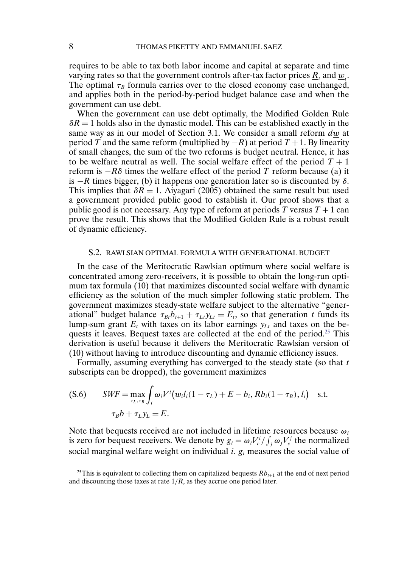<span id="page-43-0"></span>requires to be able to tax both labor income and capital at separate and time varying rates so that the government controls after-tax factor prices  $R_t$  and  $w_t$ . The optimal  $\tau_B$  formula carries over to the closed economy case unchanged, and applies both in the period-by-period budget balance case and when the government can use debt.

When the government can use debt optimally, the Modified Golden Rule  $\delta R = 1$  holds also in the dynastic model. This can be established exactly in the same way as in our model of Section 3.1. We consider a small reform dw at period T and the same reform (multiplied by  $-R$ ) at period  $T + 1$ . By linearity of small changes, the sum of the two reforms is budget neutral. Hence, it has to be welfare neutral as well. The social welfare effect of the period  $T + 1$ reform is  $-R\delta$  times the welfare effect of the period T reform because (a) it is  $-R$  times bigger, (b) it happens one generation later so is discounted by  $\delta$ . This implies that  $\delta R = 1$ . Aiyagari (2005) obtained the same result but used a government provided public good to establish it. Our proof shows that a public good is not necessary. Any type of reform at periods T versus  $T + 1$  can prove the result. This shows that the Modified Golden Rule is a robust result of dynamic efficiency.

### S.2. RAWLSIAN OPTIMAL FORMULA WITH GENERATIONAL BUDGET

In the case of the Meritocratic Rawlsian optimum where social welfare is concentrated among zero-receivers, it is possible to obtain the long-run optimum tax formula (10) that maximizes discounted social welfare with dynamic efficiency as the solution of the much simpler following static problem. The government maximizes steady-state welfare subject to the alternative "generational" budget balance  $\tau_{Bt}b_{t+1} + \tau_{Lt}y_{Lt} = E_t$ , so that generation t funds its lump-sum grant  $E_t$  with taxes on its labor earnings  $y_{Lt}$  and taxes on the bequests it leaves. Bequest taxes are collected at the end of the period.<sup>25</sup> This derivation is useful because it delivers the Meritocratic Rawlsian version of (10) without having to introduce discounting and dynamic efficiency issues.

Formally, assuming everything has converged to the steady state (so that t subscripts can be dropped), the government maximizes

( S.6) 
$$
SWF = \max_{\tau_L, \tau_B} \int_i \omega_i V^i (w_i l_i (1 - \tau_L) + E - b_i, R b_i (1 - \tau_B), l_i) \text{ s.t.}
$$

$$
\tau_B b + \tau_L y_L = E.
$$

Note that bequests received are not included in lifetime resources because  $\omega_i$ is zero for bequest receivers. We denote by  $g_i = \omega_i V_c^i / \int_j \omega_j V_c^j$  the normalized social marginal welfare weight on individual *i*.  $g_i$  measures the social value of

<sup>&</sup>lt;sup>25</sup>This is equivalent to collecting them on capitalized bequests  $Rb_{t+1}$  at the end of next period and discounting those taxes at rate  $1/R$ , as they accrue one period later.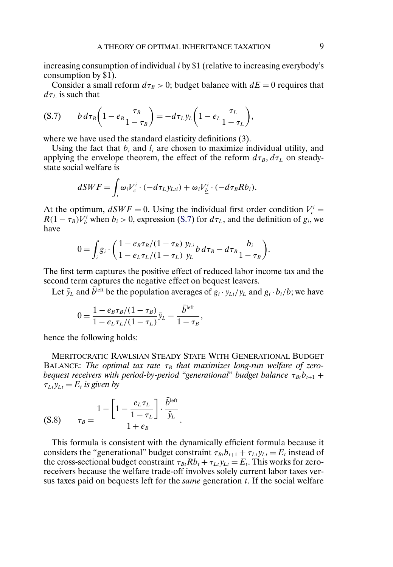increasing consumption of individual i by \$1 (relative to increasing everybody's consumption by \$1).

Consider a small reform  $d\tau_B > 0$ ; budget balance with  $dE = 0$  requires that  $d\tau_L$  is such that

$$
(S.7) \t b d\tau_B \left(1 - e_B \frac{\tau_B}{1 - \tau_B}\right) = -d\tau_L y_L \left(1 - e_L \frac{\tau_L}{1 - \tau_L}\right),
$$

where we have used the standard elasticity definitions (3).

Using the fact that  $b_i$  and  $l_i$  are chosen to maximize individual utility, and applying the envelope theorem, the effect of the reform  $d\tau_B$ ,  $d\tau_L$  on steadystate social welfare is

$$
dSWF = \int_i \omega_i V_c^i \cdot (-d\tau_L y_{Lii}) + \omega_i V_{\underline{b}}^i \cdot (-d\tau_B R b_i).
$$

At the optimum,  $dSWF = 0$ . Using the individual first order condition  $V_c^i =$  $R(1 - \tau_B)V_b^i$  when  $b_i > 0$ , expression (S.7) for  $d\tau_L$ , and the definition of  $g_i$ , we have

$$
0 = \int_i g_i \cdot \left( \frac{1 - e_B \tau_B/(1 - \tau_B)}{1 - e_L \tau_L/(1 - \tau_L)} \frac{y_{Li}}{y_L} b \, d\tau_B - d\tau_B \frac{b_i}{1 - \tau_B} \right).
$$

The first term captures the positive effect of reduced labor income tax and the second term captures the negative effect on bequest leavers.

Let  $\bar{y}_L$  and  $\bar{b}^{\text{left}}$  be the population averages of  $g_i \cdot y_L/y_L$  and  $g_i \cdot b_i/b$ ; we have

$$
0 = \frac{1 - e_B \tau_B / (1 - \tau_B)}{1 - e_L \tau_L / (1 - \tau_L)} \bar{y}_L - \frac{\bar{b}^{\text{left}}}{1 - \tau_B},
$$

hence the following holds:

MERITOCRATIC RAWLSIAN STEADY STATE WITH GENERATIONAL BUDGET BALANCE: The optimal tax rate  $\tau_B$  that maximizes long-run welfare of zero*bequest receivers with period-by-period "generational" budget balance*  $\tau_{B}b_{t+1}$  +  $\tau_{Lt}$   $y_{Lt}$  =  $E_t$  *is given by* 

$$
(S.8) \qquad \tau_B = \frac{1 - \left[1 - \frac{e_L \tau_L}{1 - \tau_L}\right] \cdot \frac{b^{\text{left}}}{\bar{y}_L}}{1 + e_B}.
$$

This formula is consistent with the dynamically efficient formula because it considers the "generational" budget constraint  $\tau_{Bt}b_{t+1} + \tau_{Lt}y_{Lt} = E_t$  instead of the cross-sectional budget constraint  $\tau_{Bt}Rb_t + \tau_{Lt}y_{Lt} = E_t$ . This works for zeroreceivers because the welfare trade-off involves solely current labor taxes versus taxes paid on bequests left for the *same* generation t. If the social welfare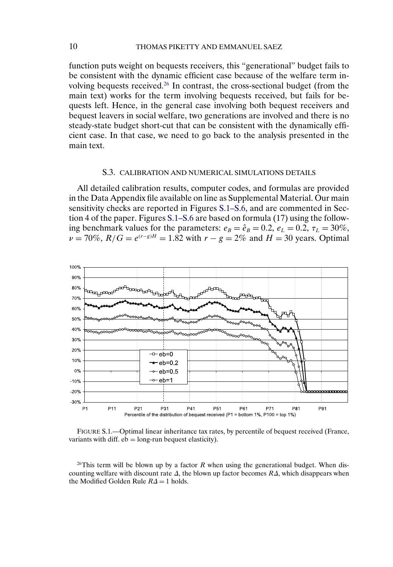function puts weight on bequests receivers, this "generational" budget fails to be consistent with the dynamic efficient case because of the welfare term involving bequests received.26 In contrast, the cross-sectional budget (from the main text) works for the term involving bequests received, but fails for bequests left. Hence, in the general case involving both bequest receivers and bequest leavers in social welfare, two generations are involved and there is no steady-state budget short-cut that can be consistent with the dynamically efficient case. In that case, we need to go back to the analysis presented in the main text.

#### S.3. CALIBRATION AND NUMERICAL SIMULATIONS DETAILS

All detailed calibration results, computer codes, and formulas are provided in the Data Appendix file available on line as Supplemental Material. Our main sensitivity checks are reported in Figures S.1[–S.6,](#page-48-0) and are commented in Section 4 of the paper. Figures S.1[–S.6](#page-48-0) are based on formula (17) using the following benchmark values for the parameters:  $e_B = \hat{e}_B = 0.2$ ,  $e_L = 0.2$ ,  $\tau_L = 30\%$ ,  $\nu = 70\%$ ,  $R/G = e^{(r-g)H} = 1.82$  with  $r - g = 2\%$  and  $H = 30$  years. Optimal



FIGURE S.1.—Optimal linear inheritance tax rates, by percentile of bequest received (France, variants with diff.  $eb = long-run$  bequest elasticity).

<sup>26</sup>This term will be blown up by a factor R when using the generational budget. When discounting welfare with discount rate  $\Delta$ , the blown up factor becomes  $R\Delta$ , which disappears when the Modified Golden Rule  $R\Delta = 1$  holds.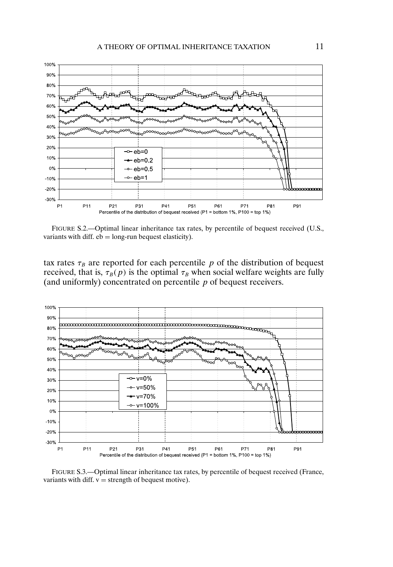

FIGURE S.2.—Optimal linear inheritance tax rates, by percentile of bequest received (U.S., variants with diff.  $eb = long-run$  bequest elasticity).

tax rates  $\tau_B$  are reported for each percentile p of the distribution of bequest received, that is,  $\tau_B(p)$  is the optimal  $\tau_B$  when social welfare weights are fully (and uniformly) concentrated on percentile  $p$  of bequest receivers.



FIGURE S.3.—Optimal linear inheritance tax rates, by percentile of bequest received (France, variants with diff.  $v =$  strength of bequest motive).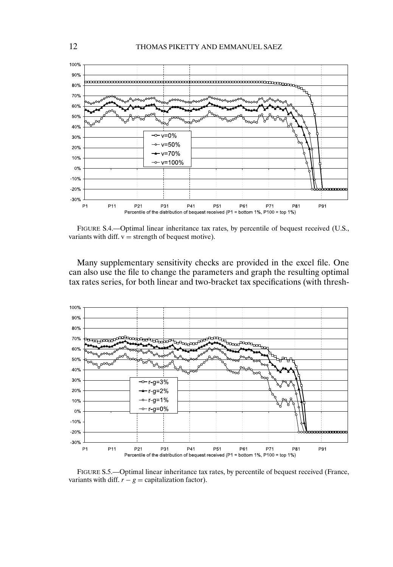

FIGURE S.4.—Optimal linear inheritance tax rates, by percentile of bequest received (U.S., variants with diff.  $v =$  strength of bequest motive).

Many supplementary sensitivity checks are provided in the excel file. One can also use the file to change the parameters and graph the resulting optimal tax rates series, for both linear and two-bracket tax specifications (with thresh-



FIGURE S.5.—Optimal linear inheritance tax rates, by percentile of bequest received (France, variants with diff.  $r - g =$  capitalization factor).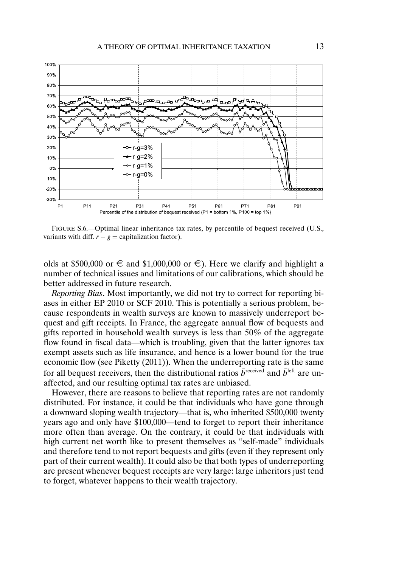<span id="page-48-0"></span>

FIGURE S.6.—Optimal linear inheritance tax rates, by percentile of bequest received (U.S., variants with diff.  $r - g =$  capitalization factor).

olds at \$500,000 or  $\in$  and \$1,000,000 or  $\in$ ). Here we clarify and highlight a number of technical issues and limitations of our calibrations, which should be better addressed in future research.

*Reporting Bias*. Most importantly, we did not try to correct for reporting biases in either EP 2010 or SCF 2010. This is potentially a serious problem, because respondents in wealth surveys are known to massively underreport bequest and gift receipts. In France, the aggregate annual flow of bequests and gifts reported in household wealth surveys is less than 50% of the aggregate flow found in fiscal data—which is troubling, given that the latter ignores tax exempt assets such as life insurance, and hence is a lower bound for the true economic flow (see Piketty (2011)). When the underreporting rate is the same for all bequest receivers, then the distributional ratios  $\bar{b}^{\text{received}}$  and  $\bar{b}^{\text{left}}$  are unaffected, and our resulting optimal tax rates are unbiased.

However, there are reasons to believe that reporting rates are not randomly distributed. For instance, it could be that individuals who have gone through a downward sloping wealth trajectory—that is, who inherited \$500,000 twenty years ago and only have \$100,000—tend to forget to report their inheritance more often than average. On the contrary, it could be that individuals with high current net worth like to present themselves as "self-made" individuals and therefore tend to not report bequests and gifts (even if they represent only part of their current wealth). It could also be that both types of underreporting are present whenever bequest receipts are very large: large inheritors just tend to forget, whatever happens to their wealth trajectory.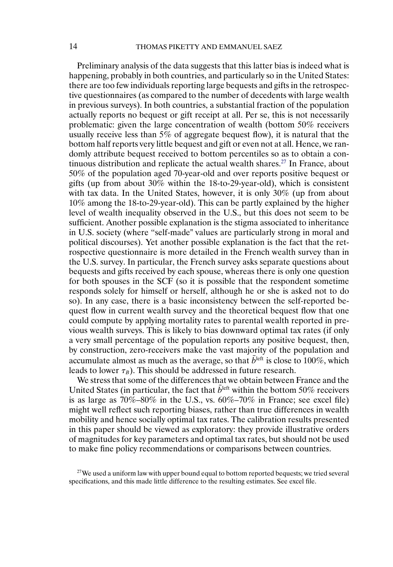Preliminary analysis of the data suggests that this latter bias is indeed what is happening, probably in both countries, and particularly so in the United States: there are too few individuals reporting large bequests and gifts in the retrospective questionnaires (as compared to the number of decedents with large wealth in previous surveys). In both countries, a substantial fraction of the population actually reports no bequest or gift receipt at all. Per se, this is not necessarily problematic: given the large concentration of wealth (bottom 50% receivers usually receive less than  $5\%$  of aggregate bequest flow), it is natural that the bottom half reports very little bequest and gift or even not at all. Hence, we randomly attribute bequest received to bottom percentiles so as to obtain a continuous distribution and replicate the actual wealth shares.<sup>27</sup> In France, about 50% of the population aged 70-year-old and over reports positive bequest or gifts (up from about  $30\%$  within the 18-to-29-year-old), which is consistent with tax data. In the United States, however, it is only 30% (up from about 10% among the 18-to-29-year-old). This can be partly explained by the higher level of wealth inequality observed in the U.S., but this does not seem to be sufficient. Another possible explanation is the stigma associated to inheritance in U.S. society (where "self-made" values are particularly strong in moral and political discourses). Yet another possible explanation is the fact that the retrospective questionnaire is more detailed in the French wealth survey than in the U.S. survey. In particular, the French survey asks separate questions about bequests and gifts received by each spouse, whereas there is only one question for both spouses in the SCF (so it is possible that the respondent sometime responds solely for himself or herself, although he or she is asked not to do so). In any case, there is a basic inconsistency between the self-reported bequest flow in current wealth survey and the theoretical bequest flow that one could compute by applying mortality rates to parental wealth reported in previous wealth surveys. This is likely to bias downward optimal tax rates (if only a very small percentage of the population reports any positive bequest, then, by construction, zero-receivers make the vast majority of the population and accumulate almost as much as the average, so that  $\bar{b}^{\text{left}}$  is close to 100%, which leads to lower  $\tau_B$ ). This should be addressed in future research.

We stress that some of the differences that we obtain between France and the United States (in particular, the fact that  $\bar{b}^{\text{left}}$  within the bottom 50% receivers is as large as  $70\% - 80\%$  in the U.S., vs.  $60\% - 70\%$  in France; see excel file) might well reflect such reporting biases, rather than true differences in wealth mobility and hence socially optimal tax rates. The calibration results presented in this paper should be viewed as exploratory: they provide illustrative orders of magnitudes for key parameters and optimal tax rates, but should not be used to make fine policy recommendations or comparisons between countries.

 $27$ We used a uniform law with upper bound equal to bottom reported bequests; we tried several specifications, and this made little difference to the resulting estimates. See excel file.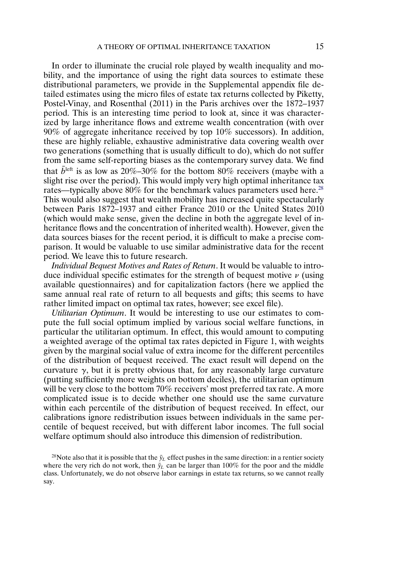In order to illuminate the crucial role played by wealth inequality and mobility, and the importance of using the right data sources to estimate these distributional parameters, we provide in the Supplemental appendix file detailed estimates using the micro files of estate tax returns collected by Piketty, Postel-Vinay, and Rosenthal (2011) in the Paris archives over the 1872–1937 period. This is an interesting time period to look at, since it was characterized by large inheritance flows and extreme wealth concentration (with over 90% of aggregate inheritance received by top 10% successors). In addition, these are highly reliable, exhaustive administrative data covering wealth over two generations (something that is usually difficult to do), which do not suffer from the same self-reporting biases as the contemporary survey data. We find that  $\bar{b}^{\text{left}}$  is as low as 20%–30% for the bottom 80% receivers (maybe with a slight rise over the period). This would imply very high optimal inheritance tax rates—typically above  $80\%$  for the benchmark values parameters used here.<sup>28</sup> This would also suggest that wealth mobility has increased quite spectacularly between Paris 1872–1937 and either France 2010 or the United States 2010 (which would make sense, given the decline in both the aggregate level of inheritance flows and the concentration of inherited wealth). However, given the data sources biases for the recent period, it is difficult to make a precise comparison. It would be valuable to use similar administrative data for the recent period. We leave this to future research.

*Individual Bequest Motives and Rates of Return*. It would be valuable to introduce individual specific estimates for the strength of bequest motive  $\nu$  (using available questionnaires) and for capitalization factors (here we applied the same annual real rate of return to all bequests and gifts; this seems to have rather limited impact on optimal tax rates, however; see excel file).

*Utilitarian Optimum*. It would be interesting to use our estimates to compute the full social optimum implied by various social welfare functions, in particular the utilitarian optimum. In effect, this would amount to computing a weighted average of the optimal tax rates depicted in Figure 1, with weights given by the marginal social value of extra income for the different percentiles of the distribution of bequest received. The exact result will depend on the curvature  $\gamma$ , but it is pretty obvious that, for any reasonably large curvature (putting sufficiently more weights on bottom deciles), the utilitarian optimum will be very close to the bottom 70% receivers' most preferred tax rate. A more complicated issue is to decide whether one should use the same curvature within each percentile of the distribution of bequest received. In effect, our calibrations ignore redistribution issues between individuals in the same percentile of bequest received, but with different labor incomes. The full social welfare optimum should also introduce this dimension of redistribution.

<sup>&</sup>lt;sup>28</sup>Note also that it is possible that the  $\bar{y}_L$  effect pushes in the same direction: in a rentier society where the very rich do not work, then  $\bar{y}_L$  can be larger than 100% for the poor and the middle class. Unfortunately, we do not observe labor earnings in estate tax returns, so we cannot really say.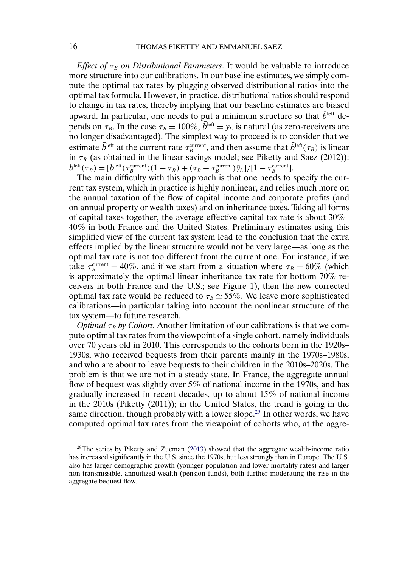<span id="page-51-0"></span>*Effect of*  $\tau_B$  *on Distributional Parameters.* It would be valuable to introduce more structure into our calibrations. In our baseline estimates, we simply compute the optimal tax rates by plugging observed distributional ratios into the optimal tax formula. However, in practice, distributional ratios should respond to change in tax rates, thereby implying that our baseline estimates are biased upward. In particular, one needs to put a minimum structure so that  $b^{\text{left}}$  depends on  $\tau_B$ . In the case  $\tau_B = 100\%, \bar{b}^{\text{left}} = \bar{y}_L$  is natural (as zero-receivers are no longer disadvantaged). The simplest way to proceed is to consider that we estimate  $b^{\text{left}}$  at the current rate  $\tau_B^{\text{current}}$ , and then assume that  $b^{\text{left}}(\tau_B)$  is linear in  $\tau_B$  (as obtained in the linear savings model; see Piketty and Saez (2012)):  $b^{\text{left}}(\tau_B) = [b^{\text{left}}(\tau_B^{\text{current}})(1-\tau_B) + (\tau_B - \tau_B^{\text{current}})\bar{y}_L]/[1-\tau_B^{\text{current}}].$ 

The main difficulty with this approach is that one needs to specify the current tax system, which in practice is highly nonlinear, and relies much more on the annual taxation of the flow of capital income and corporate profits (and on annual property or wealth taxes) and on inheritance taxes. Taking all forms of capital taxes together, the average effective capital tax rate is about 30%– 40% in both France and the United States. Preliminary estimates using this simplified view of the current tax system lead to the conclusion that the extra effects implied by the linear structure would not be very large—as long as the optimal tax rate is not too different from the current one. For instance, if we take  $\tau_B^{\text{current}} = 40\%$ , and if we start from a situation where  $\tau_B = 60\%$  (which is approximately the optimal linear inheritance tax rate for bottom 70% receivers in both France and the U.S.; see Figure 1), then the new corrected optimal tax rate would be reduced to  $\tau_B \simeq 55\%$ . We leave more sophisticated calibrations—in particular taking into account the nonlinear structure of the tax system—to future research.

*Optimal*  $\tau_B$  *by Cohort*. Another limitation of our calibrations is that we compute optimal tax rates from the viewpoint of a single cohort, namely individuals over 70 years old in 2010. This corresponds to the cohorts born in the 1920s– 1930s, who received bequests from their parents mainly in the 1970s–1980s, and who are about to leave bequests to their children in the 2010s–2020s. The problem is that we are not in a steady state. In France, the aggregate annual flow of bequest was slightly over 5% of national income in the 1970s, and has gradually increased in recent decades, up to about 15% of national income in the 2010s (Piketty (2011)); in the United States, the trend is going in the same direction, though probably with a lower slope.<sup>29</sup> In other words, we have computed optimal tax rates from the viewpoint of cohorts who, at the aggre-

 $29$ The series by Piketty and Zucman [\(2013\)](#page-54-0) showed that the aggregate wealth-income ratio has increased significantly in the U.S. since the 1970s, but less strongly than in Europe. The U.S. also has larger demographic growth (younger population and lower mortality rates) and larger non-transmissible, annuitized wealth (pension funds), both further moderating the rise in the aggregate bequest flow.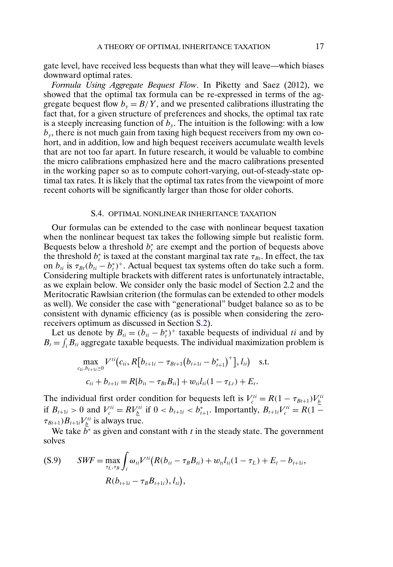gate level, have received less bequests than what they will leave—which biases downward optimal rates.

*Formula Using Aggregate Bequest Flow*. In Piketty and Saez (2012), we showed that the optimal tax formula can be re-expressed in terms of the aggregate bequest flow  $b_y = B/Y$ , and we presented calibrations illustrating the fact that, for a given structure of preferences and shocks, the optimal tax rate is a steeply increasing function of  $b<sub>v</sub>$ . The intuition is the following: with a low  $b<sub>v</sub>$ , there is not much gain from taxing high bequest receivers from my own cohort, and in addition, low and high bequest receivers accumulate wealth levels that are not too far apart. In future research, it would be valuable to combine the micro calibrations emphasized here and the macro calibrations presented in the working paper so as to compute cohort-varying, out-of-steady-state optimal tax rates. It is likely that the optimal tax rates from the viewpoint of more recent cohorts will be significantly larger than those for older cohorts.

### S.4. OPTIMAL NONLINEAR INHERITANCE TAXATION

Our formulas can be extended to the case with nonlinear bequest taxation when the nonlinear bequest tax takes the following simple but realistic form. Bequests below a threshold  $b_t^*$  are exempt and the portion of bequests above the threshold  $b_t^*$  is taxed at the constant marginal tax rate  $\tau_{B_t}$ . In effect, the tax on  $b_{ti}$  is  $\tau_{Bt}(b_{ti} - b_t^*)^+$ . Actual bequest tax systems often do take such a form. Considering multiple brackets with different rates is unfortunately intractable, as we explain below. We consider only the basic model of Section 2.2 and the Meritocratic Rawlsian criterion (the formulas can be extended to other models as well). We consider the case with "generational" budget balance so as to be consistent with dynamic efficiency (as is possible when considering the zeroreceivers optimum as discussed in Section [S.2\)](#page-43-0).

Let us denote by  $B_{ti} = (b_{ti} - b_t^*)^+$  taxable bequests of individual ti and by  $B_t = \int_i B_{ti}$  aggregate taxable bequests. The individual maximization problem is

$$
\max_{c_{ti}, b_{t+1i} \ge 0} V^{ti}(c_{ti}, R[b_{t+1i} - \tau_{Bt+1}(b_{t+1i} - b_{t+1}^*)^+], l_{ti}) \text{ s.t.}
$$
  

$$
c_{ti} + b_{t+1i} = R[b_{ti} - \tau_{Bt}B_{ti}] + w_{ti}l_{ti}(1 - \tau_{Lt}) + E_t.
$$

The individual first order condition for bequests left is  $V_c^{ti} = R(1 - \tau_{Bt+1})V_b^{ti}$ if  $B_{t+1i} > 0$  and  $V_c^{ti} = RV_{\underline{b}}^{ti}$  if  $0 < b_{t+1i} < b_{t+1}^*$ . Importantly,  $B_{t+1i}V_c^{ti} = R(1 \tau_{Bt+1}$ ) $B_{t+1i}V_{\underline{b}}^{ti}$  is always true.

We take  $\bar{b}^*$  as given and constant with t in the steady state. The government solves

$$
\text{(S.9)} \qquad SWF = \max_{\tau_L, \tau_B} \int_i \omega_{ti} V^{ti} \big( R(b_{ti} - \tau_B B_{ti}) + w_{ti} l_{ti} (1 - \tau_L) + E_t - b_{t+1i},
$$
\n
$$
R(b_{t+1i} - \tau_B B_{t+1i}), l_{ti}),
$$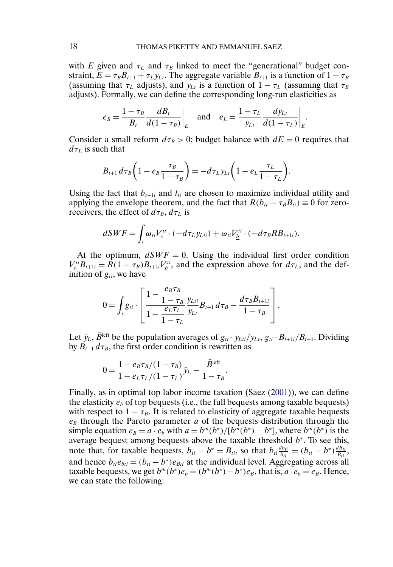<span id="page-53-0"></span>with E given and  $\tau_L$  and  $\tau_B$  linked to meet the "generational" budget constraint,  $\bar{E} = \tau_B B_{t+1} + \tau_L y_{Lt}$ . The aggregate variable  $B_{t+1}$  is a function of  $1 - \tau_B$ (assuming that  $\tau_L$  adjusts), and  $y_{Lt}$  is a function of  $1 - \tau_L$  (assuming that  $\tau_B$ adjusts). Formally, we can define the corresponding long-run elasticities as

$$
e_B = \frac{1 - \tau_B}{B_t} \frac{dB_t}{d(1 - \tau_B)}\Big|_E
$$
 and  $e_L = \frac{1 - \tau_L}{y_{Lt}} \frac{dy_{Lt}}{d(1 - \tau_L)}\Big|_E$ .

Consider a small reform  $d\tau_B > 0$ ; budget balance with  $dE = 0$  requires that  $d\tau_L$  is such that

$$
B_{t+1} d\tau_B \bigg(1 - e_B \frac{\tau_B}{1 - \tau_B}\bigg) = -d\tau_L y_{Lt} \bigg(1 - e_L \frac{\tau_L}{1 - \tau_L}\bigg).
$$

Using the fact that  $b_{t+1i}$  and  $l_{ti}$  are chosen to maximize individual utility and applying the envelope theorem, and the fact that  $R(b_{ti} - \tau_B B_{ti}) \equiv 0$  for zeroreceivers, the effect of  $d\tau_B$ ,  $d\tau_L$  is

$$
dSWF = \int_{i} \omega_{ti} V_c^{ti} \cdot (-d\tau_L y_{Lti}) + \omega_{ti} V_{\underline{b}}^{ti} \cdot (-d\tau_B R B_{t+1i}).
$$

At the optimum,  $dSWF = 0$ . Using the individual first order condition  $V_c^{ti}B_{t+1i} = R(1 - \tau_B)B_{t+1i}V_{\underline{b}}^{ti}$ , and the expression above for  $d\tau_L$ , and the definition of  $g_{ti}$ , we have

$$
0 = \int_{i} g_{ii} \cdot \left[ \frac{1 - \frac{e_B \tau_B}{1 - \tau_B}}{1 - \frac{e_L \tau_L}{1 - \tau_L}} \frac{y_{Lii}}{y_{Li}} B_{t+1} d\tau_B - \frac{d\tau_B B_{t+1i}}{1 - \tau_B} \right].
$$

Let  $\bar{y}_L$ ,  $\bar{B}$ <sup>left</sup> be the population averages of  $g_{ti} \cdot y_{Lti}/y_{Lt}$ ,  $g_{ti} \cdot B_{t+1i}/B_{t+1}$ . Dividing by  $B_{t+1} d\tau_B$ , the first order condition is rewritten as

$$
0 = \frac{1 - e_B \tau_B / (1 - \tau_B)}{1 - e_L \tau_L / (1 - \tau_L)} \bar{y}_L - \frac{\bar{B}^{\text{left}}}{1 - \tau_B}.
$$

Finally, as in optimal top labor income taxation (Saez [\(2001\)](#page-54-0)), we can define the elasticity  $e_b$  of top bequests (i.e., the full bequests among taxable bequests) with respect to  $1 - \tau_B$ . It is related to elasticity of aggregate taxable bequests  $e_B$  through the Pareto parameter a of the bequests distribution through the simple equation  $e_B = a \cdot e_b$  with  $a = b^m(b^*)/[b^m(b^*) - b^*]$ , where  $b^m(b^*)$  is the average bequest among bequests above the taxable threshold  $b^*$ . To see this, note that, for taxable bequests,  $b_{ti} - b^* = B_{ti}$ , so that  $b_{ti} \frac{db_{ti}}{b_{ti}} = (b_{ti} - b^*) \frac{dB_{ti}}{B_{ti}}$ , and hence  $b_{ti}e_{bti} = (b_{ti} - b^*)e_{Bti}$  at the individual level. Aggregating across all taxable bequests, we get  $b^m(b^*)e_b = (b^m(b^*)-b^*)e_b$ , that is,  $a \cdot e_b = e_B$ . Hence, we can state the following: